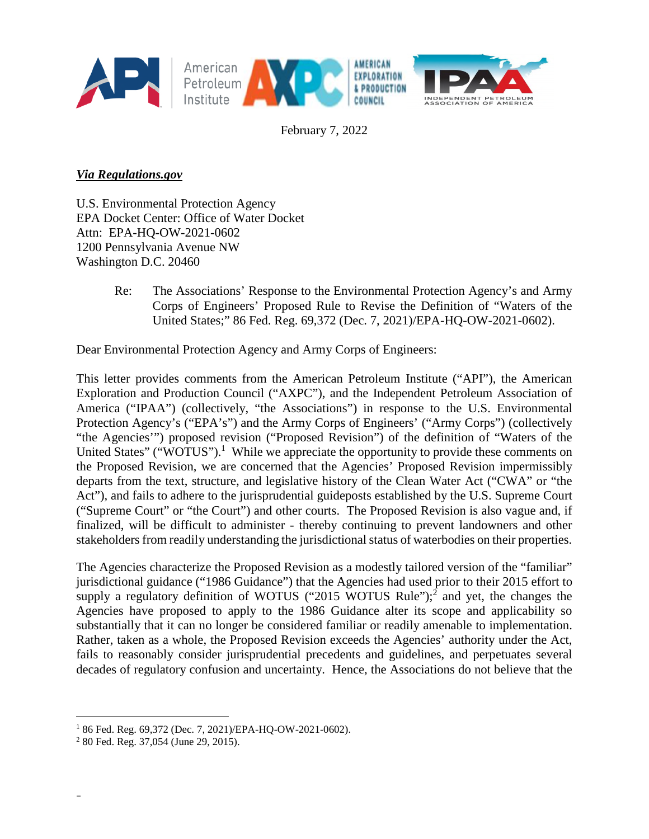

February 7, 2022

# *Via Regulations.gov*

U.S. Environmental Protection Agency EPA Docket Center: Office of Water Docket Attn: EPA-HQ-OW-2021-0602 1200 Pennsylvania Avenue NW Washington D.C. 20460

> Re: The Associations' Response to the Environmental Protection Agency's and Army Corps of Engineers' Proposed Rule to Revise the Definition of "Waters of the United States;" 86 Fed. Reg. 69,372 (Dec. 7, 2021)/EPA-HQ-OW-2021-0602).

Dear Environmental Protection Agency and Army Corps of Engineers:

This letter provides comments from the American Petroleum Institute ("API"), the American Exploration and Production Council ("AXPC"), and the Independent Petroleum Association of America ("IPAA") (collectively, "the Associations") in response to the U.S. Environmental Protection Agency's ("EPA's") and the Army Corps of Engineers' ("Army Corps") (collectively "the Agencies'") proposed revision ("Proposed Revision") of the definition of "Waters of the United States" ("WOTUS").<sup>1</sup> While we appreciate the opportunity to provide these comments on the Proposed Revision, we are concerned that the Agencies' Proposed Revision impermissibly departs from the text, structure, and legislative history of the Clean Water Act ("CWA" or "the Act"), and fails to adhere to the jurisprudential guideposts established by the U.S. Supreme Court ("Supreme Court" or "the Court") and other courts. The Proposed Revision is also vague and, if finalized, will be difficult to administer - thereby continuing to prevent landowners and other stakeholders from readily understanding the jurisdictional status of waterbodies on their properties.

The Agencies characterize the Proposed Revision as a modestly tailored version of the "familiar" jurisdictional guidance ("1986 Guidance") that the Agencies had used prior to their 2015 effort to supply a regulatory definition of WOTUS ("2015 WOTUS Rule");<sup>2</sup> and yet, the changes the Agencies have proposed to apply to the 1986 Guidance alter its scope and applicability so substantially that it can no longer be considered familiar or readily amenable to implementation. Rather, taken as a whole, the Proposed Revision exceeds the Agencies' authority under the Act, fails to reasonably consider jurisprudential precedents and guidelines, and perpetuates several decades of regulatory confusion and uncertainty. Hence, the Associations do not believe that the

<sup>1</sup> 86 Fed. Reg. 69,372 (Dec. 7, 2021)/EPA-HQ-OW-2021-0602).

<sup>2</sup> 80 Fed. Reg. 37,054 (June 29, 2015).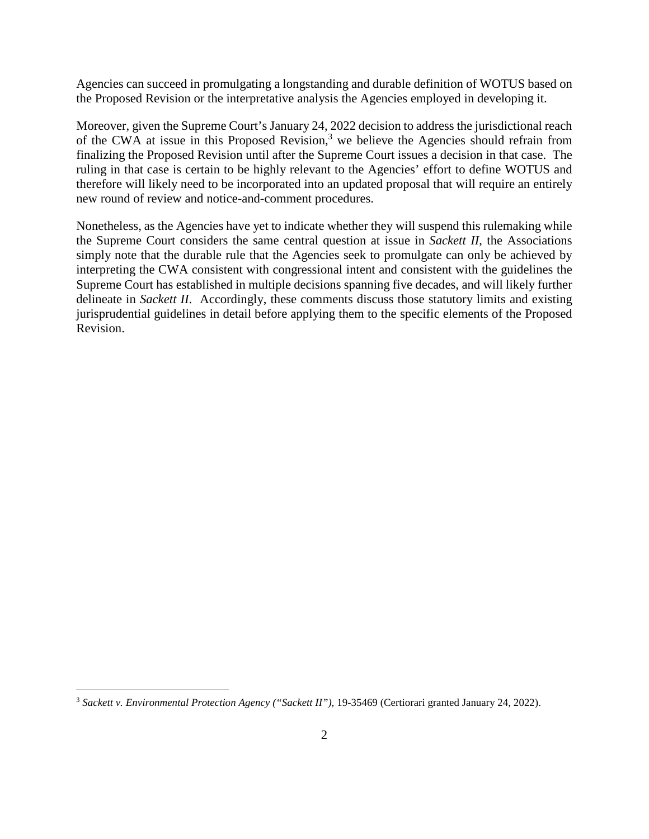Agencies can succeed in promulgating a longstanding and durable definition of WOTUS based on the Proposed Revision or the interpretative analysis the Agencies employed in developing it.

Moreover, given the Supreme Court's January 24, 2022 decision to address the jurisdictional reach of the CWA at issue in this Proposed Revision,<sup>3</sup> we believe the Agencies should refrain from finalizing the Proposed Revision until after the Supreme Court issues a decision in that case. The ruling in that case is certain to be highly relevant to the Agencies' effort to define WOTUS and therefore will likely need to be incorporated into an updated proposal that will require an entirely new round of review and notice-and-comment procedures.

Nonetheless, as the Agencies have yet to indicate whether they will suspend this rulemaking while the Supreme Court considers the same central question at issue in *Sackett II*, the Associations simply note that the durable rule that the Agencies seek to promulgate can only be achieved by interpreting the CWA consistent with congressional intent and consistent with the guidelines the Supreme Court has established in multiple decisions spanning five decades, and will likely further delineate in *Sackett II*. Accordingly, these comments discuss those statutory limits and existing jurisprudential guidelines in detail before applying them to the specific elements of the Proposed Revision.

<sup>3</sup> *Sackett v. Environmental Protection Agency ("Sackett II")*, 19-35469 (Certiorari granted January 24, 2022).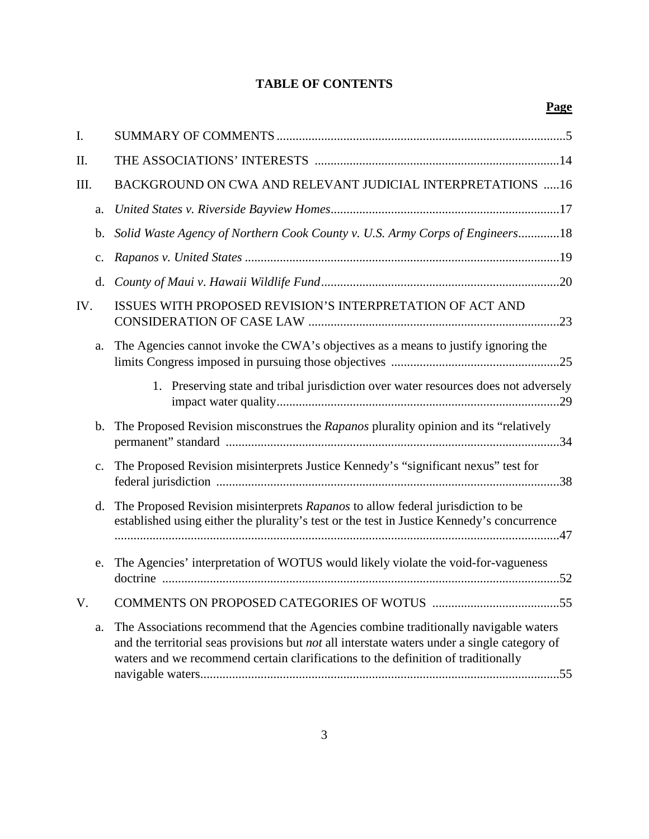# **TABLE OF CONTENTS**

| I.   |                |                                                                                                                                                                                                                                                                          |
|------|----------------|--------------------------------------------------------------------------------------------------------------------------------------------------------------------------------------------------------------------------------------------------------------------------|
| II.  |                |                                                                                                                                                                                                                                                                          |
| III. |                | BACKGROUND ON CWA AND RELEVANT JUDICIAL INTERPRETATIONS 16                                                                                                                                                                                                               |
|      | a.             |                                                                                                                                                                                                                                                                          |
|      | b.             | Solid Waste Agency of Northern Cook County v. U.S. Army Corps of Engineers18                                                                                                                                                                                             |
|      | c.             |                                                                                                                                                                                                                                                                          |
|      | d.             |                                                                                                                                                                                                                                                                          |
| IV.  |                | ISSUES WITH PROPOSED REVISION'S INTERPRETATION OF ACT AND                                                                                                                                                                                                                |
|      | a.             | The Agencies cannot invoke the CWA's objectives as a means to justify ignoring the                                                                                                                                                                                       |
|      |                | 1. Preserving state and tribal jurisdiction over water resources does not adversely                                                                                                                                                                                      |
|      | b.             | The Proposed Revision misconstrues the Rapanos plurality opinion and its "relatively                                                                                                                                                                                     |
|      | $\mathbf{c}$ . | The Proposed Revision misinterprets Justice Kennedy's "significant nexus" test for                                                                                                                                                                                       |
|      | d.             | The Proposed Revision misinterprets Rapanos to allow federal jurisdiction to be<br>established using either the plurality's test or the test in Justice Kennedy's concurrence                                                                                            |
|      | e.             | The Agencies' interpretation of WOTUS would likely violate the void-for-vagueness                                                                                                                                                                                        |
| V.   |                |                                                                                                                                                                                                                                                                          |
|      | a.             | The Associations recommend that the Agencies combine traditionally navigable waters<br>and the territorial seas provisions but not all interstate waters under a single category of<br>waters and we recommend certain clarifications to the definition of traditionally |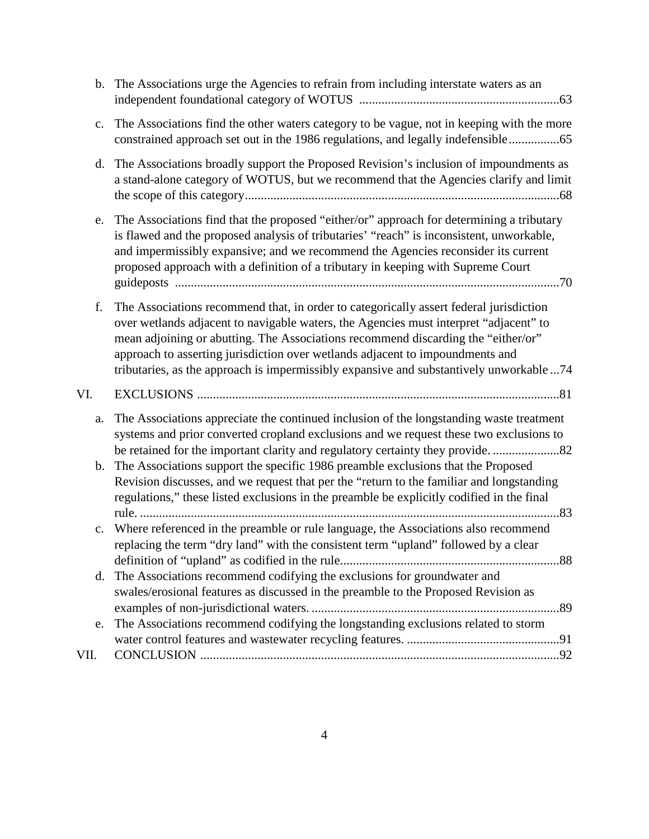|                | b. The Associations urge the Agencies to refrain from including interstate waters as an                                                                                                                                                                                                                                                                                                                                                          |
|----------------|--------------------------------------------------------------------------------------------------------------------------------------------------------------------------------------------------------------------------------------------------------------------------------------------------------------------------------------------------------------------------------------------------------------------------------------------------|
| $\mathbf{c}$ . | The Associations find the other waters category to be vague, not in keeping with the more<br>constrained approach set out in the 1986 regulations, and legally indefensible65                                                                                                                                                                                                                                                                    |
| d.             | The Associations broadly support the Proposed Revision's inclusion of impoundments as<br>a stand-alone category of WOTUS, but we recommend that the Agencies clarify and limit                                                                                                                                                                                                                                                                   |
| e.             | The Associations find that the proposed "either/or" approach for determining a tributary<br>is flawed and the proposed analysis of tributaries' "reach" is inconsistent, unworkable,<br>and impermissibly expansive; and we recommend the Agencies reconsider its current<br>proposed approach with a definition of a tributary in keeping with Supreme Court                                                                                    |
| f.             | The Associations recommend that, in order to categorically assert federal jurisdiction<br>over wetlands adjacent to navigable waters, the Agencies must interpret "adjacent" to<br>mean adjoining or abutting. The Associations recommend discarding the "either/or"<br>approach to asserting jurisdiction over wetlands adjacent to impoundments and<br>tributaries, as the approach is impermissibly expansive and substantively unworkable 74 |
| VI.            |                                                                                                                                                                                                                                                                                                                                                                                                                                                  |
| a.             | The Associations appreciate the continued inclusion of the longstanding waste treatment<br>systems and prior converted cropland exclusions and we request these two exclusions to<br>be retained for the important clarity and regulatory certainty they provide.                                                                                                                                                                                |
| b.             | The Associations support the specific 1986 preamble exclusions that the Proposed<br>Revision discusses, and we request that per the "return to the familiar and longstanding<br>regulations," these listed exclusions in the preamble be explicitly codified in the final                                                                                                                                                                        |
| $\mathbf{c}$ . | Where referenced in the preamble or rule language, the Associations also recommend<br>replacing the term "dry land" with the consistent term "upland" followed by a clear                                                                                                                                                                                                                                                                        |
| d.             | The Associations recommend codifying the exclusions for groundwater and                                                                                                                                                                                                                                                                                                                                                                          |
|                | swales/erosional features as discussed in the preamble to the Proposed Revision as                                                                                                                                                                                                                                                                                                                                                               |
| e.             | The Associations recommend codifying the longstanding exclusions related to storm                                                                                                                                                                                                                                                                                                                                                                |
|                |                                                                                                                                                                                                                                                                                                                                                                                                                                                  |
| VII.           | .92                                                                                                                                                                                                                                                                                                                                                                                                                                              |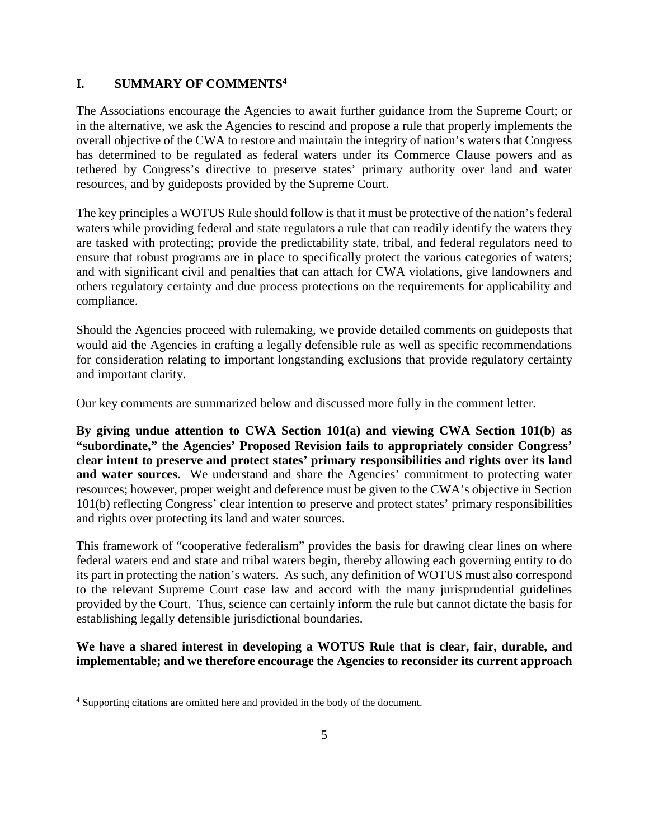#### **I. SUMMARY OF COMMENTS<sup>4</sup>**

The Associations encourage the Agencies to await further guidance from the Supreme Court; or in the alternative, we ask the Agencies to rescind and propose a rule that properly implements the overall objective of the CWA to restore and maintain the integrity of nation's waters that Congress has determined to be regulated as federal waters under its Commerce Clause powers and as tethered by Congress's directive to preserve states' primary authority over land and water resources, and by guideposts provided by the Supreme Court.

The key principles a WOTUS Rule should follow is that it must be protective of the nation's federal waters while providing federal and state regulators a rule that can readily identify the waters they are tasked with protecting; provide the predictability state, tribal, and federal regulators need to ensure that robust programs are in place to specifically protect the various categories of waters; and with significant civil and penalties that can attach for CWA violations, give landowners and others regulatory certainty and due process protections on the requirements for applicability and compliance.

Should the Agencies proceed with rulemaking, we provide detailed comments on guideposts that would aid the Agencies in crafting a legally defensible rule as well as specific recommendations for consideration relating to important longstanding exclusions that provide regulatory certainty and important clarity.

Our key comments are summarized below and discussed more fully in the comment letter.

**By giving undue attention to CWA Section 101(a) and viewing CWA Section 101(b) as "subordinate," the Agencies' Proposed Revision fails to appropriately consider Congress' clear intent to preserve and protect states' primary responsibilities and rights over its land**  and water sources. We understand and share the Agencies' commitment to protecting water resources; however, proper weight and deference must be given to the CWA's objective in Section 101(b) reflecting Congress' clear intention to preserve and protect states' primary responsibilities and rights over protecting its land and water sources.

This framework of "cooperative federalism" provides the basis for drawing clear lines on where federal waters end and state and tribal waters begin, thereby allowing each governing entity to do its part in protecting the nation's waters. As such, any definition of WOTUS must also correspond to the relevant Supreme Court case law and accord with the many jurisprudential guidelines provided by the Court. Thus, science can certainly inform the rule but cannot dictate the basis for establishing legally defensible jurisdictional boundaries.

**We have a shared interest in developing a WOTUS Rule that is clear, fair, durable, and implementable; and we therefore encourage the Agencies to reconsider its current approach** 

<sup>&</sup>lt;sup>4</sup> Supporting citations are omitted here and provided in the body of the document.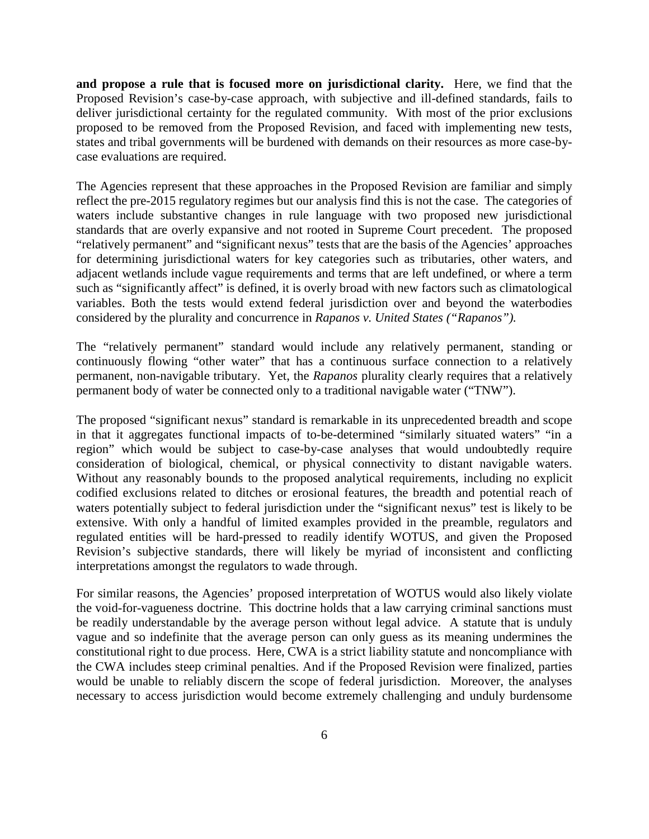**and propose a rule that is focused more on jurisdictional clarity.** Here, we find that the Proposed Revision's case-by-case approach, with subjective and ill-defined standards, fails to deliver jurisdictional certainty for the regulated community. With most of the prior exclusions proposed to be removed from the Proposed Revision, and faced with implementing new tests, states and tribal governments will be burdened with demands on their resources as more case-bycase evaluations are required.

The Agencies represent that these approaches in the Proposed Revision are familiar and simply reflect the pre-2015 regulatory regimes but our analysis find this is not the case. The categories of waters include substantive changes in rule language with two proposed new jurisdictional standards that are overly expansive and not rooted in Supreme Court precedent. The proposed "relatively permanent" and "significant nexus" tests that are the basis of the Agencies' approaches for determining jurisdictional waters for key categories such as tributaries, other waters, and adjacent wetlands include vague requirements and terms that are left undefined, or where a term such as "significantly affect" is defined, it is overly broad with new factors such as climatological variables. Both the tests would extend federal jurisdiction over and beyond the waterbodies considered by the plurality and concurrence in *Rapanos v. United States ("Rapanos").* 

The "relatively permanent" standard would include any relatively permanent, standing or continuously flowing "other water" that has a continuous surface connection to a relatively permanent, non-navigable tributary. Yet, the *Rapanos* plurality clearly requires that a relatively permanent body of water be connected only to a traditional navigable water ("TNW").

The proposed "significant nexus" standard is remarkable in its unprecedented breadth and scope in that it aggregates functional impacts of to-be-determined "similarly situated waters" "in a region" which would be subject to case-by-case analyses that would undoubtedly require consideration of biological, chemical, or physical connectivity to distant navigable waters. Without any reasonably bounds to the proposed analytical requirements, including no explicit codified exclusions related to ditches or erosional features, the breadth and potential reach of waters potentially subject to federal jurisdiction under the "significant nexus" test is likely to be extensive. With only a handful of limited examples provided in the preamble, regulators and regulated entities will be hard-pressed to readily identify WOTUS, and given the Proposed Revision's subjective standards, there will likely be myriad of inconsistent and conflicting interpretations amongst the regulators to wade through.

For similar reasons, the Agencies' proposed interpretation of WOTUS would also likely violate the void-for-vagueness doctrine. This doctrine holds that a law carrying criminal sanctions must be readily understandable by the average person without legal advice. A statute that is unduly vague and so indefinite that the average person can only guess as its meaning undermines the constitutional right to due process. Here, CWA is a strict liability statute and noncompliance with the CWA includes steep criminal penalties. And if the Proposed Revision were finalized, parties would be unable to reliably discern the scope of federal jurisdiction. Moreover, the analyses necessary to access jurisdiction would become extremely challenging and unduly burdensome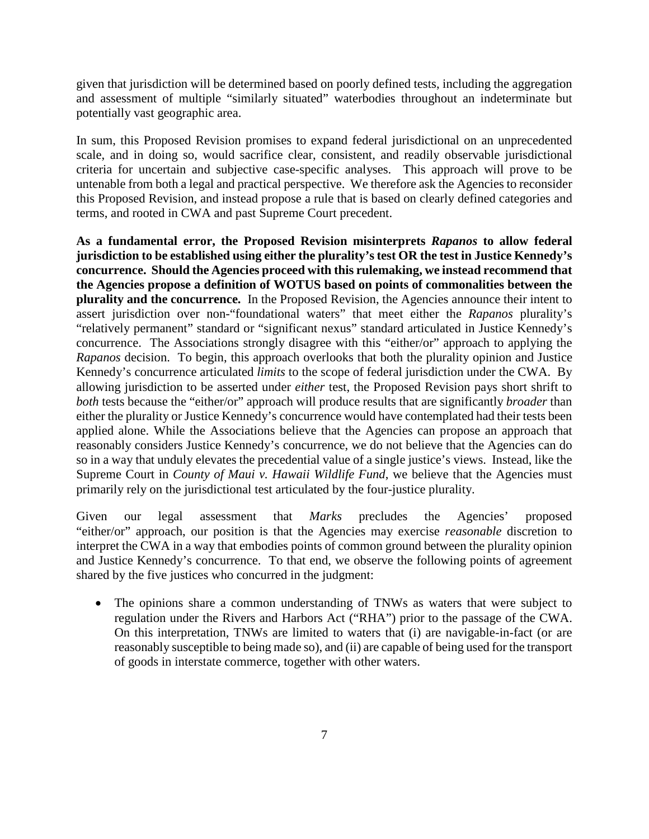given that jurisdiction will be determined based on poorly defined tests, including the aggregation and assessment of multiple "similarly situated" waterbodies throughout an indeterminate but potentially vast geographic area.

In sum, this Proposed Revision promises to expand federal jurisdictional on an unprecedented scale, and in doing so, would sacrifice clear, consistent, and readily observable jurisdictional criteria for uncertain and subjective case-specific analyses. This approach will prove to be untenable from both a legal and practical perspective. We therefore ask the Agencies to reconsider this Proposed Revision, and instead propose a rule that is based on clearly defined categories and terms, and rooted in CWA and past Supreme Court precedent.

**As a fundamental error, the Proposed Revision misinterprets** *Rapanos* **to allow federal jurisdiction to be established using either the plurality's test OR the test in Justice Kennedy's concurrence. Should the Agencies proceed with this rulemaking, we instead recommend that the Agencies propose a definition of WOTUS based on points of commonalities between the plurality and the concurrence.** In the Proposed Revision, the Agencies announce their intent to assert jurisdiction over non-"foundational waters" that meet either the *Rapanos* plurality's "relatively permanent" standard or "significant nexus" standard articulated in Justice Kennedy's concurrence. The Associations strongly disagree with this "either/or" approach to applying the *Rapanos* decision. To begin, this approach overlooks that both the plurality opinion and Justice Kennedy's concurrence articulated *limits* to the scope of federal jurisdiction under the CWA. By allowing jurisdiction to be asserted under *either* test, the Proposed Revision pays short shrift to *both* tests because the "either/or" approach will produce results that are significantly *broader* than either the plurality or Justice Kennedy's concurrence would have contemplated had their tests been applied alone. While the Associations believe that the Agencies can propose an approach that reasonably considers Justice Kennedy's concurrence, we do not believe that the Agencies can do so in a way that unduly elevates the precedential value of a single justice's views. Instead, like the Supreme Court in *County of Maui v. Hawaii Wildlife Fund*, we believe that the Agencies must primarily rely on the jurisdictional test articulated by the four-justice plurality.

Given our legal assessment that *Marks* precludes the Agencies' proposed "either/or" approach, our position is that the Agencies may exercise *reasonable* discretion to interpret the CWA in a way that embodies points of common ground between the plurality opinion and Justice Kennedy's concurrence. To that end, we observe the following points of agreement shared by the five justices who concurred in the judgment:

 The opinions share a common understanding of TNWs as waters that were subject to regulation under the Rivers and Harbors Act ("RHA") prior to the passage of the CWA. On this interpretation, TNWs are limited to waters that (i) are navigable-in-fact (or are reasonably susceptible to being made so), and (ii) are capable of being used for the transport of goods in interstate commerce, together with other waters.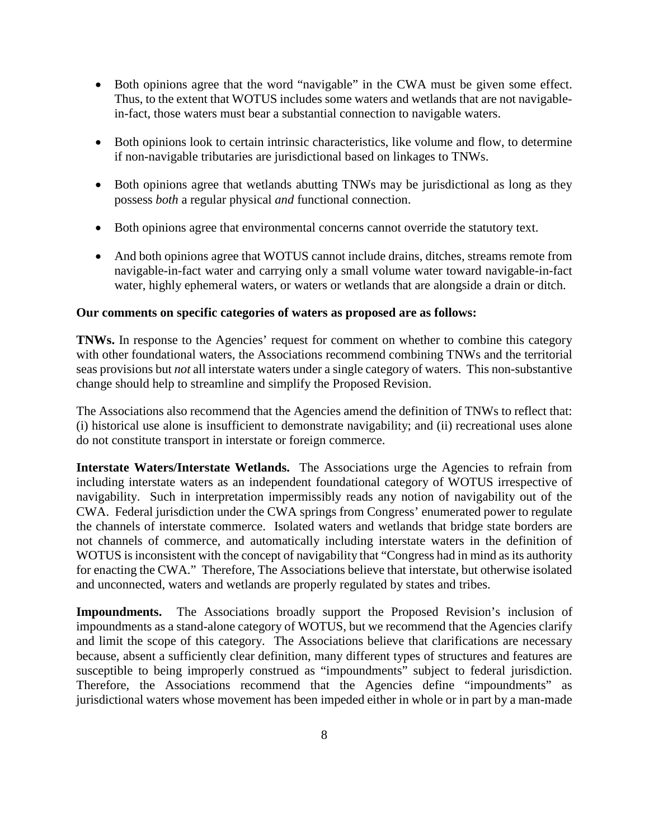- Both opinions agree that the word "navigable" in the CWA must be given some effect. Thus, to the extent that WOTUS includes some waters and wetlands that are not navigablein-fact, those waters must bear a substantial connection to navigable waters.
- Both opinions look to certain intrinsic characteristics, like volume and flow, to determine if non-navigable tributaries are jurisdictional based on linkages to TNWs.
- Both opinions agree that wetlands abutting TNWs may be jurisdictional as long as they possess *both* a regular physical *and* functional connection.
- Both opinions agree that environmental concerns cannot override the statutory text.
- And both opinions agree that WOTUS cannot include drains, ditches, streams remote from navigable-in-fact water and carrying only a small volume water toward navigable-in-fact water, highly ephemeral waters, or waters or wetlands that are alongside a drain or ditch.

#### **Our comments on specific categories of waters as proposed are as follows:**

**TNWs.** In response to the Agencies' request for comment on whether to combine this category with other foundational waters, the Associations recommend combining TNWs and the territorial seas provisions but *not* all interstate waters under a single category of waters. This non-substantive change should help to streamline and simplify the Proposed Revision.

The Associations also recommend that the Agencies amend the definition of TNWs to reflect that: (i) historical use alone is insufficient to demonstrate navigability; and (ii) recreational uses alone do not constitute transport in interstate or foreign commerce.

**Interstate Waters/Interstate Wetlands.** The Associations urge the Agencies to refrain from including interstate waters as an independent foundational category of WOTUS irrespective of navigability. Such in interpretation impermissibly reads any notion of navigability out of the CWA. Federal jurisdiction under the CWA springs from Congress' enumerated power to regulate the channels of interstate commerce. Isolated waters and wetlands that bridge state borders are not channels of commerce, and automatically including interstate waters in the definition of WOTUS is inconsistent with the concept of navigability that "Congress had in mind as its authority for enacting the CWA." Therefore, The Associations believe that interstate, but otherwise isolated and unconnected, waters and wetlands are properly regulated by states and tribes.

**Impoundments.** The Associations broadly support the Proposed Revision's inclusion of impoundments as a stand-alone category of WOTUS, but we recommend that the Agencies clarify and limit the scope of this category. The Associations believe that clarifications are necessary because, absent a sufficiently clear definition, many different types of structures and features are susceptible to being improperly construed as "impoundments" subject to federal jurisdiction. Therefore, the Associations recommend that the Agencies define "impoundments" as jurisdictional waters whose movement has been impeded either in whole or in part by a man-made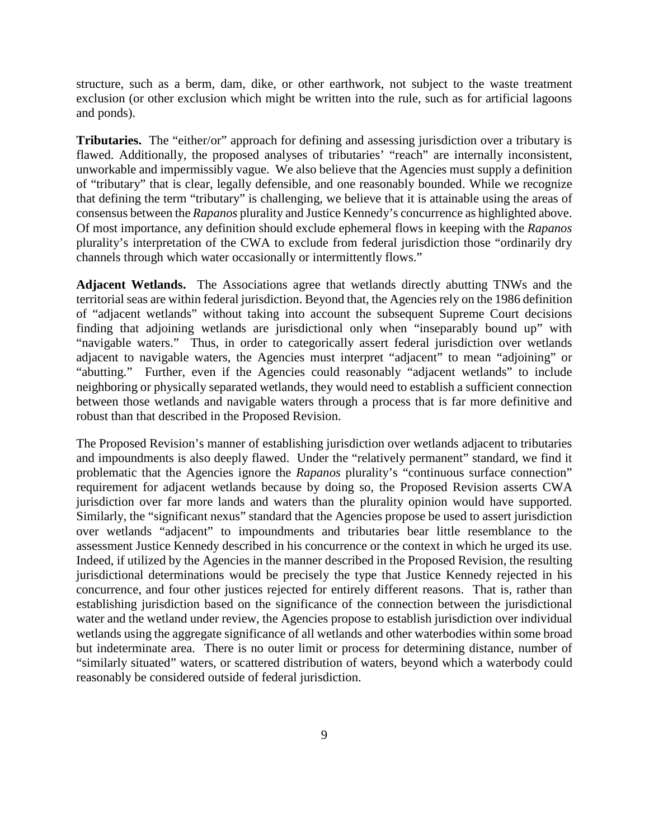structure, such as a berm, dam, dike, or other earthwork, not subject to the waste treatment exclusion (or other exclusion which might be written into the rule, such as for artificial lagoons and ponds).

**Tributaries.** The "either/or" approach for defining and assessing jurisdiction over a tributary is flawed. Additionally, the proposed analyses of tributaries' "reach" are internally inconsistent, unworkable and impermissibly vague. We also believe that the Agencies must supply a definition of "tributary" that is clear, legally defensible, and one reasonably bounded. While we recognize that defining the term "tributary" is challenging, we believe that it is attainable using the areas of consensus between the *Rapanos* plurality and Justice Kennedy's concurrence as highlighted above. Of most importance, any definition should exclude ephemeral flows in keeping with the *Rapanos*  plurality's interpretation of the CWA to exclude from federal jurisdiction those "ordinarily dry channels through which water occasionally or intermittently flows."

**Adjacent Wetlands.** The Associations agree that wetlands directly abutting TNWs and the territorial seas are within federal jurisdiction. Beyond that, the Agencies rely on the 1986 definition of "adjacent wetlands" without taking into account the subsequent Supreme Court decisions finding that adjoining wetlands are jurisdictional only when "inseparably bound up" with "navigable waters." Thus, in order to categorically assert federal jurisdiction over wetlands adjacent to navigable waters, the Agencies must interpret "adjacent" to mean "adjoining" or "abutting." Further, even if the Agencies could reasonably "adjacent wetlands" to include neighboring or physically separated wetlands, they would need to establish a sufficient connection between those wetlands and navigable waters through a process that is far more definitive and robust than that described in the Proposed Revision.

The Proposed Revision's manner of establishing jurisdiction over wetlands adjacent to tributaries and impoundments is also deeply flawed. Under the "relatively permanent" standard, we find it problematic that the Agencies ignore the *Rapanos* plurality's "continuous surface connection" requirement for adjacent wetlands because by doing so, the Proposed Revision asserts CWA jurisdiction over far more lands and waters than the plurality opinion would have supported. Similarly, the "significant nexus" standard that the Agencies propose be used to assert jurisdiction over wetlands "adjacent" to impoundments and tributaries bear little resemblance to the assessment Justice Kennedy described in his concurrence or the context in which he urged its use. Indeed, if utilized by the Agencies in the manner described in the Proposed Revision, the resulting jurisdictional determinations would be precisely the type that Justice Kennedy rejected in his concurrence, and four other justices rejected for entirely different reasons. That is, rather than establishing jurisdiction based on the significance of the connection between the jurisdictional water and the wetland under review, the Agencies propose to establish jurisdiction over individual wetlands using the aggregate significance of all wetlands and other waterbodies within some broad but indeterminate area. There is no outer limit or process for determining distance, number of "similarly situated" waters, or scattered distribution of waters, beyond which a waterbody could reasonably be considered outside of federal jurisdiction.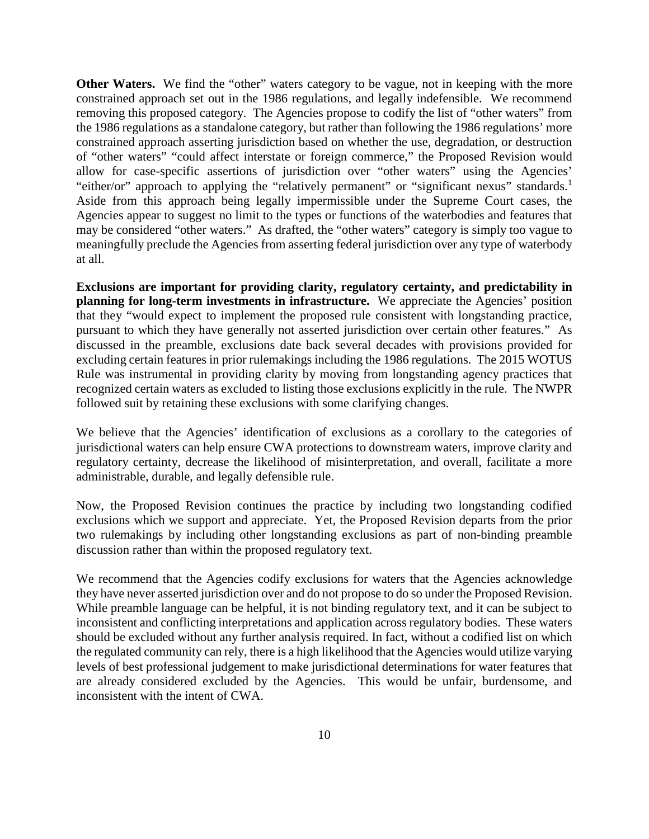**Other Waters.** We find the "other" waters category to be vague, not in keeping with the more constrained approach set out in the 1986 regulations, and legally indefensible. We recommend removing this proposed category. The Agencies propose to codify the list of "other waters" from the 1986 regulations as a standalone category, but rather than following the 1986 regulations' more constrained approach asserting jurisdiction based on whether the use, degradation, or destruction of "other waters" "could affect interstate or foreign commerce," the Proposed Revision would allow for case-specific assertions of jurisdiction over "other waters" using the Agencies' "either/or" approach to applying the "relatively permanent" or "significant nexus" standards.<sup>1</sup> Aside from this approach being legally impermissible under the Supreme Court cases, the Agencies appear to suggest no limit to the types or functions of the waterbodies and features that may be considered "other waters." As drafted, the "other waters" category is simply too vague to meaningfully preclude the Agencies from asserting federal jurisdiction over any type of waterbody at all.

**Exclusions are important for providing clarity, regulatory certainty, and predictability in planning for long-term investments in infrastructure.** We appreciate the Agencies' position that they "would expect to implement the proposed rule consistent with longstanding practice, pursuant to which they have generally not asserted jurisdiction over certain other features." As discussed in the preamble, exclusions date back several decades with provisions provided for excluding certain features in prior rulemakings including the 1986 regulations. The 2015 WOTUS Rule was instrumental in providing clarity by moving from longstanding agency practices that recognized certain waters as excluded to listing those exclusions explicitly in the rule. The NWPR followed suit by retaining these exclusions with some clarifying changes.

We believe that the Agencies' identification of exclusions as a corollary to the categories of jurisdictional waters can help ensure CWA protections to downstream waters, improve clarity and regulatory certainty, decrease the likelihood of misinterpretation, and overall, facilitate a more administrable, durable, and legally defensible rule.

Now, the Proposed Revision continues the practice by including two longstanding codified exclusions which we support and appreciate. Yet, the Proposed Revision departs from the prior two rulemakings by including other longstanding exclusions as part of non-binding preamble discussion rather than within the proposed regulatory text.

We recommend that the Agencies codify exclusions for waters that the Agencies acknowledge they have never asserted jurisdiction over and do not propose to do so under the Proposed Revision. While preamble language can be helpful, it is not binding regulatory text, and it can be subject to inconsistent and conflicting interpretations and application across regulatory bodies. These waters should be excluded without any further analysis required. In fact, without a codified list on which the regulated community can rely, there is a high likelihood that the Agencies would utilize varying levels of best professional judgement to make jurisdictional determinations for water features that are already considered excluded by the Agencies. This would be unfair, burdensome, and inconsistent with the intent of CWA.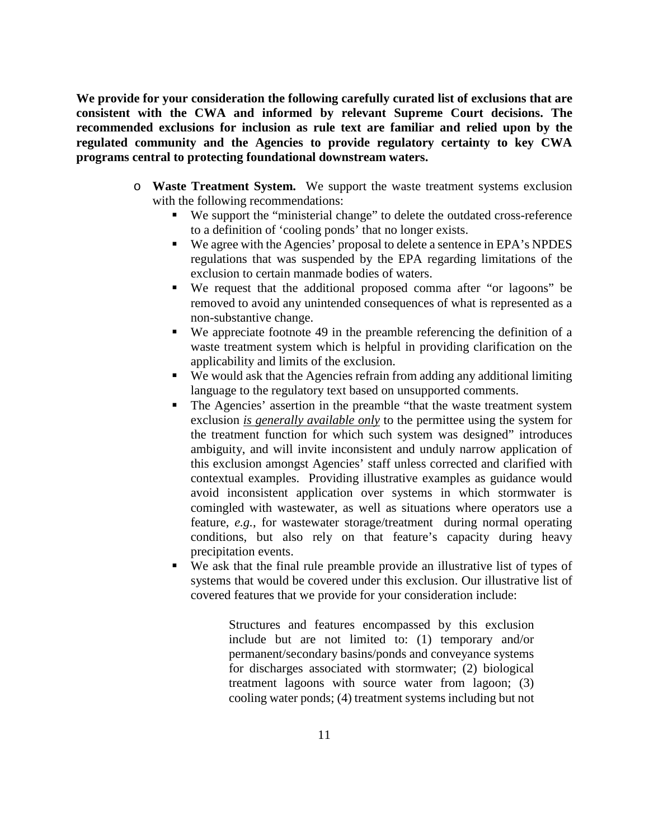**We provide for your consideration the following carefully curated list of exclusions that are consistent with the CWA and informed by relevant Supreme Court decisions. The recommended exclusions for inclusion as rule text are familiar and relied upon by the regulated community and the Agencies to provide regulatory certainty to key CWA programs central to protecting foundational downstream waters.** 

- o **Waste Treatment System.** We support the waste treatment systems exclusion with the following recommendations:
	- We support the "ministerial change" to delete the outdated cross-reference to a definition of 'cooling ponds' that no longer exists.
	- We agree with the Agencies' proposal to delete a sentence in EPA's NPDES regulations that was suspended by the EPA regarding limitations of the exclusion to certain manmade bodies of waters.
	- We request that the additional proposed comma after "or lagoons" be removed to avoid any unintended consequences of what is represented as a non-substantive change.
	- We appreciate footnote 49 in the preamble referencing the definition of a waste treatment system which is helpful in providing clarification on the applicability and limits of the exclusion.
	- We would ask that the Agencies refrain from adding any additional limiting language to the regulatory text based on unsupported comments.
	- The Agencies' assertion in the preamble "that the waste treatment system exclusion *is generally available only* to the permittee using the system for the treatment function for which such system was designed" introduces ambiguity, and will invite inconsistent and unduly narrow application of this exclusion amongst Agencies' staff unless corrected and clarified with contextual examples. Providing illustrative examples as guidance would avoid inconsistent application over systems in which stormwater is comingled with wastewater, as well as situations where operators use a feature, *e.g.*, for wastewater storage/treatment during normal operating conditions, but also rely on that feature's capacity during heavy precipitation events.
	- We ask that the final rule preamble provide an illustrative list of types of systems that would be covered under this exclusion. Our illustrative list of covered features that we provide for your consideration include:

Structures and features encompassed by this exclusion include but are not limited to: (1) temporary and/or permanent/secondary basins/ponds and conveyance systems for discharges associated with stormwater; (2) biological treatment lagoons with source water from lagoon; (3) cooling water ponds; (4) treatment systems including but not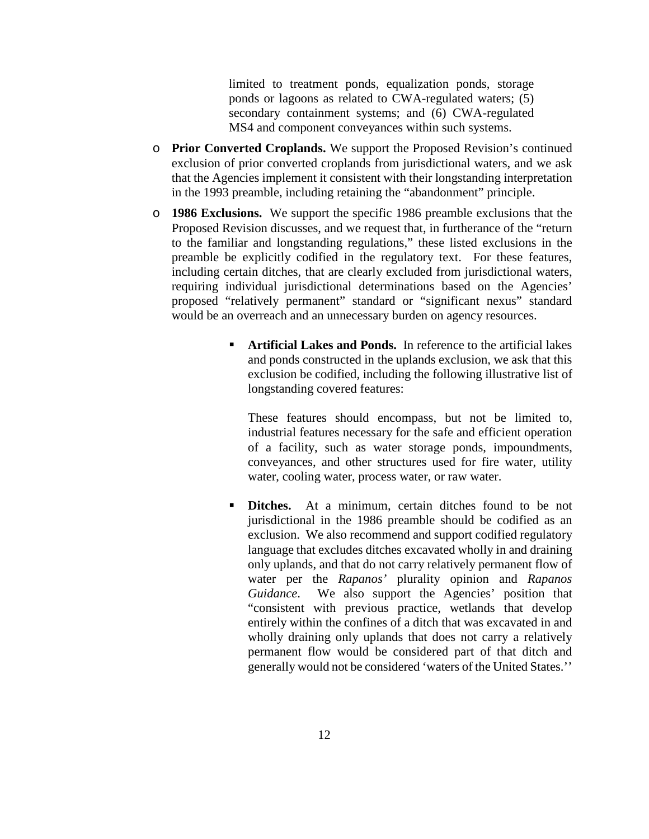limited to treatment ponds, equalization ponds, storage ponds or lagoons as related to CWA-regulated waters; (5) secondary containment systems; and (6) CWA-regulated MS4 and component conveyances within such systems.

- o **Prior Converted Croplands.** We support the Proposed Revision's continued exclusion of prior converted croplands from jurisdictional waters, and we ask that the Agencies implement it consistent with their longstanding interpretation in the 1993 preamble, including retaining the "abandonment" principle.
- o **1986 Exclusions.** We support the specific 1986 preamble exclusions that the Proposed Revision discusses, and we request that, in furtherance of the "return to the familiar and longstanding regulations," these listed exclusions in the preamble be explicitly codified in the regulatory text. For these features, including certain ditches, that are clearly excluded from jurisdictional waters, requiring individual jurisdictional determinations based on the Agencies' proposed "relatively permanent" standard or "significant nexus" standard would be an overreach and an unnecessary burden on agency resources.
	- **Artificial Lakes and Ponds.** In reference to the artificial lakes and ponds constructed in the uplands exclusion, we ask that this exclusion be codified, including the following illustrative list of longstanding covered features:

These features should encompass, but not be limited to, industrial features necessary for the safe and efficient operation of a facility, such as water storage ponds, impoundments, conveyances, and other structures used for fire water, utility water, cooling water, process water, or raw water.

**Ditches.** At a minimum, certain ditches found to be not jurisdictional in the 1986 preamble should be codified as an exclusion. We also recommend and support codified regulatory language that excludes ditches excavated wholly in and draining only uplands, and that do not carry relatively permanent flow of water per the *Rapanos'* plurality opinion and *Rapanos Guidance*. We also support the Agencies' position that "consistent with previous practice, wetlands that develop entirely within the confines of a ditch that was excavated in and wholly draining only uplands that does not carry a relatively permanent flow would be considered part of that ditch and generally would not be considered 'waters of the United States.''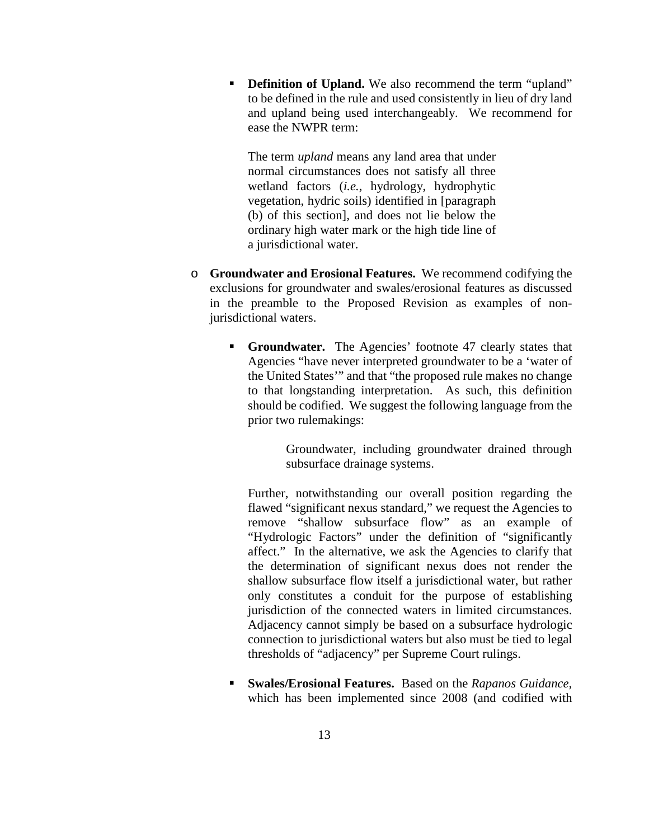**• Definition of Upland.** We also recommend the term "upland" to be defined in the rule and used consistently in lieu of dry land and upland being used interchangeably. We recommend for ease the NWPR term:

The term *upland* means any land area that under normal circumstances does not satisfy all three wetland factors (*i.e.*, hydrology, hydrophytic vegetation, hydric soils) identified in [paragraph (b) of this section]*,* and does not lie below the ordinary high water mark or the high tide line of a jurisdictional water.

- o **Groundwater and Erosional Features.** We recommend codifying the exclusions for groundwater and swales/erosional features as discussed in the preamble to the Proposed Revision as examples of nonjurisdictional waters.
	- **Groundwater.** The Agencies' footnote 47 clearly states that Agencies "have never interpreted groundwater to be a 'water of the United States'" and that "the proposed rule makes no change to that longstanding interpretation. As such, this definition should be codified. We suggest the following language from the prior two rulemakings:

Groundwater, including groundwater drained through subsurface drainage systems.

Further, notwithstanding our overall position regarding the flawed "significant nexus standard," we request the Agencies to remove "shallow subsurface flow" as an example of "Hydrologic Factors" under the definition of "significantly affect." In the alternative, we ask the Agencies to clarify that the determination of significant nexus does not render the shallow subsurface flow itself a jurisdictional water, but rather only constitutes a conduit for the purpose of establishing jurisdiction of the connected waters in limited circumstances. Adjacency cannot simply be based on a subsurface hydrologic connection to jurisdictional waters but also must be tied to legal thresholds of "adjacency" per Supreme Court rulings.

 **Swales/Erosional Features.** Based on the *Rapanos Guidance,* which has been implemented since 2008 (and codified with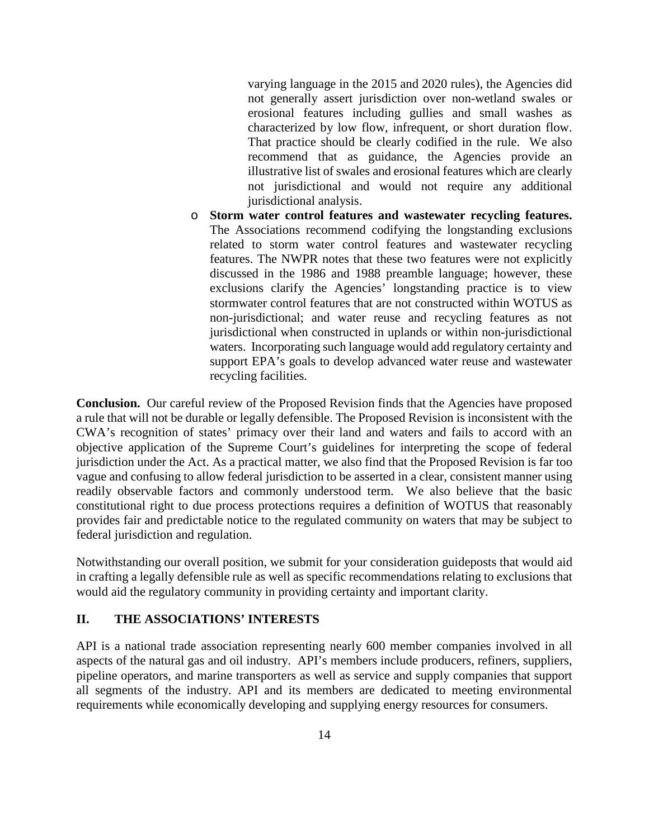varying language in the 2015 and 2020 rules), the Agencies did not generally assert jurisdiction over non-wetland swales or erosional features including gullies and small washes as characterized by low flow, infrequent, or short duration flow. That practice should be clearly codified in the rule. We also recommend that as guidance, the Agencies provide an illustrative list of swales and erosional features which are clearly not jurisdictional and would not require any additional jurisdictional analysis.

o **Storm water control features and wastewater recycling features.**  The Associations recommend codifying the longstanding exclusions related to storm water control features and wastewater recycling features. The NWPR notes that these two features were not explicitly discussed in the 1986 and 1988 preamble language; however, these exclusions clarify the Agencies' longstanding practice is to view stormwater control features that are not constructed within WOTUS as non-jurisdictional; and water reuse and recycling features as not jurisdictional when constructed in uplands or within non-jurisdictional waters. Incorporating such language would add regulatory certainty and support EPA's goals to develop advanced water reuse and wastewater recycling facilities.

**Conclusion.** Our careful review of the Proposed Revision finds that the Agencies have proposed a rule that will not be durable or legally defensible. The Proposed Revision is inconsistent with the CWA's recognition of states' primacy over their land and waters and fails to accord with an objective application of the Supreme Court's guidelines for interpreting the scope of federal jurisdiction under the Act. As a practical matter, we also find that the Proposed Revision is far too vague and confusing to allow federal jurisdiction to be asserted in a clear, consistent manner using readily observable factors and commonly understood term. We also believe that the basic constitutional right to due process protections requires a definition of WOTUS that reasonably provides fair and predictable notice to the regulated community on waters that may be subject to federal jurisdiction and regulation.

Notwithstanding our overall position, we submit for your consideration guideposts that would aid in crafting a legally defensible rule as well as specific recommendations relating to exclusions that would aid the regulatory community in providing certainty and important clarity.

## **II. THE ASSOCIATIONS' INTERESTS**

API is a national trade association representing nearly 600 member companies involved in all aspects of the natural gas and oil industry. API's members include producers, refiners, suppliers, pipeline operators, and marine transporters as well as service and supply companies that support all segments of the industry. API and its members are dedicated to meeting environmental requirements while economically developing and supplying energy resources for consumers.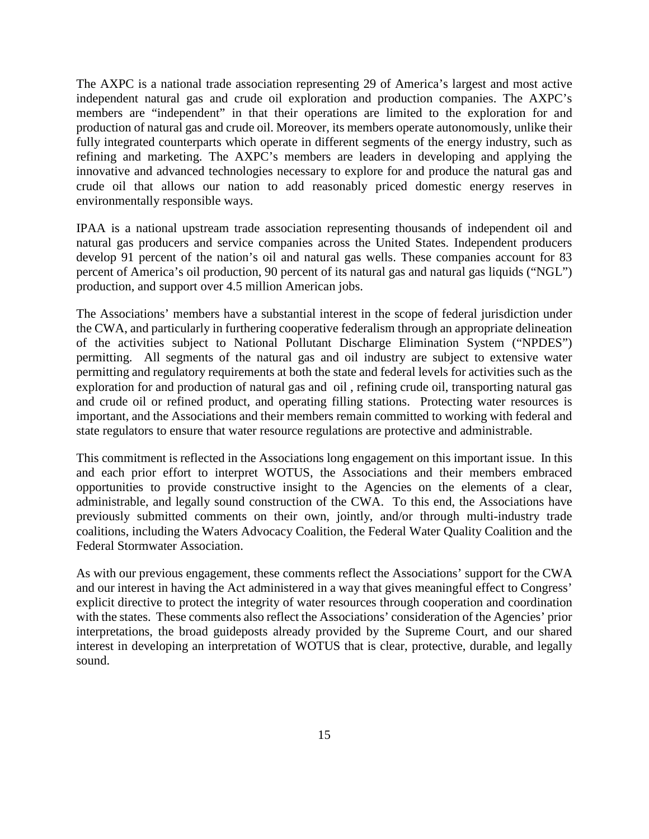The AXPC is a national trade association representing 29 of America's largest and most active independent natural gas and crude oil exploration and production companies. The AXPC's members are "independent" in that their operations are limited to the exploration for and production of natural gas and crude oil. Moreover, its members operate autonomously, unlike their fully integrated counterparts which operate in different segments of the energy industry, such as refining and marketing. The AXPC's members are leaders in developing and applying the innovative and advanced technologies necessary to explore for and produce the natural gas and crude oil that allows our nation to add reasonably priced domestic energy reserves in environmentally responsible ways.

IPAA is a national upstream trade association representing thousands of independent oil and natural gas producers and service companies across the United States. Independent producers develop 91 percent of the nation's oil and natural gas wells. These companies account for 83 percent of America's oil production, 90 percent of its natural gas and natural gas liquids ("NGL") production, and support over 4.5 million American jobs.

The Associations' members have a substantial interest in the scope of federal jurisdiction under the CWA, and particularly in furthering cooperative federalism through an appropriate delineation of the activities subject to National Pollutant Discharge Elimination System ("NPDES") permitting. All segments of the natural gas and oil industry are subject to extensive water permitting and regulatory requirements at both the state and federal levels for activities such as the exploration for and production of natural gas and oil , refining crude oil, transporting natural gas and crude oil or refined product, and operating filling stations. Protecting water resources is important, and the Associations and their members remain committed to working with federal and state regulators to ensure that water resource regulations are protective and administrable.

This commitment is reflected in the Associations long engagement on this important issue. In this and each prior effort to interpret WOTUS, the Associations and their members embraced opportunities to provide constructive insight to the Agencies on the elements of a clear, administrable, and legally sound construction of the CWA. To this end, the Associations have previously submitted comments on their own, jointly, and/or through multi-industry trade coalitions, including the Waters Advocacy Coalition, the Federal Water Quality Coalition and the Federal Stormwater Association.

As with our previous engagement, these comments reflect the Associations' support for the CWA and our interest in having the Act administered in a way that gives meaningful effect to Congress' explicit directive to protect the integrity of water resources through cooperation and coordination with the states. These comments also reflect the Associations' consideration of the Agencies' prior interpretations, the broad guideposts already provided by the Supreme Court, and our shared interest in developing an interpretation of WOTUS that is clear, protective, durable, and legally sound.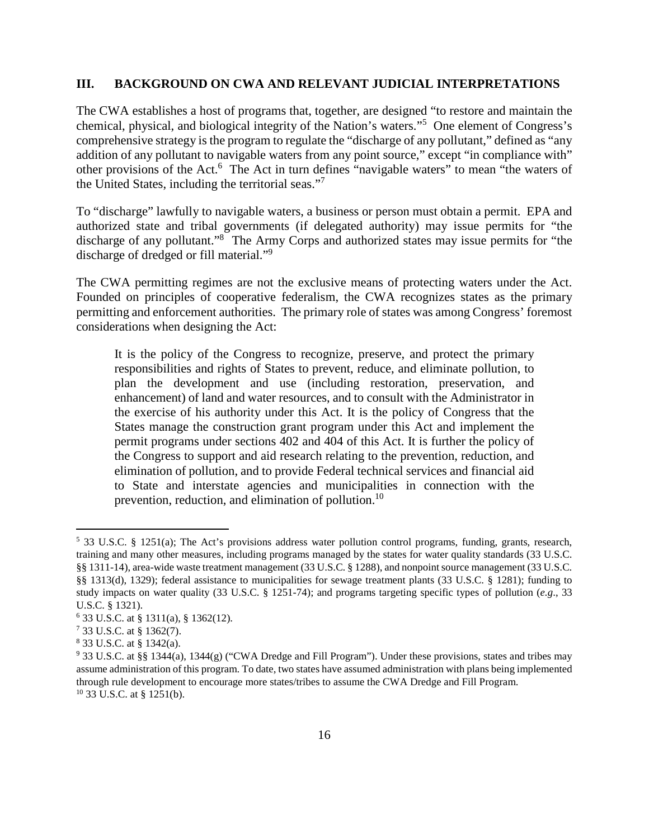#### **III. BACKGROUND ON CWA AND RELEVANT JUDICIAL INTERPRETATIONS**

The CWA establishes a host of programs that, together, are designed "to restore and maintain the chemical, physical, and biological integrity of the Nation's waters."<sup>5</sup> One element of Congress's comprehensive strategy is the program to regulate the "discharge of any pollutant," defined as "any addition of any pollutant to navigable waters from any point source," except "in compliance with" other provisions of the Act.<sup>6</sup> The Act in turn defines "navigable waters" to mean "the waters of the United States, including the territorial seas."<sup>7</sup>

To "discharge" lawfully to navigable waters, a business or person must obtain a permit. EPA and authorized state and tribal governments (if delegated authority) may issue permits for "the discharge of any pollutant."<sup>8</sup> The Army Corps and authorized states may issue permits for "the discharge of dredged or fill material."<sup>9</sup>

The CWA permitting regimes are not the exclusive means of protecting waters under the Act. Founded on principles of cooperative federalism, the CWA recognizes states as the primary permitting and enforcement authorities. The primary role of states was among Congress' foremost considerations when designing the Act:

It is the policy of the Congress to recognize, preserve, and protect the primary responsibilities and rights of States to prevent, reduce, and eliminate pollution, to plan the development and use (including restoration, preservation, and enhancement) of land and water resources, and to consult with the Administrator in the exercise of his authority under this Act. It is the policy of Congress that the States manage the construction grant program under this Act and implement the permit programs under sections 402 and 404 of this Act. It is further the policy of the Congress to support and aid research relating to the prevention, reduction, and elimination of pollution, and to provide Federal technical services and financial aid to State and interstate agencies and municipalities in connection with the prevention, reduction, and elimination of pollution.<sup>10</sup>

<sup>5</sup> 33 U.S.C. § 1251(a); The Act's provisions address water pollution control programs, funding, grants, research, training and many other measures, including programs managed by the states for water quality standards (33 U.S.C. §§ 1311-14), area-wide waste treatment management (33 U.S.C. § 1288), and nonpoint source management (33 U.S.C. §§ 1313(d), 1329); federal assistance to municipalities for sewage treatment plants (33 U.S.C. § 1281); funding to study impacts on water quality (33 U.S.C. § 1251-74); and programs targeting specific types of pollution (*e.g*., 33 U.S.C. § 1321).

<sup>6</sup> 33 U.S.C. at § 1311(a), § 1362(12).

<sup>7</sup> 33 U.S.C. at § 1362(7).

<sup>8</sup> 33 U.S.C. at § 1342(a).

<sup>&</sup>lt;sup>9</sup> 33 U.S.C. at §§ 1344(a), 1344(g) ("CWA Dredge and Fill Program"). Under these provisions, states and tribes may assume administration of this program. To date, two states have assumed administration with plans being implemented through rule development to encourage more states/tribes to assume the CWA Dredge and Fill Program. 10 33 U.S.C. at § 1251(b).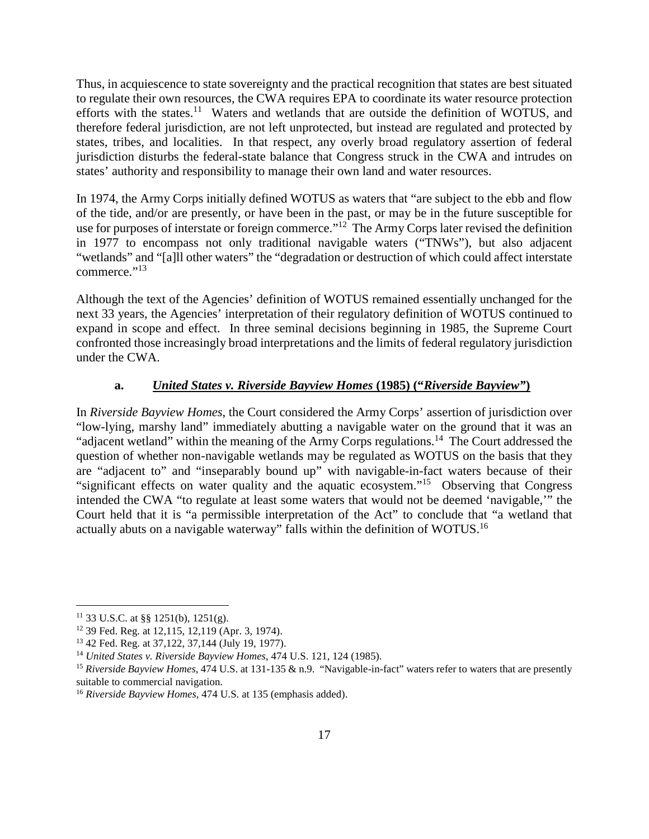Thus, in acquiescence to state sovereignty and the practical recognition that states are best situated to regulate their own resources, the CWA requires EPA to coordinate its water resource protection efforts with the states.<sup>11</sup> Waters and wetlands that are outside the definition of WOTUS, and therefore federal jurisdiction, are not left unprotected, but instead are regulated and protected by states, tribes, and localities. In that respect, any overly broad regulatory assertion of federal jurisdiction disturbs the federal-state balance that Congress struck in the CWA and intrudes on states' authority and responsibility to manage their own land and water resources.

In 1974, the Army Corps initially defined WOTUS as waters that "are subject to the ebb and flow of the tide, and/or are presently, or have been in the past, or may be in the future susceptible for use for purposes of interstate or foreign commerce."<sup>12</sup> The Army Corps later revised the definition in 1977 to encompass not only traditional navigable waters ("TNWs"), but also adjacent "wetlands" and "[a]ll other waters" the "degradation or destruction of which could affect interstate commerce."<sup>13</sup>

Although the text of the Agencies' definition of WOTUS remained essentially unchanged for the next 33 years, the Agencies' interpretation of their regulatory definition of WOTUS continued to expand in scope and effect. In three seminal decisions beginning in 1985, the Supreme Court confronted those increasingly broad interpretations and the limits of federal regulatory jurisdiction under the CWA.

# **a.** *United States v. Riverside Bayview Homes* **(1985) ("***Riverside Bayview"***)**

In *Riverside Bayview Homes*, the Court considered the Army Corps' assertion of jurisdiction over "low-lying, marshy land" immediately abutting a navigable water on the ground that it was an "adjacent wetland" within the meaning of the Army Corps regulations.<sup>14</sup> The Court addressed the question of whether non-navigable wetlands may be regulated as WOTUS on the basis that they are "adjacent to" and "inseparably bound up" with navigable-in-fact waters because of their "significant effects on water quality and the aquatic ecosystem."<sup>15</sup> Observing that Congress intended the CWA "to regulate at least some waters that would not be deemed 'navigable,'" the Court held that it is "a permissible interpretation of the Act" to conclude that "a wetland that actually abuts on a navigable waterway" falls within the definition of WOTUS.<sup>16</sup>

<sup>11</sup> 33 U.S.C. at §§ 1251(b), 1251(g).

<sup>12</sup> 39 Fed. Reg. at 12,115, 12,119 (Apr. 3, 1974).

<sup>13</sup> 42 Fed. Reg. at 37,122, 37,144 (July 19, 1977).

<sup>14</sup> *United States v. Riverside Bayview Homes*, 474 U.S. 121, 124 (1985).

<sup>&</sup>lt;sup>15</sup> Riverside Bayview Homes, 474 U.S. at 131-135 & n.9. "Navigable-in-fact" waters refer to waters that are presently suitable to commercial navigation.

<sup>16</sup> *Riverside Bayview Homes*, 474 U.S. at 135 (emphasis added).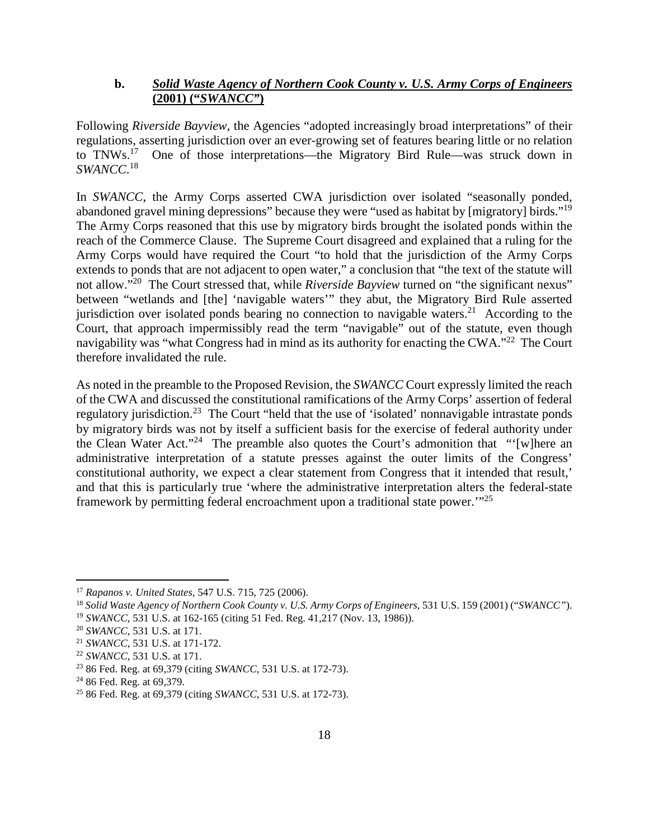# **b.** *Solid Waste Agency of Northern Cook County v. U.S. Army Corps of Engineers* **(2001) ("***SWANCC"***)**

Following *Riverside Bayview,* the Agencies "adopted increasingly broad interpretations" of their regulations, asserting jurisdiction over an ever-growing set of features bearing little or no relation<br>to TNWs.<sup>17</sup> One of those interpretations—the Migratory Bird Rule—was struck down in One of those interpretations—the Migratory Bird Rule—was struck down in *SWANCC*. 18

In *SWANCC*, the Army Corps asserted CWA jurisdiction over isolated "seasonally ponded, abandoned gravel mining depressions" because they were "used as habitat by [migratory] birds."<sup>19</sup> The Army Corps reasoned that this use by migratory birds brought the isolated ponds within the reach of the Commerce Clause. The Supreme Court disagreed and explained that a ruling for the Army Corps would have required the Court "to hold that the jurisdiction of the Army Corps extends to ponds that are not adjacent to open water," a conclusion that "the text of the statute will not allow."<sup>20</sup> The Court stressed that, while *Riverside Bayview* turned on "the significant nexus" between "wetlands and [the] 'navigable waters'" they abut, the Migratory Bird Rule asserted jurisdiction over isolated ponds bearing no connection to navigable waters.<sup>21</sup> According to the Court, that approach impermissibly read the term "navigable" out of the statute, even though navigability was "what Congress had in mind as its authority for enacting the CWA."<sup>22</sup> The Court therefore invalidated the rule.

As noted in the preamble to the Proposed Revision, the *SWANCC* Court expressly limited the reach of the CWA and discussed the constitutional ramifications of the Army Corps' assertion of federal regulatory jurisdiction.<sup>23</sup> The Court "held that the use of 'isolated' nonnavigable intrastate ponds by migratory birds was not by itself a sufficient basis for the exercise of federal authority under the Clean Water Act."<sup>24</sup> The preamble also quotes the Court's admonition that "'[w]here an administrative interpretation of a statute presses against the outer limits of the Congress' constitutional authority, we expect a clear statement from Congress that it intended that result,' and that this is particularly true 'where the administrative interpretation alters the federal-state framework by permitting federal encroachment upon a traditional state power.'"<sup>25</sup>

<sup>17</sup> *Rapanos v. United States*, 547 U.S. 715, 725 (2006).

<sup>18</sup> *Solid Waste Agency of Northern Cook County v. U.S. Army Corps of Engineers*, 531 U.S. 159 (2001) ("*SWANCC"*).

<sup>19</sup> *SWANCC*, 531 U.S. at 162-165 (citing 51 Fed. Reg. 41,217 (Nov. 13, 1986)).

<sup>20</sup> *SWANCC*, 531 U.S. at 171.

<sup>21</sup> *SWANCC*, 531 U.S. at 171-172.

<sup>22</sup> *SWANCC*, 531 U.S. at 171.

<sup>23</sup> 86 Fed. Reg. at 69,379 (citing *SWANCC*, 531 U.S. at 172-73).

<sup>&</sup>lt;sup>24</sup> 86 Fed. Reg. at 69,379.

<sup>25</sup> 86 Fed. Reg. at 69,379 (citing *SWANCC*, 531 U.S. at 172-73).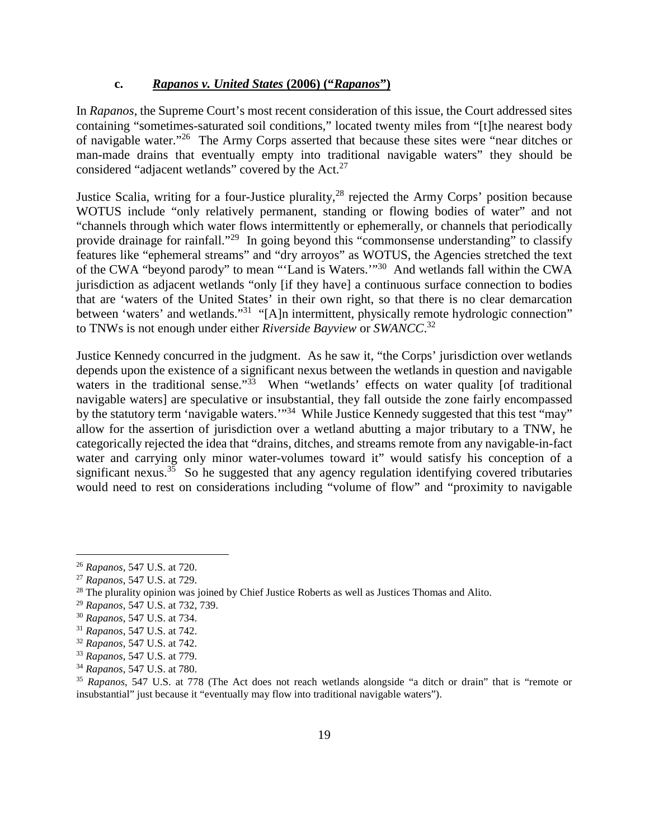#### **c.** *Rapanos v. United States* **(2006) ("***Rapanos***")**

In *Rapanos*, the Supreme Court's most recent consideration of this issue, the Court addressed sites containing "sometimes-saturated soil conditions," located twenty miles from "[t]he nearest body of navigable water."<sup>26</sup> The Army Corps asserted that because these sites were "near ditches or man-made drains that eventually empty into traditional navigable waters" they should be considered "adjacent wetlands" covered by the Act.<sup>27</sup>

Justice Scalia, writing for a four-Justice plurality,<sup>28</sup> rejected the Army Corps' position because WOTUS include "only relatively permanent, standing or flowing bodies of water" and not "channels through which water flows intermittently or ephemerally, or channels that periodically provide drainage for rainfall."<sup>29</sup> In going beyond this "commonsense understanding" to classify features like "ephemeral streams" and "dry arroyos" as WOTUS, the Agencies stretched the text of the CWA "beyond parody" to mean "'Land is Waters.'"<sup>30</sup> And wetlands fall within the CWA jurisdiction as adjacent wetlands "only [if they have] a continuous surface connection to bodies that are 'waters of the United States' in their own right, so that there is no clear demarcation between 'waters' and wetlands."<sup>31</sup> "[A]n intermittent, physically remote hydrologic connection" to TNWs is not enough under either *Riverside Bayview* or *SWANCC*. 32

Justice Kennedy concurred in the judgment. As he saw it, "the Corps' jurisdiction over wetlands depends upon the existence of a significant nexus between the wetlands in question and navigable waters in the traditional sense."<sup>33</sup> When "wetlands' effects on water quality [of traditional navigable waters] are speculative or insubstantial, they fall outside the zone fairly encompassed by the statutory term 'navigable waters.'"<sup>34</sup> While Justice Kennedy suggested that this test "may" allow for the assertion of jurisdiction over a wetland abutting a major tributary to a TNW, he categorically rejected the idea that "drains, ditches, and streams remote from any navigable-in-fact water and carrying only minor water-volumes toward it" would satisfy his conception of a significant nexus.<sup>35</sup> So he suggested that any agency regulation identifying covered tributaries would need to rest on considerations including "volume of flow" and "proximity to navigable

<sup>26</sup> *Rapanos*, 547 U.S. at 720.

<sup>27</sup> *Rapanos*, 547 U.S. at 729.

 $28$  The plurality opinion was joined by Chief Justice Roberts as well as Justices Thomas and Alito.

<sup>29</sup> *Rapanos*, 547 U.S. at 732, 739.

<sup>30</sup> *Rapanos*, 547 U.S. at 734.

<sup>31</sup> *Rapanos*, 547 U.S. at 742.

<sup>32</sup> *Rapanos*, 547 U.S. at 742.

<sup>33</sup> *Rapanos*, 547 U.S. at 779.

<sup>34</sup> *Rapanos*, 547 U.S. at 780.

<sup>35</sup> *Rapanos*, 547 U.S. at 778 (The Act does not reach wetlands alongside "a ditch or drain" that is "remote or insubstantial" just because it "eventually may flow into traditional navigable waters").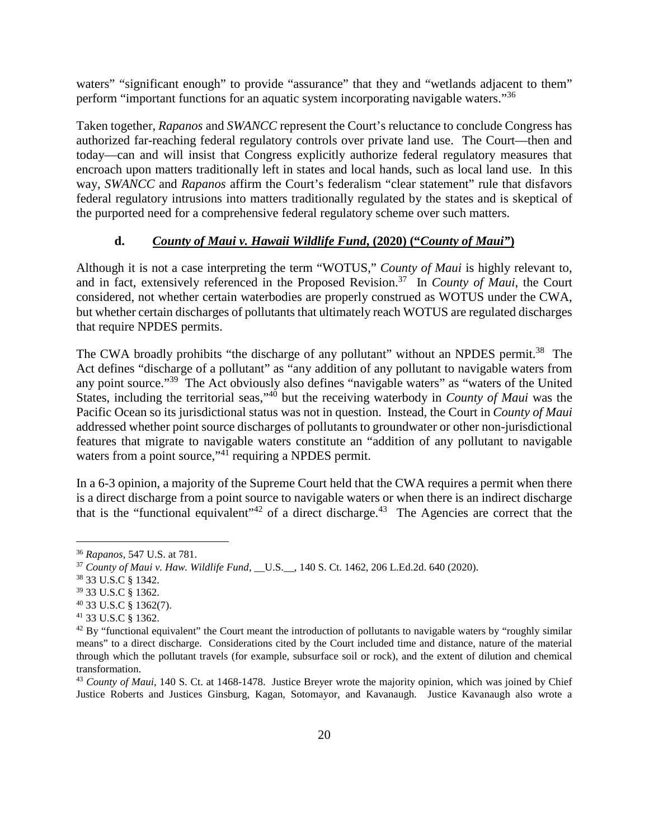waters" "significant enough" to provide "assurance" that they and "wetlands adjacent to them" perform "important functions for an aquatic system incorporating navigable waters."<sup>36</sup>

Taken together, *Rapanos* and *SWANCC* represent the Court's reluctance to conclude Congress has authorized far-reaching federal regulatory controls over private land use. The Court—then and today—can and will insist that Congress explicitly authorize federal regulatory measures that encroach upon matters traditionally left in states and local hands, such as local land use. In this way, *SWANCC* and *Rapanos* affirm the Court's federalism "clear statement" rule that disfavors federal regulatory intrusions into matters traditionally regulated by the states and is skeptical of the purported need for a comprehensive federal regulatory scheme over such matters.

# **d.** *County of Maui v. Hawaii Wildlife Fund***, (2020) ("***County of Maui"***)**

Although it is not a case interpreting the term "WOTUS," *County of Maui* is highly relevant to, and in fact, extensively referenced in the Proposed Revision.<sup>37</sup> In *County of Maui*, the Court considered, not whether certain waterbodies are properly construed as WOTUS under the CWA, but whether certain discharges of pollutants that ultimately reach WOTUS are regulated discharges that require NPDES permits.

The CWA broadly prohibits "the discharge of any pollutant" without an NPDES permit.<sup>38</sup> The Act defines "discharge of a pollutant" as "any addition of any pollutant to navigable waters from any point source."<sup>39</sup> The Act obviously also defines "navigable waters" as "waters of the United States, including the territorial seas,"<sup>40</sup> but the receiving waterbody in *County of Maui* was the Pacific Ocean so its jurisdictional status was not in question. Instead, the Court in *County of Maui* addressed whether point source discharges of pollutants to groundwater or other non-jurisdictional features that migrate to navigable waters constitute an "addition of any pollutant to navigable waters from a point source,"<sup>41</sup> requiring a NPDES permit.

In a 6-3 opinion, a majority of the Supreme Court held that the CWA requires a permit when there is a direct discharge from a point source to navigable waters or when there is an indirect discharge that is the "functional equivalent"<sup>42</sup> of a direct discharge.<sup>43</sup> The Agencies are correct that the

<sup>36</sup> *Rapanos*, 547 U.S. at 781.

<sup>&</sup>lt;sup>37</sup> *County of Maui v. Haw. Wildlife Fund.* U.S., 140 S. Ct. 1462, 206 L.Ed.2d. 640 (2020).

<sup>38</sup> 33 U.S.C § 1342.

<sup>39</sup> 33 U.S.C § 1362.

<sup>40</sup> 33 U.S.C § 1362(7).

<sup>41</sup> 33 U.S.C § 1362.

 $42$  By "functional equivalent" the Court meant the introduction of pollutants to navigable waters by "roughly similar means" to a direct discharge. Considerations cited by the Court included time and distance, nature of the material through which the pollutant travels (for example, subsurface soil or rock), and the extent of dilution and chemical transformation.

<sup>&</sup>lt;sup>43</sup> *County of Maui,* 140 S. Ct. at 1468-1478. Justice Breyer wrote the majority opinion, which was joined by Chief Justice Roberts and Justices Ginsburg, Kagan, Sotomayor, and Kavanaugh. Justice Kavanaugh also wrote a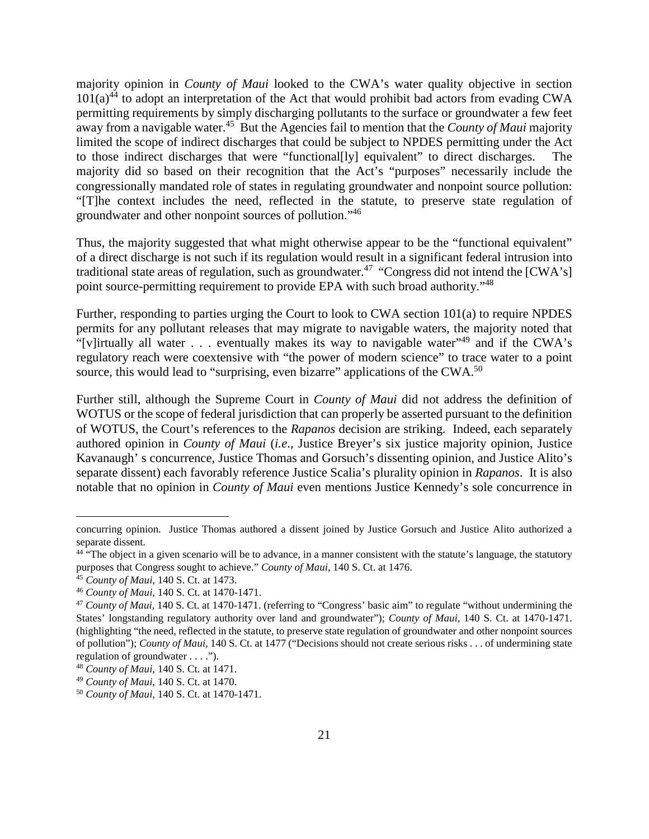majority opinion in *County of Maui* looked to the CWA's water quality objective in section  $101(a)^{44}$  to adopt an interpretation of the Act that would prohibit bad actors from evading CWA permitting requirements by simply discharging pollutants to the surface or groundwater a few feet away from a navigable water.<sup>45</sup> But the Agencies fail to mention that the *County of Maui* majority limited the scope of indirect discharges that could be subject to NPDES permitting under the Act to those indirect discharges that were "functional[ly] equivalent" to direct discharges. The majority did so based on their recognition that the Act's "purposes" necessarily include the congressionally mandated role of states in regulating groundwater and nonpoint source pollution: "[T]he context includes the need, reflected in the statute, to preserve state regulation of groundwater and other nonpoint sources of pollution."<sup>46</sup>

Thus, the majority suggested that what might otherwise appear to be the "functional equivalent" of a direct discharge is not such if its regulation would result in a significant federal intrusion into traditional state areas of regulation, such as groundwater.<sup>47</sup> "Congress did not intend the  $[CWA's]$ " point source-permitting requirement to provide EPA with such broad authority."<sup>48</sup>

Further, responding to parties urging the Court to look to CWA section 101(a) to require NPDES permits for any pollutant releases that may migrate to navigable waters, the majority noted that "[v]irtually all water  $\ldots$  eventually makes its way to navigable water"<sup>49</sup> and if the CWA's regulatory reach were coextensive with "the power of modern science" to trace water to a point source, this would lead to "surprising, even bizarre" applications of the CWA.<sup>50</sup>

Further still, although the Supreme Court in *County of Maui* did not address the definition of WOTUS or the scope of federal jurisdiction that can properly be asserted pursuant to the definition of WOTUS, the Court's references to the *Rapanos* decision are striking. Indeed, each separately authored opinion in *County of Maui* (*i.e*., Justice Breyer's six justice majority opinion, Justice Kavanaugh' s concurrence, Justice Thomas and Gorsuch's dissenting opinion, and Justice Alito's separate dissent) each favorably reference Justice Scalia's plurality opinion in *Rapanos*. It is also notable that no opinion in *County of Maui* even mentions Justice Kennedy's sole concurrence in

concurring opinion. Justice Thomas authored a dissent joined by Justice Gorsuch and Justice Alito authorized a separate dissent.

 $44$  "The object in a given scenario will be to advance, in a manner consistent with the statute's language, the statutory purposes that Congress sought to achieve." *County of Maui*, 140 S. Ct. at 1476.

<sup>45</sup> *County of Maui*, 140 S. Ct. at 1473.

<sup>46</sup> *County of Maui,* 140 S. Ct. at 1470-1471.

<sup>47</sup> *County of Maui,* 140 S. Ct. at 1470-1471. (referring to "Congress' basic aim" to regulate "without undermining the States' longstanding regulatory authority over land and groundwater"); *County of Maui,* 140 S. Ct. at 1470-1471. (highlighting "the need, reflected in the statute, to preserve state regulation of groundwater and other nonpoint sources of pollution"); *County of Maui,* 140 S. Ct. at 1477 ("Decisions should not create serious risks . . . of undermining state regulation of groundwater . . . .").

<sup>48</sup> *County of Maui,* 140 S. Ct. at 1471.

<sup>49</sup> *County of Maui*, 140 S. Ct. at 1470.

<sup>50</sup> *County of Maui,* 140 S. Ct. at 1470-1471.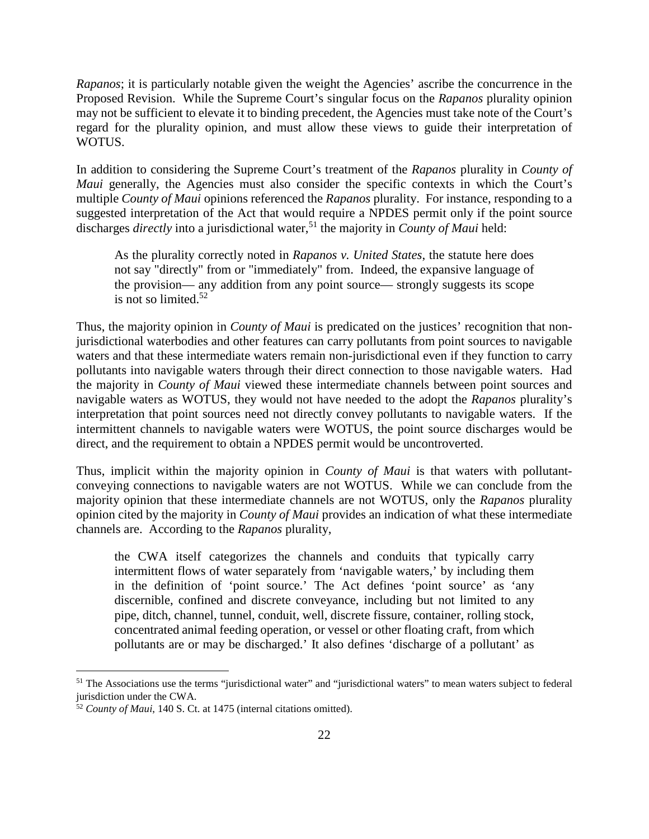*Rapanos*; it is particularly notable given the weight the Agencies' ascribe the concurrence in the Proposed Revision. While the Supreme Court's singular focus on the *Rapanos* plurality opinion may not be sufficient to elevate it to binding precedent, the Agencies must take note of the Court's regard for the plurality opinion, and must allow these views to guide their interpretation of WOTUS.

In addition to considering the Supreme Court's treatment of the *Rapanos* plurality in *County of Maui* generally, the Agencies must also consider the specific contexts in which the Court's multiple *County of Maui* opinions referenced the *Rapanos* plurality. For instance, responding to a suggested interpretation of the Act that would require a NPDES permit only if the point source discharges *directly* into a jurisdictional water,<sup>51</sup> the majority in *County of Maui* held:

As the plurality correctly noted in *Rapanos v. United States*, the statute here does not say "directly" from or "immediately" from. Indeed, the expansive language of the provision— any addition from any point source— strongly suggests its scope is not so limited. $52$ 

Thus, the majority opinion in *County of Maui* is predicated on the justices' recognition that nonjurisdictional waterbodies and other features can carry pollutants from point sources to navigable waters and that these intermediate waters remain non-jurisdictional even if they function to carry pollutants into navigable waters through their direct connection to those navigable waters. Had the majority in *County of Maui* viewed these intermediate channels between point sources and navigable waters as WOTUS, they would not have needed to the adopt the *Rapanos* plurality's interpretation that point sources need not directly convey pollutants to navigable waters. If the intermittent channels to navigable waters were WOTUS, the point source discharges would be direct, and the requirement to obtain a NPDES permit would be uncontroverted.

Thus, implicit within the majority opinion in *County of Maui* is that waters with pollutantconveying connections to navigable waters are not WOTUS. While we can conclude from the majority opinion that these intermediate channels are not WOTUS, only the *Rapanos* plurality opinion cited by the majority in *County of Maui* provides an indication of what these intermediate channels are. According to the *Rapanos* plurality,

the CWA itself categorizes the channels and conduits that typically carry intermittent flows of water separately from 'navigable waters,' by including them in the definition of 'point source.' The Act defines 'point source' as 'any discernible, confined and discrete conveyance, including but not limited to any pipe, ditch, channel, tunnel, conduit, well, discrete fissure, container, rolling stock, concentrated animal feeding operation, or vessel or other floating craft, from which pollutants are or may be discharged.' It also defines 'discharge of a pollutant' as

<sup>&</sup>lt;sup>51</sup> The Associations use the terms "jurisdictional water" and "jurisdictional waters" to mean waters subject to federal jurisdiction under the CWA.

<sup>52</sup> *County of Maui*, 140 S. Ct. at 1475 (internal citations omitted).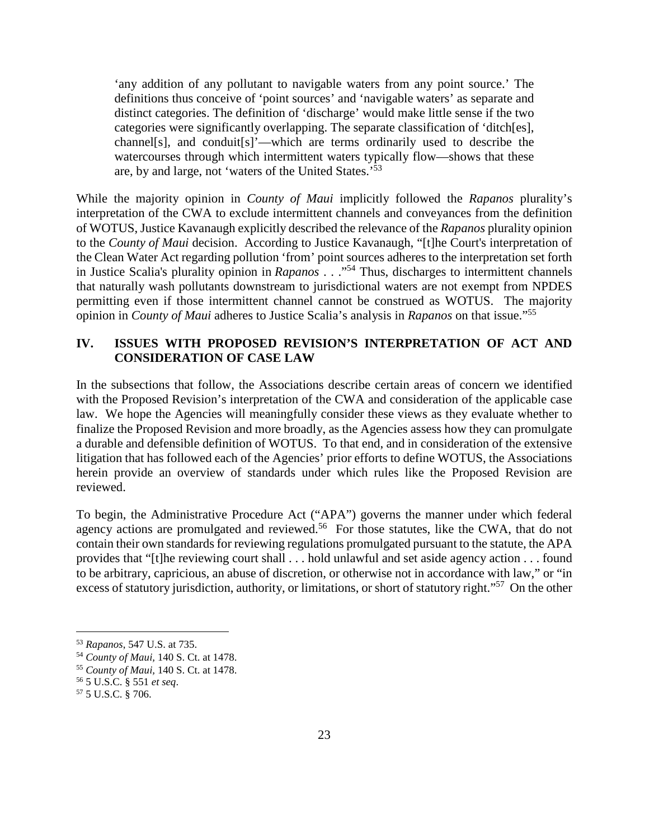'any addition of any pollutant to navigable waters from any point source.' The definitions thus conceive of 'point sources' and 'navigable waters' as separate and distinct categories. The definition of 'discharge' would make little sense if the two categories were significantly overlapping. The separate classification of 'ditch[es], channel[s], and conduit[s]'—which are terms ordinarily used to describe the watercourses through which intermittent waters typically flow—shows that these are, by and large, not 'waters of the United States.'<sup>53</sup>

While the majority opinion in *County of Maui* implicitly followed the *Rapanos* plurality's interpretation of the CWA to exclude intermittent channels and conveyances from the definition of WOTUS, Justice Kavanaugh explicitly described the relevance of the *Rapanos* plurality opinion to the *County of Maui* decision. According to Justice Kavanaugh, "[t]he Court's interpretation of the Clean Water Act regarding pollution 'from' point sources adheres to the interpretation set forth in Justice Scalia's plurality opinion in *Rapanos* . . ."<sup>54</sup> Thus, discharges to intermittent channels that naturally wash pollutants downstream to jurisdictional waters are not exempt from NPDES permitting even if those intermittent channel cannot be construed as WOTUS. The majority opinion in *County of Maui* adheres to Justice Scalia's analysis in *Rapanos* on that issue."<sup>55</sup>

# **IV. ISSUES WITH PROPOSED REVISION'S INTERPRETATION OF ACT AND CONSIDERATION OF CASE LAW**

In the subsections that follow, the Associations describe certain areas of concern we identified with the Proposed Revision's interpretation of the CWA and consideration of the applicable case law. We hope the Agencies will meaningfully consider these views as they evaluate whether to finalize the Proposed Revision and more broadly, as the Agencies assess how they can promulgate a durable and defensible definition of WOTUS. To that end, and in consideration of the extensive litigation that has followed each of the Agencies' prior efforts to define WOTUS, the Associations herein provide an overview of standards under which rules like the Proposed Revision are reviewed.

To begin, the Administrative Procedure Act ("APA") governs the manner under which federal agency actions are promulgated and reviewed.<sup>56</sup> For those statutes, like the CWA, that do not contain their own standards for reviewing regulations promulgated pursuant to the statute, the APA provides that "[t]he reviewing court shall . . . hold unlawful and set aside agency action . . . found to be arbitrary, capricious, an abuse of discretion, or otherwise not in accordance with law," or "in excess of statutory jurisdiction, authority, or limitations, or short of statutory right."<sup>57</sup> On the other

<sup>53</sup> *Rapanos*, 547 U.S. at 735.

<sup>54</sup> *County of Maui,* 140 S. Ct. at 1478.

<sup>55</sup> *County of Maui,* 140 S. Ct. at 1478.

<sup>56</sup> 5 U.S.C. § 551 *et seq*.

<sup>57</sup> 5 U.S.C. § 706.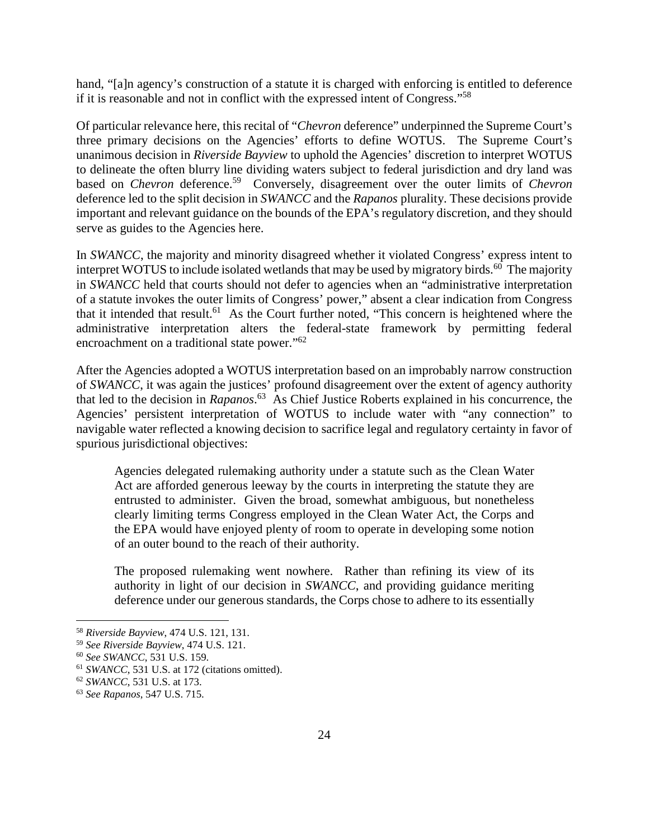hand, "[a]n agency's construction of a statute it is charged with enforcing is entitled to deference if it is reasonable and not in conflict with the expressed intent of Congress."<sup>58</sup>

Of particular relevance here, this recital of "*Chevron* deference" underpinned the Supreme Court's three primary decisions on the Agencies' efforts to define WOTUS. The Supreme Court's unanimous decision in *Riverside Bayview* to uphold the Agencies' discretion to interpret WOTUS to delineate the often blurry line dividing waters subject to federal jurisdiction and dry land was based on *Chevron* deference.<sup>59</sup> Conversely, disagreement over the outer limits of *Chevron* deference led to the split decision in *SWANCC* and the *Rapanos* plurality. These decisions provide important and relevant guidance on the bounds of the EPA's regulatory discretion, and they should serve as guides to the Agencies here.

In *SWANCC*, the majority and minority disagreed whether it violated Congress' express intent to interpret WOTUS to include isolated wetlands that may be used by migratory birds.<sup>60</sup> The majority in *SWANCC* held that courts should not defer to agencies when an "administrative interpretation of a statute invokes the outer limits of Congress' power," absent a clear indication from Congress that it intended that result.<sup>61</sup> As the Court further noted, "This concern is heightened where the administrative interpretation alters the federal-state framework by permitting federal encroachment on a traditional state power."<sup>62</sup>

After the Agencies adopted a WOTUS interpretation based on an improbably narrow construction of *SWANCC*, it was again the justices' profound disagreement over the extent of agency authority that led to the decision in *Rapanos*. <sup>63</sup> As Chief Justice Roberts explained in his concurrence, the Agencies' persistent interpretation of WOTUS to include water with "any connection" to navigable water reflected a knowing decision to sacrifice legal and regulatory certainty in favor of spurious jurisdictional objectives:

Agencies delegated rulemaking authority under a statute such as the Clean Water Act are afforded generous leeway by the courts in interpreting the statute they are entrusted to administer. Given the broad, somewhat ambiguous, but nonetheless clearly limiting terms Congress employed in the Clean Water Act, the Corps and the EPA would have enjoyed plenty of room to operate in developing some notion of an outer bound to the reach of their authority.

The proposed rulemaking went nowhere. Rather than refining its view of its authority in light of our decision in *SWANCC*, and providing guidance meriting deference under our generous standards, the Corps chose to adhere to its essentially

<sup>58</sup> *Riverside Bayview*, 474 U.S. 121, 131.

<sup>59</sup> *See Riverside Bayview*, 474 U.S. 121.

<sup>60</sup> *See SWANCC*, 531 U.S. 159.

<sup>61</sup> *SWANCC*, 531 U.S. at 172 (citations omitted).

<sup>62</sup> *SWANCC*, 531 U.S. at 173.

<sup>63</sup> *See Rapanos*, 547 U.S. 715.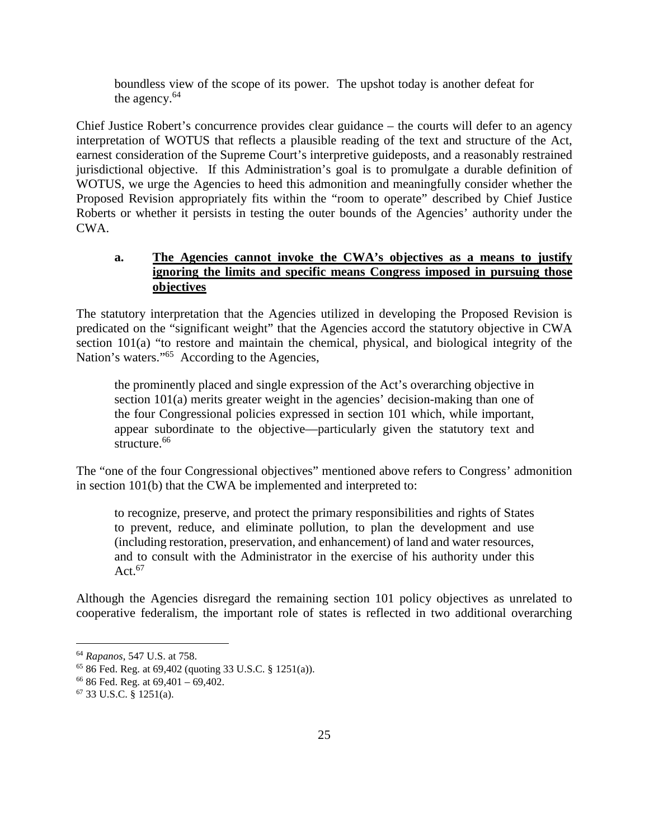boundless view of the scope of its power. The upshot today is another defeat for the agency. $64$ 

Chief Justice Robert's concurrence provides clear guidance – the courts will defer to an agency interpretation of WOTUS that reflects a plausible reading of the text and structure of the Act, earnest consideration of the Supreme Court's interpretive guideposts, and a reasonably restrained jurisdictional objective. If this Administration's goal is to promulgate a durable definition of WOTUS, we urge the Agencies to heed this admonition and meaningfully consider whether the Proposed Revision appropriately fits within the "room to operate" described by Chief Justice Roberts or whether it persists in testing the outer bounds of the Agencies' authority under the CWA.

# **a. The Agencies cannot invoke the CWA's objectives as a means to justify ignoring the limits and specific means Congress imposed in pursuing those objectives**

The statutory interpretation that the Agencies utilized in developing the Proposed Revision is predicated on the "significant weight" that the Agencies accord the statutory objective in CWA section 101(a) "to restore and maintain the chemical, physical, and biological integrity of the Nation's waters."<sup>65</sup> According to the Agencies,

the prominently placed and single expression of the Act's overarching objective in section 101(a) merits greater weight in the agencies' decision-making than one of the four Congressional policies expressed in section 101 which, while important, appear subordinate to the objective—particularly given the statutory text and structure.<sup>66</sup>

The "one of the four Congressional objectives" mentioned above refers to Congress' admonition in section 101(b) that the CWA be implemented and interpreted to:

to recognize, preserve, and protect the primary responsibilities and rights of States to prevent, reduce, and eliminate pollution, to plan the development and use (including restoration, preservation, and enhancement) of land and water resources, and to consult with the Administrator in the exercise of his authority under this Act. $67$ 

Although the Agencies disregard the remaining section 101 policy objectives as unrelated to cooperative federalism, the important role of states is reflected in two additional overarching

<sup>64</sup> *Rapanos*, 547 U.S. at 758.

<sup>65</sup> 86 Fed. Reg. at 69,402 (quoting 33 U.S.C. § 1251(a)).

 $66$  86 Fed. Reg. at  $69,401 - 69,402$ .

<sup>67</sup> 33 U.S.C. § 1251(a).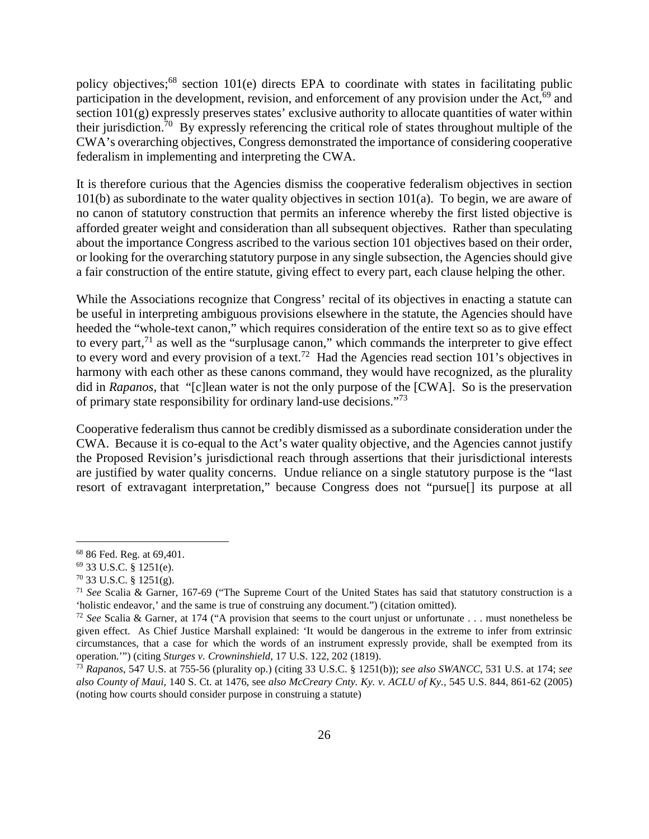policy objectives;<sup>68</sup> section 101(e) directs EPA to coordinate with states in facilitating public participation in the development, revision, and enforcement of any provision under the Act,<sup>69</sup> and section  $101(g)$  expressly preserves states' exclusive authority to allocate quantities of water within their jurisdiction.<sup>70</sup> By expressly referencing the critical role of states throughout multiple of the CWA's overarching objectives, Congress demonstrated the importance of considering cooperative federalism in implementing and interpreting the CWA.

It is therefore curious that the Agencies dismiss the cooperative federalism objectives in section 101(b) as subordinate to the water quality objectives in section 101(a). To begin, we are aware of no canon of statutory construction that permits an inference whereby the first listed objective is afforded greater weight and consideration than all subsequent objectives. Rather than speculating about the importance Congress ascribed to the various section 101 objectives based on their order, or looking for the overarching statutory purpose in any single subsection, the Agencies should give a fair construction of the entire statute, giving effect to every part, each clause helping the other.

While the Associations recognize that Congress' recital of its objectives in enacting a statute can be useful in interpreting ambiguous provisions elsewhere in the statute, the Agencies should have heeded the "whole-text canon," which requires consideration of the entire text so as to give effect to every part, $71$  as well as the "surplusage canon," which commands the interpreter to give effect to every word and every provision of a text.<sup>72</sup> Had the Agencies read section 101's objectives in harmony with each other as these canons command, they would have recognized, as the plurality did in *Rapanos*, that "[c]lean water is not the only purpose of the [CWA]. So is the preservation of primary state responsibility for ordinary land-use decisions."<sup>73</sup>

Cooperative federalism thus cannot be credibly dismissed as a subordinate consideration under the CWA. Because it is co-equal to the Act's water quality objective, and the Agencies cannot justify the Proposed Revision's jurisdictional reach through assertions that their jurisdictional interests are justified by water quality concerns. Undue reliance on a single statutory purpose is the "last resort of extravagant interpretation," because Congress does not "pursue[] its purpose at all

<sup>68</sup> 86 Fed. Reg. at 69,401.

<sup>69</sup> 33 U.S.C. § 1251(e).

<sup>70</sup> 33 U.S.C. § 1251(g).

<sup>71</sup> *See* Scalia & Garner, 167-69 ("The Supreme Court of the United States has said that statutory construction is a 'holistic endeavor,' and the same is true of construing any document.") (citation omitted).

<sup>72</sup> *See* Scalia & Garner, at 174 ("A provision that seems to the court unjust or unfortunate . . . must nonetheless be given effect. As Chief Justice Marshall explained: 'It would be dangerous in the extreme to infer from extrinsic circumstances, that a case for which the words of an instrument expressly provide, shall be exempted from its operation.'") (citing *Sturges v. Crowninshield*, 17 U.S. 122, 202 (1819).

<sup>73</sup> *Rapanos*, 547 U.S. at 755-56 (plurality op.) (citing 33 U.S.C. § 1251(b)); *see also SWANCC,* 531 U.S. at 174; *see also County of Maui*, 140 S. Ct. at 1476, see *also McCreary Cnty. Ky. v. ACLU of Ky.*, 545 U.S. 844, 861-62 (2005) (noting how courts should consider purpose in construing a statute)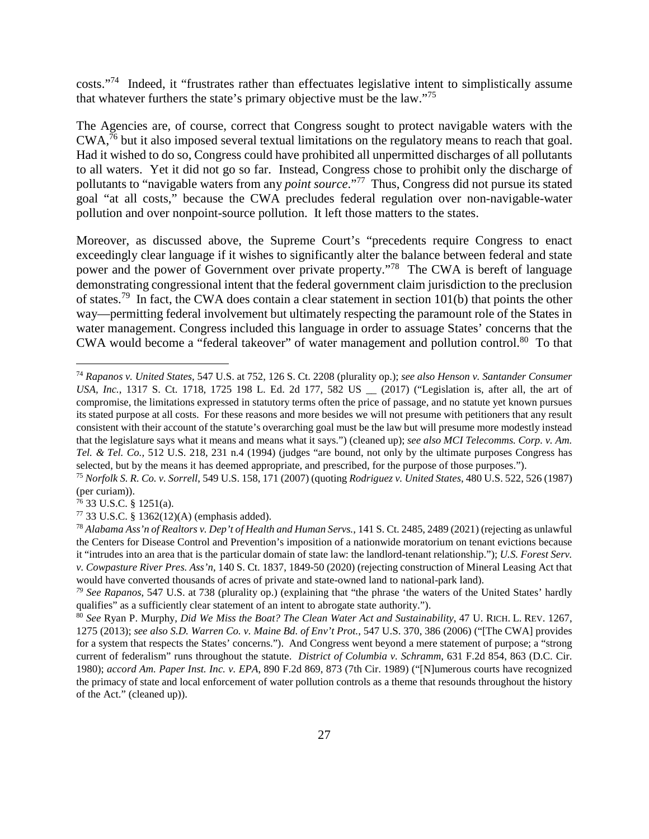costs."<sup>74</sup> Indeed, it "frustrates rather than effectuates legislative intent to simplistically assume that whatever furthers the state's primary objective must be the law."<sup>75</sup>

The Agencies are, of course, correct that Congress sought to protect navigable waters with the CWA,<sup>76</sup> but it also imposed several textual limitations on the regulatory means to reach that goal. Had it wished to do so, Congress could have prohibited all unpermitted discharges of all pollutants to all waters. Yet it did not go so far. Instead, Congress chose to prohibit only the discharge of pollutants to "navigable waters from any *point source*."<sup>77</sup> Thus, Congress did not pursue its stated goal "at all costs," because the CWA precludes federal regulation over non-navigable-water pollution and over nonpoint-source pollution. It left those matters to the states.

Moreover, as discussed above, the Supreme Court's "precedents require Congress to enact exceedingly clear language if it wishes to significantly alter the balance between federal and state power and the power of Government over private property."<sup>78</sup> The CWA is bereft of language demonstrating congressional intent that the federal government claim jurisdiction to the preclusion of states.<sup>79</sup> In fact, the CWA does contain a clear statement in section 101(b) that points the other way—permitting federal involvement but ultimately respecting the paramount role of the States in water management. Congress included this language in order to assuage States' concerns that the CWA would become a "federal takeover" of water management and pollution control.<sup>80</sup> To that

<sup>74</sup> *Rapanos v. United States*, 547 U.S. at 752, 126 S. Ct. 2208 (plurality op.); *see also Henson v. Santander Consumer USA, Inc.*, 1317 S. Ct. 1718, 1725 198 L. Ed. 2d 177, 582 US \_\_ (2017) ("Legislation is, after all, the art of compromise, the limitations expressed in statutory terms often the price of passage, and no statute yet known pursues its stated purpose at all costs. For these reasons and more besides we will not presume with petitioners that any result consistent with their account of the statute's overarching goal must be the law but will presume more modestly instead that the legislature says what it means and means what it says.") (cleaned up); *see also MCI Telecomms. Corp. v. Am. Tel. & Tel. Co.,* 512 U.S. 218, 231 n.4 (1994) (judges "are bound, not only by the ultimate purposes Congress has selected, but by the means it has deemed appropriate, and prescribed, for the purpose of those purposes.").

<sup>75</sup> *Norfolk S. R. Co. v. Sorrell*, 549 U.S. 158, 171 (2007) (quoting *Rodriguez v. United States*, 480 U.S. 522, 526 (1987) (per curiam)).

 $76$  33 U.S.C. § 1251(a).

<sup>77</sup> 33 U.S.C. § 1362(12)(A) (emphasis added).

<sup>78</sup> *Alabama Ass'n of Realtors v. Dep't of Health and Human Servs.*, 141 S. Ct. 2485, 2489 (2021) (rejecting as unlawful the Centers for Disease Control and Prevention's imposition of a nationwide moratorium on tenant evictions because it "intrudes into an area that is the particular domain of state law: the landlord-tenant relationship."); *U.S. Forest Serv. v. Cowpasture River Pres. Ass'n*, 140 S. Ct. 1837, 1849-50 (2020) (rejecting construction of Mineral Leasing Act that would have converted thousands of acres of private and state-owned land to national-park land).

*<sup>79</sup> See Rapanos*, 547 U.S. at 738 (plurality op.) (explaining that "the phrase 'the waters of the United States' hardly qualifies" as a sufficiently clear statement of an intent to abrogate state authority.").

<sup>80</sup> *See* Ryan P. Murphy, *Did We Miss the Boat? The Clean Water Act and Sustainability*, 47 U. RICH. L. REV. 1267, 1275 (2013); *see also S.D. Warren Co. v. Maine Bd. of Env't Prot.*, 547 U.S. 370, 386 (2006) ("[The CWA] provides for a system that respects the States' concerns."). And Congress went beyond a mere statement of purpose; a "strong current of federalism" runs throughout the statute. *District of Columbia v. Schramm*, 631 F.2d 854, 863 (D.C. Cir. 1980); *accord Am. Paper Inst. Inc. v. EPA*, 890 F.2d 869, 873 (7th Cir. 1989) ("[N]umerous courts have recognized the primacy of state and local enforcement of water pollution controls as a theme that resounds throughout the history of the Act." (cleaned up)).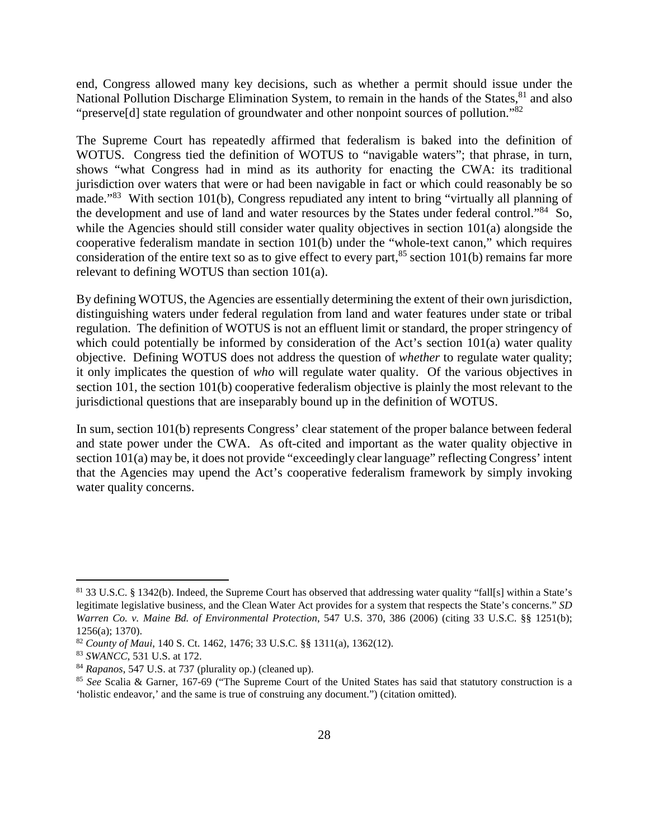end, Congress allowed many key decisions, such as whether a permit should issue under the National Pollution Discharge Elimination System, to remain in the hands of the States, <sup>81</sup> and also "preserve[d] state regulation of groundwater and other nonpoint sources of pollution."<sup>82</sup>

The Supreme Court has repeatedly affirmed that federalism is baked into the definition of WOTUS. Congress tied the definition of WOTUS to "navigable waters"; that phrase, in turn, shows "what Congress had in mind as its authority for enacting the CWA: its traditional jurisdiction over waters that were or had been navigable in fact or which could reasonably be so made."<sup>83</sup> With section 101(b), Congress repudiated any intent to bring "virtually all planning of the development and use of land and water resources by the States under federal control."<sup>84</sup> So, while the Agencies should still consider water quality objectives in section 101(a) alongside the cooperative federalism mandate in section 101(b) under the "whole-text canon," which requires consideration of the entire text so as to give effect to every part, $85$  section 101(b) remains far more relevant to defining WOTUS than section 101(a).

By defining WOTUS, the Agencies are essentially determining the extent of their own jurisdiction, distinguishing waters under federal regulation from land and water features under state or tribal regulation. The definition of WOTUS is not an effluent limit or standard, the proper stringency of which could potentially be informed by consideration of the Act's section  $101(a)$  water quality objective. Defining WOTUS does not address the question of *whether* to regulate water quality; it only implicates the question of *who* will regulate water quality. Of the various objectives in section 101, the section 101(b) cooperative federalism objective is plainly the most relevant to the jurisdictional questions that are inseparably bound up in the definition of WOTUS.

In sum, section 101(b) represents Congress' clear statement of the proper balance between federal and state power under the CWA. As oft-cited and important as the water quality objective in section 101(a) may be, it does not provide "exceedingly clear language" reflecting Congress' intent that the Agencies may upend the Act's cooperative federalism framework by simply invoking water quality concerns.

<sup>81</sup> 33 U.S.C. § 1342(b). Indeed, the Supreme Court has observed that addressing water quality "fall[s] within a State's legitimate legislative business, and the Clean Water Act provides for a system that respects the State's concerns." *SD Warren Co. v. Maine Bd. of Environmental Protection*, 547 U.S. 370, 386 (2006) (citing 33 U.S.C. §§ 1251(b); 1256(a); 1370).

<sup>82</sup> *County of Maui*, 140 S. Ct. 1462, 1476; 33 U.S.C. §§ 1311(a), 1362(12).

<sup>83</sup> *SWANCC*, 531 U.S. at 172.

<sup>84</sup> *Rapanos*, 547 U.S. at 737 (plurality op.) (cleaned up).

<sup>85</sup> *See* Scalia & Garner, 167-69 ("The Supreme Court of the United States has said that statutory construction is a 'holistic endeavor,' and the same is true of construing any document.") (citation omitted).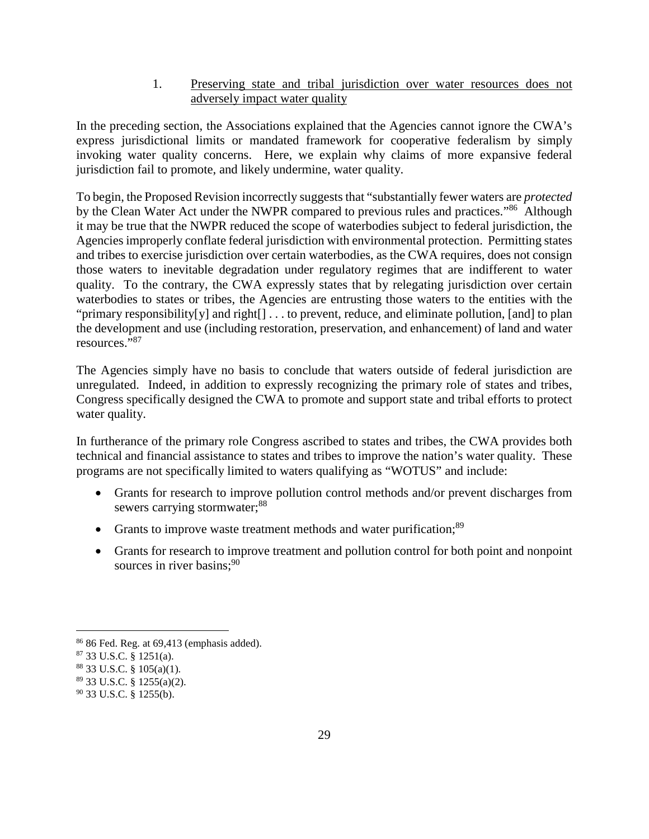1. Preserving state and tribal jurisdiction over water resources does not adversely impact water quality

In the preceding section, the Associations explained that the Agencies cannot ignore the CWA's express jurisdictional limits or mandated framework for cooperative federalism by simply invoking water quality concerns. Here, we explain why claims of more expansive federal jurisdiction fail to promote, and likely undermine, water quality.

To begin, the Proposed Revision incorrectly suggests that "substantially fewer waters are *protected*  by the Clean Water Act under the NWPR compared to previous rules and practices."<sup>86</sup> Although it may be true that the NWPR reduced the scope of waterbodies subject to federal jurisdiction, the Agencies improperly conflate federal jurisdiction with environmental protection. Permitting states and tribes to exercise jurisdiction over certain waterbodies, as the CWA requires, does not consign those waters to inevitable degradation under regulatory regimes that are indifferent to water quality. To the contrary, the CWA expressly states that by relegating jurisdiction over certain waterbodies to states or tribes, the Agencies are entrusting those waters to the entities with the "primary responsibility[y] and right[] . . . to prevent, reduce, and eliminate pollution, [and] to plan the development and use (including restoration, preservation, and enhancement) of land and water resources."<sup>87</sup>

The Agencies simply have no basis to conclude that waters outside of federal jurisdiction are unregulated. Indeed, in addition to expressly recognizing the primary role of states and tribes, Congress specifically designed the CWA to promote and support state and tribal efforts to protect water quality.

In furtherance of the primary role Congress ascribed to states and tribes, the CWA provides both technical and financial assistance to states and tribes to improve the nation's water quality. These programs are not specifically limited to waters qualifying as "WOTUS" and include:

- Grants for research to improve pollution control methods and/or prevent discharges from sewers carrying stormwater;<sup>88</sup>
- Grants to improve waste treatment methods and water purification:<sup>89</sup>
- Grants for research to improve treatment and pollution control for both point and nonpoint sources in river basins: $90$

 $86$  Fed. Reg. at  $69,413$  (emphasis added).

<sup>87</sup> 33 U.S.C. § 1251(a).

<sup>88</sup> 33 U.S.C. § 105(a)(1).

<sup>89</sup> 33 U.S.C. § 1255(a)(2).

<sup>90</sup> 33 U.S.C. § 1255(b).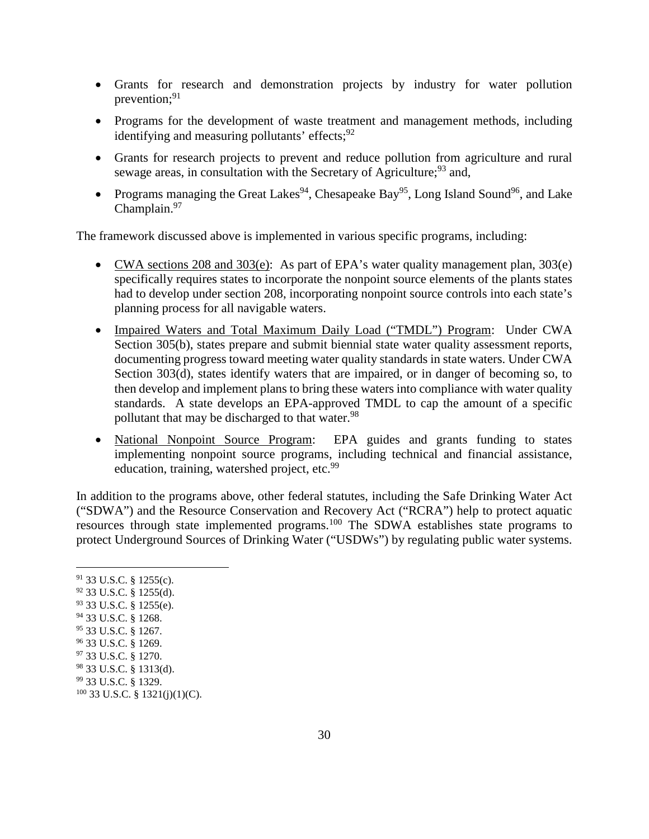- Grants for research and demonstration projects by industry for water pollution prevention; $91$
- Programs for the development of waste treatment and management methods, including identifying and measuring pollutants' effects;  $92$
- Grants for research projects to prevent and reduce pollution from agriculture and rural sewage areas, in consultation with the Secretary of Agriculture;  $93$  and,
- Programs managing the Great Lakes<sup>94</sup>, Chesapeake Bay<sup>95</sup>, Long Island Sound<sup>96</sup>, and Lake Champlain.<sup>97</sup>

The framework discussed above is implemented in various specific programs, including:

- CWA sections 208 and 303(e): As part of EPA's water quality management plan, 303(e) specifically requires states to incorporate the nonpoint source elements of the plants states had to develop under section 208, incorporating nonpoint source controls into each state's planning process for all navigable waters.
- Impaired Waters and Total Maximum Daily Load ("TMDL") Program: Under CWA Section 305(b), states prepare and submit biennial state water quality assessment reports, documenting progress toward meeting water quality standards in state waters. Under CWA Section 303(d), states identify waters that are impaired, or in danger of becoming so, to then develop and implement plans to bring these waters into compliance with water quality standards. A state develops an EPA-approved TMDL to cap the amount of a specific pollutant that may be discharged to that water.<sup>98</sup>
- National Nonpoint Source Program: EPA guides and grants funding to states implementing nonpoint source programs, including technical and financial assistance, education, training, watershed project, etc.<sup>99</sup>

In addition to the programs above, other federal statutes, including the Safe Drinking Water Act ("SDWA") and the Resource Conservation and Recovery Act ("RCRA") help to protect aquatic resources through state implemented programs.<sup>100</sup> The SDWA establishes state programs to protect Underground Sources of Drinking Water ("USDWs") by regulating public water systems.

 33 U.S.C. § 1255(c). 33 U.S.C. § 1255(d). 33 U.S.C. § 1255(e). 33 U.S.C. § 1268. 33 U.S.C. § 1267. 33 U.S.C. § 1269. 33 U.S.C. § 1270. 33 U.S.C. § 1313(d). 33 U.S.C. § 1329. 33 U.S.C. § 1321(j)(1)(C).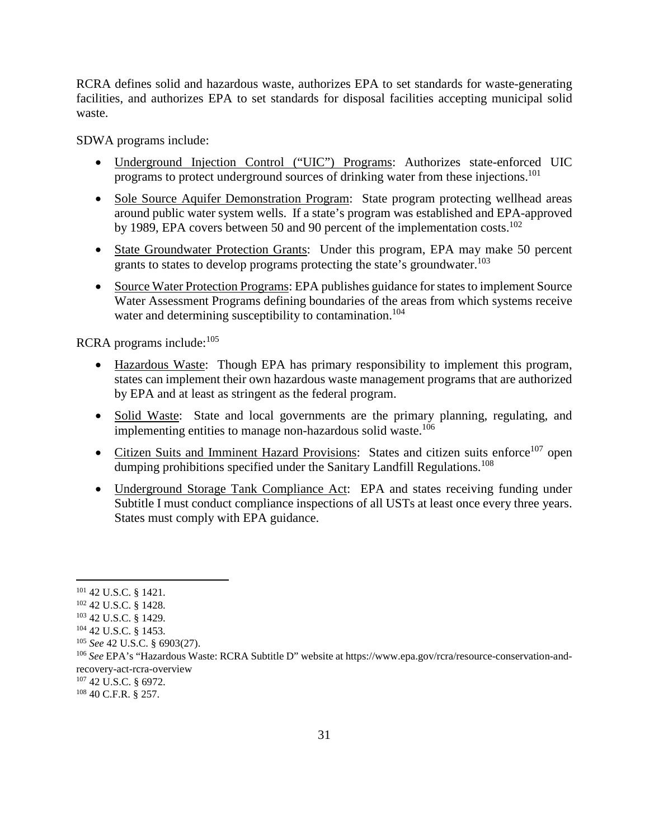RCRA defines solid and hazardous waste, authorizes EPA to set standards for waste-generating facilities, and authorizes EPA to set standards for disposal facilities accepting municipal solid waste.

SDWA programs include:

- Underground Injection Control ("UIC") Programs: Authorizes state-enforced UIC programs to protect underground sources of drinking water from these injections.<sup>101</sup>
- Sole Source Aquifer Demonstration Program: State program protecting wellhead areas around public water system wells. If a state's program was established and EPA-approved by 1989, EPA covers between 50 and 90 percent of the implementation costs.<sup>102</sup>
- State Groundwater Protection Grants: Under this program, EPA may make 50 percent grants to states to develop programs protecting the state's groundwater.<sup>103</sup>
- Source Water Protection Programs: EPA publishes guidance for states to implement Source Water Assessment Programs defining boundaries of the areas from which systems receive water and determining susceptibility to contamination.<sup>104</sup>

RCRA programs include:<sup>105</sup>

- Hazardous Waste: Though EPA has primary responsibility to implement this program, states can implement their own hazardous waste management programs that are authorized by EPA and at least as stringent as the federal program.
- Solid Waste: State and local governments are the primary planning, regulating, and implementing entities to manage non-hazardous solid waste.<sup>106</sup>
- Citizen Suits and Imminent Hazard Provisions: States and citizen suits enforce<sup>107</sup> open dumping prohibitions specified under the Sanitary Landfill Regulations.<sup>108</sup>
- Underground Storage Tank Compliance Act: EPA and states receiving funding under Subtitle I must conduct compliance inspections of all USTs at least once every three years. States must comply with EPA guidance.

<sup>101</sup> 42 U.S.C. § 1421.

<sup>102</sup> 42 U.S.C. § 1428.

<sup>103</sup> 42 U.S.C. § 1429.

<sup>104</sup> 42 U.S.C. § 1453.

<sup>105</sup> *See* 42 U.S.C. § 6903(27).

<sup>106</sup> *See* EPA's "Hazardous Waste: RCRA Subtitle D" website at https://www.epa.gov/rcra/resource-conservation-andrecovery-act-rcra-overview

<sup>107</sup> 42 U.S.C. § 6972.

<sup>108</sup> 40 C.F.R. § 257.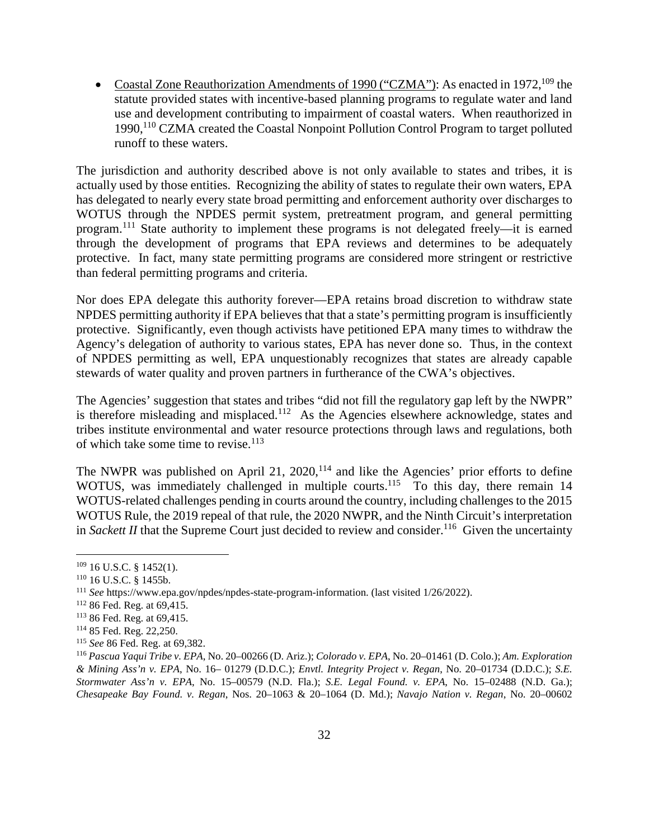• Coastal Zone Reauthorization Amendments of 1990 ("CZMA"): As enacted in 1972, <sup>109</sup> the statute provided states with incentive-based planning programs to regulate water and land use and development contributing to impairment of coastal waters. When reauthorized in 1990,<sup>110</sup> CZMA created the Coastal Nonpoint Pollution Control Program to target polluted runoff to these waters.

The jurisdiction and authority described above is not only available to states and tribes, it is actually used by those entities. Recognizing the ability of states to regulate their own waters, EPA has delegated to nearly every state broad permitting and enforcement authority over discharges to WOTUS through the NPDES permit system, pretreatment program, and general permitting program.<sup>111</sup> State authority to implement these programs is not delegated freely—it is earned through the development of programs that EPA reviews and determines to be adequately protective. In fact, many state permitting programs are considered more stringent or restrictive than federal permitting programs and criteria.

Nor does EPA delegate this authority forever—EPA retains broad discretion to withdraw state NPDES permitting authority if EPA believes that that a state's permitting program is insufficiently protective. Significantly, even though activists have petitioned EPA many times to withdraw the Agency's delegation of authority to various states, EPA has never done so. Thus, in the context of NPDES permitting as well, EPA unquestionably recognizes that states are already capable stewards of water quality and proven partners in furtherance of the CWA's objectives.

The Agencies' suggestion that states and tribes "did not fill the regulatory gap left by the NWPR" is therefore misleading and misplaced.<sup>112</sup> As the Agencies elsewhere acknowledge, states and tribes institute environmental and water resource protections through laws and regulations, both of which take some time to revise. $113$ 

The NWPR was published on April 21,  $2020$ ,<sup>114</sup> and like the Agencies' prior efforts to define WOTUS, was immediately challenged in multiple courts.<sup>115</sup> To this day, there remain 14 WOTUS-related challenges pending in courts around the country, including challenges to the 2015 WOTUS Rule, the 2019 repeal of that rule, the 2020 NWPR, and the Ninth Circuit's interpretation in *Sackett II* that the Supreme Court just decided to review and consider.<sup>116</sup> Given the uncertainty

 $109$  16 U.S.C. § 1452(1).

<sup>110</sup> 16 U.S.C. § 1455b.

<sup>111</sup> *See* https://www.epa.gov/npdes/npdes-state-program-information. (last visited 1/26/2022).

<sup>112</sup> 86 Fed. Reg. at 69,415.

<sup>113</sup> 86 Fed. Reg. at 69,415.

<sup>114</sup> 85 Fed. Reg. 22,250.

<sup>115</sup> *See* 86 Fed. Reg. at 69,382.

<sup>116</sup> *Pascua Yaqui Tribe v. EPA*, No. 20–00266 (D. Ariz.); *Colorado v. EPA*, No. 20–01461 (D. Colo.); *Am. Exploration & Mining Ass'n v. EPA*, No. 16– 01279 (D.D.C.); *Envtl. Integrity Project v. Regan*, No. 20–01734 (D.D.C.); *S.E. Stormwater Ass'n v. EPA*, No. 15–00579 (N.D. Fla.); *S.E. Legal Found. v. EPA*, No. 15–02488 (N.D. Ga.); *Chesapeake Bay Found. v. Regan*, Nos. 20–1063 & 20–1064 (D. Md.); *Navajo Nation v. Regan*, No. 20–00602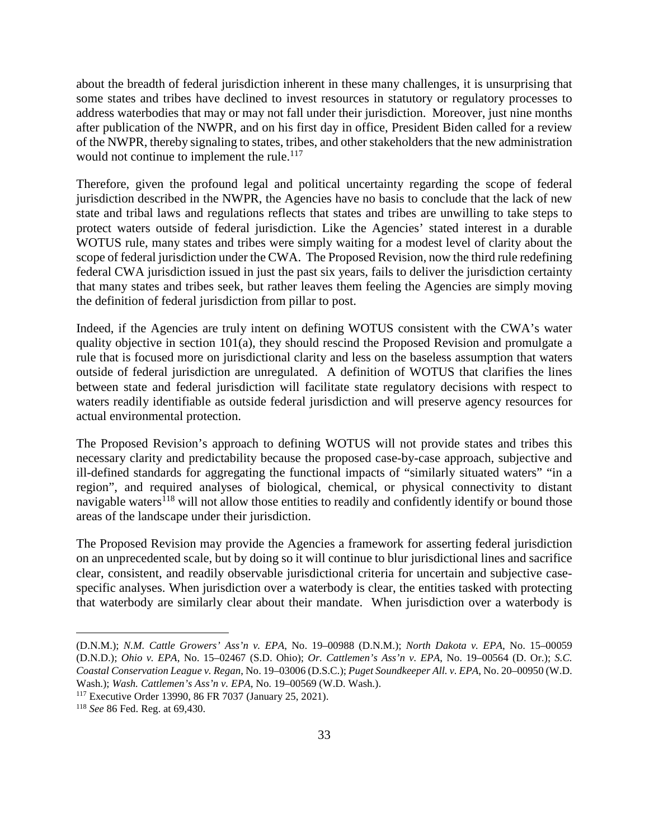about the breadth of federal jurisdiction inherent in these many challenges, it is unsurprising that some states and tribes have declined to invest resources in statutory or regulatory processes to address waterbodies that may or may not fall under their jurisdiction. Moreover, just nine months after publication of the NWPR, and on his first day in office, President Biden called for a review of the NWPR, thereby signaling to states, tribes, and other stakeholders that the new administration would not continue to implement the rule.<sup>117</sup>

Therefore, given the profound legal and political uncertainty regarding the scope of federal jurisdiction described in the NWPR, the Agencies have no basis to conclude that the lack of new state and tribal laws and regulations reflects that states and tribes are unwilling to take steps to protect waters outside of federal jurisdiction. Like the Agencies' stated interest in a durable WOTUS rule, many states and tribes were simply waiting for a modest level of clarity about the scope of federal jurisdiction under the CWA. The Proposed Revision, now the third rule redefining federal CWA jurisdiction issued in just the past six years, fails to deliver the jurisdiction certainty that many states and tribes seek, but rather leaves them feeling the Agencies are simply moving the definition of federal jurisdiction from pillar to post.

Indeed, if the Agencies are truly intent on defining WOTUS consistent with the CWA's water quality objective in section 101(a), they should rescind the Proposed Revision and promulgate a rule that is focused more on jurisdictional clarity and less on the baseless assumption that waters outside of federal jurisdiction are unregulated. A definition of WOTUS that clarifies the lines between state and federal jurisdiction will facilitate state regulatory decisions with respect to waters readily identifiable as outside federal jurisdiction and will preserve agency resources for actual environmental protection.

The Proposed Revision's approach to defining WOTUS will not provide states and tribes this necessary clarity and predictability because the proposed case-by-case approach, subjective and ill-defined standards for aggregating the functional impacts of "similarly situated waters" "in a region", and required analyses of biological, chemical, or physical connectivity to distant navigable waters<sup>118</sup> will not allow those entities to readily and confidently identify or bound those areas of the landscape under their jurisdiction.

The Proposed Revision may provide the Agencies a framework for asserting federal jurisdiction on an unprecedented scale, but by doing so it will continue to blur jurisdictional lines and sacrifice clear, consistent, and readily observable jurisdictional criteria for uncertain and subjective casespecific analyses. When jurisdiction over a waterbody is clear, the entities tasked with protecting that waterbody are similarly clear about their mandate. When jurisdiction over a waterbody is

<sup>(</sup>D.N.M.); *N.M. Cattle Growers' Ass'n v. EPA*, No. 19–00988 (D.N.M.); *North Dakota v. EPA*, No. 15–00059 (D.N.D.); *Ohio v. EPA*, No. 15–02467 (S.D. Ohio); *Or. Cattlemen's Ass'n v. EPA*, No. 19–00564 (D. Or.); *S.C. Coastal Conservation League v. Regan*, No. 19–03006 (D.S.C.); *Puget Soundkeeper All. v. EPA*, No. 20–00950 (W.D. Wash.); *Wash. Cattlemen's Ass'n v. EPA*, No. 19–00569 (W.D. Wash.).

<sup>117</sup> Executive Order 13990, 86 FR 7037 (January 25, 2021).

<sup>118</sup> *See* 86 Fed. Reg. at 69,430.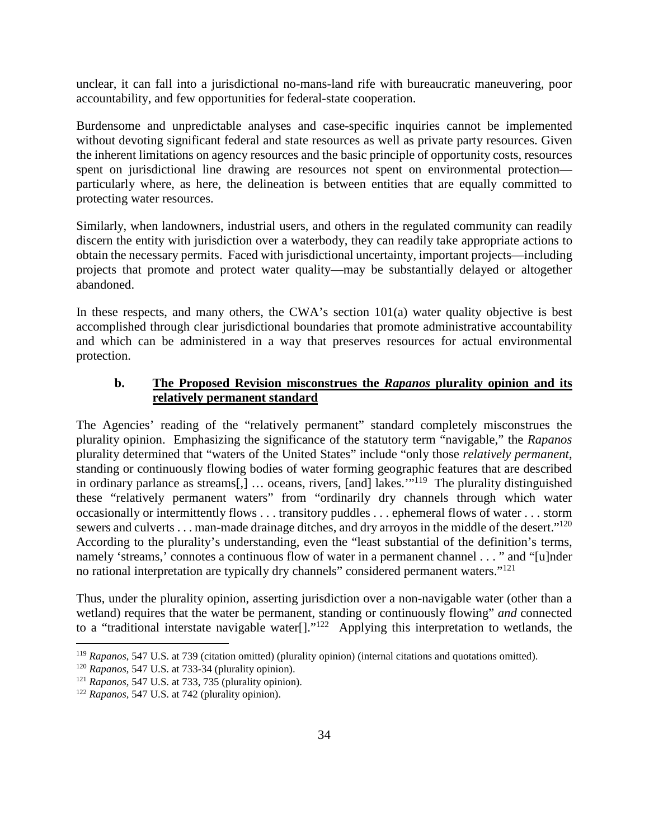unclear, it can fall into a jurisdictional no-mans-land rife with bureaucratic maneuvering, poor accountability, and few opportunities for federal-state cooperation.

Burdensome and unpredictable analyses and case-specific inquiries cannot be implemented without devoting significant federal and state resources as well as private party resources. Given the inherent limitations on agency resources and the basic principle of opportunity costs, resources spent on jurisdictional line drawing are resources not spent on environmental protection particularly where, as here, the delineation is between entities that are equally committed to protecting water resources.

Similarly, when landowners, industrial users, and others in the regulated community can readily discern the entity with jurisdiction over a waterbody, they can readily take appropriate actions to obtain the necessary permits. Faced with jurisdictional uncertainty, important projects—including projects that promote and protect water quality—may be substantially delayed or altogether abandoned.

In these respects, and many others, the CWA's section 101(a) water quality objective is best accomplished through clear jurisdictional boundaries that promote administrative accountability and which can be administered in a way that preserves resources for actual environmental protection.

### **b. The Proposed Revision misconstrues the** *Rapanos* **plurality opinion and its relatively permanent standard**

The Agencies' reading of the "relatively permanent" standard completely misconstrues the plurality opinion. Emphasizing the significance of the statutory term "navigable," the *Rapanos*  plurality determined that "waters of the United States" include "only those *relatively permanent*, standing or continuously flowing bodies of water forming geographic features that are described in ordinary parlance as streams[,] ... oceans, rivers, [and] lakes."<sup>119</sup> The plurality distinguished these "relatively permanent waters" from "ordinarily dry channels through which water occasionally or intermittently flows . . . transitory puddles . . . ephemeral flows of water . . . storm sewers and culverts . . . man-made drainage ditches, and dry arroyos in the middle of the desert."<sup>120</sup> According to the plurality's understanding, even the "least substantial of the definition's terms, namely 'streams,' connotes a continuous flow of water in a permanent channel . . . " and "[u]nder no rational interpretation are typically dry channels" considered permanent waters."<sup>121</sup>

Thus, under the plurality opinion, asserting jurisdiction over a non-navigable water (other than a wetland) requires that the water be permanent, standing or continuously flowing" *and* connected to a "traditional interstate navigable water<sup>[1]</sup>.<sup>"122</sup> Applying this interpretation to wetlands, the

<sup>119</sup> *Rapanos*, 547 U.S. at 739 (citation omitted) (plurality opinion) (internal citations and quotations omitted).

<sup>120</sup> *Rapanos*, 547 U.S. at 733-34 (plurality opinion).

<sup>121</sup> *Rapanos*, 547 U.S. at 733, 735 (plurality opinion).

<sup>122</sup> *Rapanos,* 547 U.S. at 742 (plurality opinion).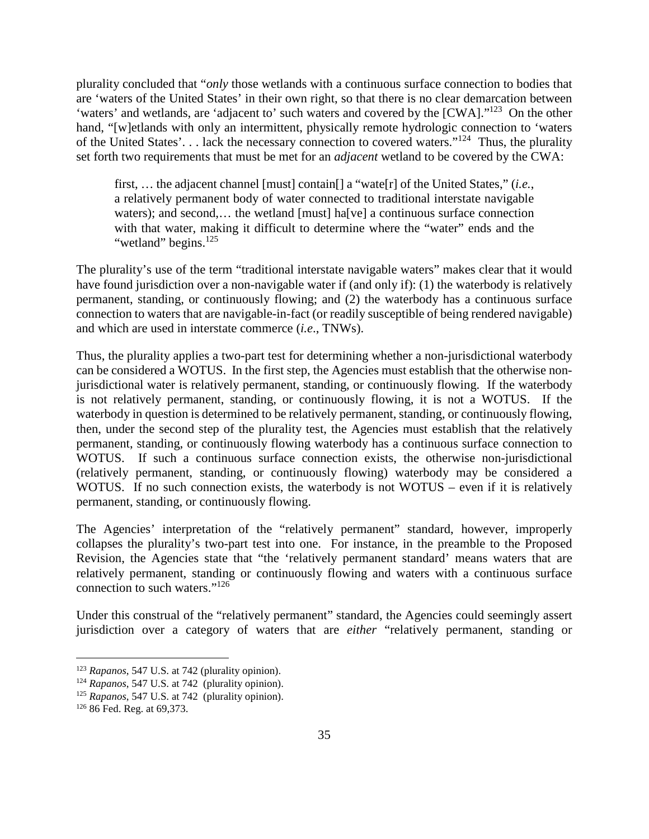plurality concluded that "*only* those wetlands with a continuous surface connection to bodies that are 'waters of the United States' in their own right, so that there is no clear demarcation between 'waters' and wetlands, are 'adjacent to' such waters and covered by the [CWA]."<sup>123</sup> On the other hand, "[w]etlands with only an intermittent, physically remote hydrologic connection to 'waters' of the United States'. . . lack the necessary connection to covered waters."<sup>124</sup> Thus, the plurality set forth two requirements that must be met for an *adjacent* wetland to be covered by the CWA:

first, … the adjacent channel [must] contain[] a "wate[r] of the United States," (*i.e.*, a relatively permanent body of water connected to traditional interstate navigable waters); and second,... the wetland [must] ha[ve] a continuous surface connection with that water, making it difficult to determine where the "water" ends and the "wetland" begins.<sup>125</sup>

The plurality's use of the term "traditional interstate navigable waters" makes clear that it would have found jurisdiction over a non-navigable water if (and only if): (1) the waterbody is relatively permanent, standing, or continuously flowing; and (2) the waterbody has a continuous surface connection to waters that are navigable-in-fact (or readily susceptible of being rendered navigable) and which are used in interstate commerce (*i.e*., TNWs).

Thus, the plurality applies a two-part test for determining whether a non-jurisdictional waterbody can be considered a WOTUS. In the first step, the Agencies must establish that the otherwise nonjurisdictional water is relatively permanent, standing, or continuously flowing. If the waterbody is not relatively permanent, standing, or continuously flowing, it is not a WOTUS. If the waterbody in question is determined to be relatively permanent, standing, or continuously flowing, then, under the second step of the plurality test, the Agencies must establish that the relatively permanent, standing, or continuously flowing waterbody has a continuous surface connection to WOTUS. If such a continuous surface connection exists, the otherwise non-jurisdictional (relatively permanent, standing, or continuously flowing) waterbody may be considered a WOTUS. If no such connection exists, the waterbody is not WOTUS – even if it is relatively permanent, standing, or continuously flowing.

The Agencies' interpretation of the "relatively permanent" standard, however, improperly collapses the plurality's two-part test into one. For instance, in the preamble to the Proposed Revision, the Agencies state that "the 'relatively permanent standard' means waters that are relatively permanent, standing or continuously flowing and waters with a continuous surface connection to such waters."<sup>126</sup>

Under this construal of the "relatively permanent" standard, the Agencies could seemingly assert jurisdiction over a category of waters that are *either* "relatively permanent, standing or

<sup>123</sup> *Rapanos*, 547 U.S. at 742 (plurality opinion).

<sup>124</sup> *Rapanos*, 547 U.S. at 742 (plurality opinion).

<sup>125</sup> *Rapanos*, 547 U.S. at 742 (plurality opinion).

<sup>126</sup> 86 Fed. Reg. at 69,373.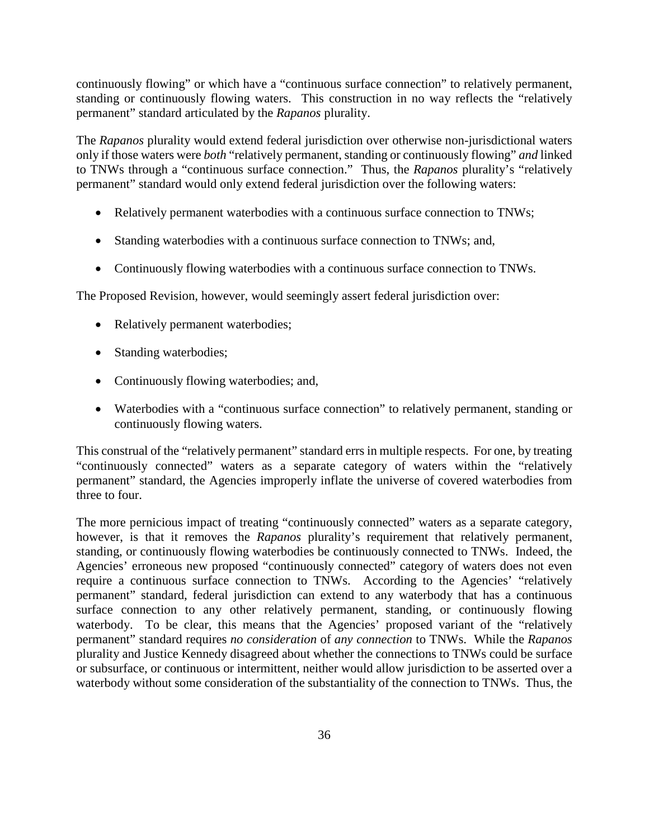continuously flowing" or which have a "continuous surface connection" to relatively permanent, standing or continuously flowing waters. This construction in no way reflects the "relatively permanent" standard articulated by the *Rapanos* plurality.

The *Rapanos* plurality would extend federal jurisdiction over otherwise non-jurisdictional waters only if those waters were *both* "relatively permanent, standing or continuously flowing" *and* linked to TNWs through a "continuous surface connection." Thus, the *Rapanos* plurality's "relatively permanent" standard would only extend federal jurisdiction over the following waters:

- Relatively permanent waterbodies with a continuous surface connection to TNWs;
- Standing waterbodies with a continuous surface connection to TNWs; and,
- Continuously flowing waterbodies with a continuous surface connection to TNWs.

The Proposed Revision, however, would seemingly assert federal jurisdiction over:

- Relatively permanent waterbodies;
- Standing waterbodies;
- Continuously flowing waterbodies; and,
- Waterbodies with a "continuous surface connection" to relatively permanent, standing or continuously flowing waters.

This construal of the "relatively permanent" standard errs in multiple respects. For one, by treating "continuously connected" waters as a separate category of waters within the "relatively permanent" standard, the Agencies improperly inflate the universe of covered waterbodies from three to four.

The more pernicious impact of treating "continuously connected" waters as a separate category, however, is that it removes the *Rapanos* plurality's requirement that relatively permanent, standing, or continuously flowing waterbodies be continuously connected to TNWs. Indeed, the Agencies' erroneous new proposed "continuously connected" category of waters does not even require a continuous surface connection to TNWs. According to the Agencies' "relatively permanent" standard, federal jurisdiction can extend to any waterbody that has a continuous surface connection to any other relatively permanent, standing, or continuously flowing waterbody. To be clear, this means that the Agencies' proposed variant of the "relatively permanent" standard requires *no consideration* of *any connection* to TNWs. While the *Rapanos* plurality and Justice Kennedy disagreed about whether the connections to TNWs could be surface or subsurface, or continuous or intermittent, neither would allow jurisdiction to be asserted over a waterbody without some consideration of the substantiality of the connection to TNWs. Thus, the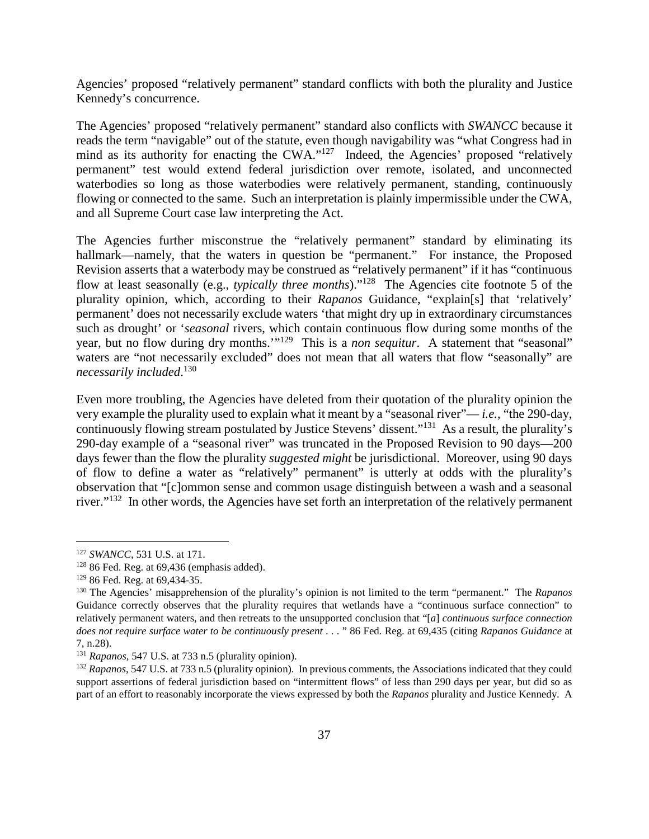Agencies' proposed "relatively permanent" standard conflicts with both the plurality and Justice Kennedy's concurrence.

The Agencies' proposed "relatively permanent" standard also conflicts with *SWANCC* because it reads the term "navigable" out of the statute, even though navigability was "what Congress had in mind as its authority for enacting the CWA."<sup>127</sup> Indeed, the Agencies' proposed "relatively" permanent" test would extend federal jurisdiction over remote, isolated, and unconnected waterbodies so long as those waterbodies were relatively permanent, standing, continuously flowing or connected to the same. Such an interpretation is plainly impermissible under the CWA, and all Supreme Court case law interpreting the Act.

The Agencies further misconstrue the "relatively permanent" standard by eliminating its hallmark—namely, that the waters in question be "permanent." For instance, the Proposed Revision asserts that a waterbody may be construed as "relatively permanent" if it has "continuous flow at least seasonally (e.g., *typically three months*)."<sup>128</sup> The Agencies cite footnote 5 of the plurality opinion, which, according to their *Rapanos* Guidance, "explain[s] that 'relatively' permanent' does not necessarily exclude waters 'that might dry up in extraordinary circumstances such as drought' or '*seasonal* rivers, which contain continuous flow during some months of the year, but no flow during dry months.'"<sup>129</sup> This is a *non sequitur*. A statement that "seasonal" waters are "not necessarily excluded" does not mean that all waters that flow "seasonally" are *necessarily included*. 130

Even more troubling, the Agencies have deleted from their quotation of the plurality opinion the very example the plurality used to explain what it meant by a "seasonal river"— *i.e.*, "the 290-day, continuously flowing stream postulated by Justice Stevens' dissent."<sup>131</sup> As a result, the plurality's 290-day example of a "seasonal river" was truncated in the Proposed Revision to 90 days—200 days fewer than the flow the plurality *suggested might* be jurisdictional. Moreover, using 90 days of flow to define a water as "relatively" permanent" is utterly at odds with the plurality's observation that "[c]ommon sense and common usage distinguish between a wash and a seasonal river."<sup>132</sup> In other words, the Agencies have set forth an interpretation of the relatively permanent

<sup>127</sup> *SWANCC*, 531 U.S. at 171.

 $128$  86 Fed. Reg. at 69,436 (emphasis added).

<sup>129</sup> 86 Fed. Reg. at 69,434-35.

<sup>130</sup> The Agencies' misapprehension of the plurality's opinion is not limited to the term "permanent." The *Rapanos*  Guidance correctly observes that the plurality requires that wetlands have a "continuous surface connection" to relatively permanent waters, and then retreats to the unsupported conclusion that "[*a*] *continuous surface connection does not require surface water to be continuously present* . . . " 86 Fed. Reg. at 69,435 (citing *Rapanos Guidance* at 7, n.28).

<sup>131</sup> *Rapanos*, 547 U.S. at 733 n.5 (plurality opinion).

<sup>132</sup> *Rapanos*, 547 U.S. at 733 n.5 (plurality opinion). In previous comments, the Associations indicated that they could support assertions of federal jurisdiction based on "intermittent flows" of less than 290 days per year, but did so as part of an effort to reasonably incorporate the views expressed by both the *Rapanos* plurality and Justice Kennedy. A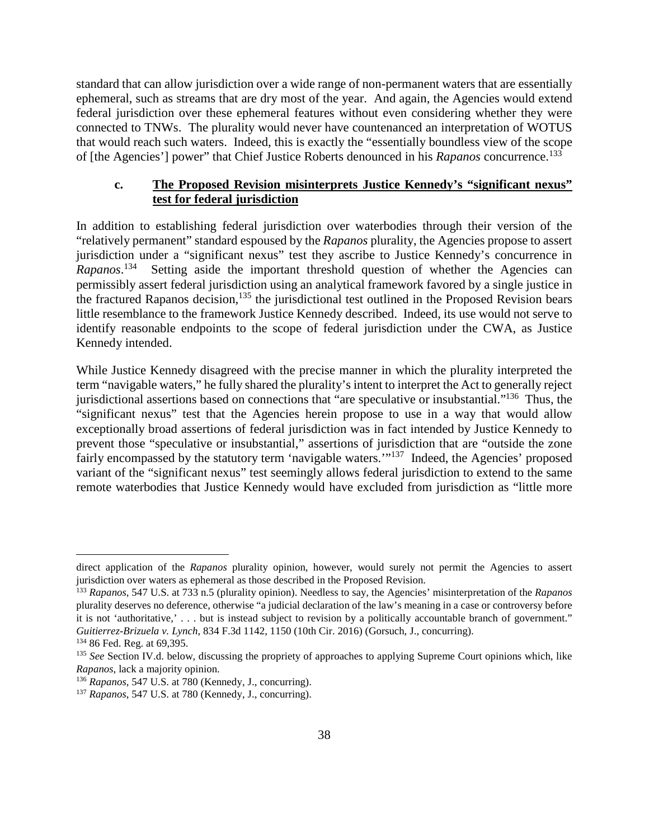standard that can allow jurisdiction over a wide range of non-permanent waters that are essentially ephemeral, such as streams that are dry most of the year. And again, the Agencies would extend federal jurisdiction over these ephemeral features without even considering whether they were connected to TNWs. The plurality would never have countenanced an interpretation of WOTUS that would reach such waters. Indeed, this is exactly the "essentially boundless view of the scope of [the Agencies'] power" that Chief Justice Roberts denounced in his *Rapanos* concurrence.<sup>133</sup>

## **c. The Proposed Revision misinterprets Justice Kennedy's "significant nexus" test for federal jurisdiction**

In addition to establishing federal jurisdiction over waterbodies through their version of the "relatively permanent" standard espoused by the *Rapanos* plurality, the Agencies propose to assert jurisdiction under a "significant nexus" test they ascribe to Justice Kennedy's concurrence in Rapanos.<sup>134</sup> Setting aside the important threshold question of whether the Agencies can permissibly assert federal jurisdiction using an analytical framework favored by a single justice in the fractured Rapanos decision, $135$  the jurisdictional test outlined in the Proposed Revision bears little resemblance to the framework Justice Kennedy described. Indeed, its use would not serve to identify reasonable endpoints to the scope of federal jurisdiction under the CWA, as Justice Kennedy intended.

While Justice Kennedy disagreed with the precise manner in which the plurality interpreted the term "navigable waters," he fully shared the plurality's intent to interpret the Act to generally reject jurisdictional assertions based on connections that "are speculative or insubstantial."<sup>136</sup> Thus, the "significant nexus" test that the Agencies herein propose to use in a way that would allow exceptionally broad assertions of federal jurisdiction was in fact intended by Justice Kennedy to prevent those "speculative or insubstantial," assertions of jurisdiction that are "outside the zone fairly encompassed by the statutory term 'navigable waters.'"<sup>137</sup> Indeed, the Agencies' proposed variant of the "significant nexus" test seemingly allows federal jurisdiction to extend to the same remote waterbodies that Justice Kennedy would have excluded from jurisdiction as "little more

direct application of the *Rapanos* plurality opinion, however, would surely not permit the Agencies to assert jurisdiction over waters as ephemeral as those described in the Proposed Revision.

<sup>133</sup> *Rapanos*, 547 U.S. at 733 n.5 (plurality opinion). Needless to say, the Agencies' misinterpretation of the *Rapanos*  plurality deserves no deference, otherwise "a judicial declaration of the law's meaning in a case or controversy before it is not 'authoritative,' . . . but is instead subject to revision by a politically accountable branch of government." *Guitierrez-Brizuela v. Lynch*, 834 F.3d 1142, 1150 (10th Cir. 2016) (Gorsuch, J., concurring).

<sup>134</sup> 86 Fed. Reg. at 69,395.

<sup>&</sup>lt;sup>135</sup> See Section IV.d. below, discussing the propriety of approaches to applying Supreme Court opinions which, like *Rapanos*, lack a majority opinion.

<sup>136</sup> *Rapanos*, 547 U.S. at 780 (Kennedy, J., concurring).

<sup>137</sup> *Rapanos*, 547 U.S. at 780 (Kennedy, J., concurring).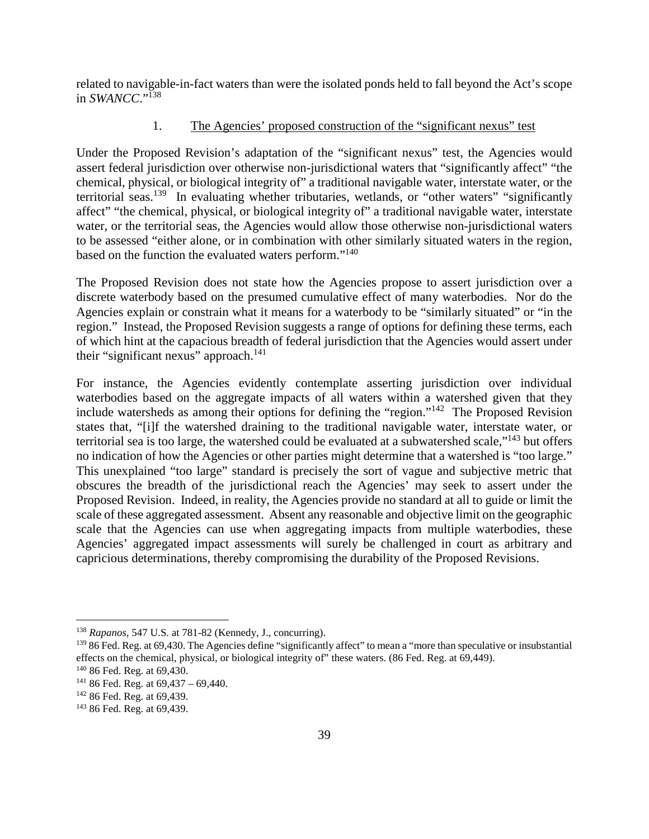related to navigable-in-fact waters than were the isolated ponds held to fall beyond the Act's scope in *SWANCC*."<sup>138</sup>

## 1. The Agencies' proposed construction of the "significant nexus" test

Under the Proposed Revision's adaptation of the "significant nexus" test, the Agencies would assert federal jurisdiction over otherwise non-jurisdictional waters that "significantly affect" "the chemical, physical, or biological integrity of" a traditional navigable water, interstate water, or the territorial seas.<sup>139</sup> In evaluating whether tributaries, wetlands, or "other waters" "significantly affect" "the chemical, physical, or biological integrity of" a traditional navigable water, interstate water, or the territorial seas, the Agencies would allow those otherwise non-jurisdictional waters to be assessed "either alone, or in combination with other similarly situated waters in the region, based on the function the evaluated waters perform."<sup>140</sup>

The Proposed Revision does not state how the Agencies propose to assert jurisdiction over a discrete waterbody based on the presumed cumulative effect of many waterbodies. Nor do the Agencies explain or constrain what it means for a waterbody to be "similarly situated" or "in the region." Instead, the Proposed Revision suggests a range of options for defining these terms, each of which hint at the capacious breadth of federal jurisdiction that the Agencies would assert under their "significant nexus" approach. $141$ 

For instance, the Agencies evidently contemplate asserting jurisdiction over individual waterbodies based on the aggregate impacts of all waters within a watershed given that they include watersheds as among their options for defining the "region."<sup>142</sup> The Proposed Revision states that, "[i]f the watershed draining to the traditional navigable water, interstate water, or territorial sea is too large, the watershed could be evaluated at a subwatershed scale,"<sup>143</sup> but offers no indication of how the Agencies or other parties might determine that a watershed is "too large." This unexplained "too large" standard is precisely the sort of vague and subjective metric that obscures the breadth of the jurisdictional reach the Agencies' may seek to assert under the Proposed Revision. Indeed, in reality, the Agencies provide no standard at all to guide or limit the scale of these aggregated assessment. Absent any reasonable and objective limit on the geographic scale that the Agencies can use when aggregating impacts from multiple waterbodies, these Agencies' aggregated impact assessments will surely be challenged in court as arbitrary and capricious determinations, thereby compromising the durability of the Proposed Revisions.

<sup>138</sup> *Rapanos*, 547 U.S. at 781-82 (Kennedy, J., concurring).

<sup>&</sup>lt;sup>139</sup> 86 Fed. Reg. at 69,430. The Agencies define "significantly affect" to mean a "more than speculative or insubstantial effects on the chemical, physical, or biological integrity of" these waters. (86 Fed. Reg. at 69,449).

<sup>140</sup> 86 Fed. Reg. at 69,430.

 $141$  86 Fed. Reg. at 69,437 – 69,440.

<sup>&</sup>lt;sup>142</sup> 86 Fed. Reg. at 69,439.

<sup>143</sup> 86 Fed. Reg. at 69,439.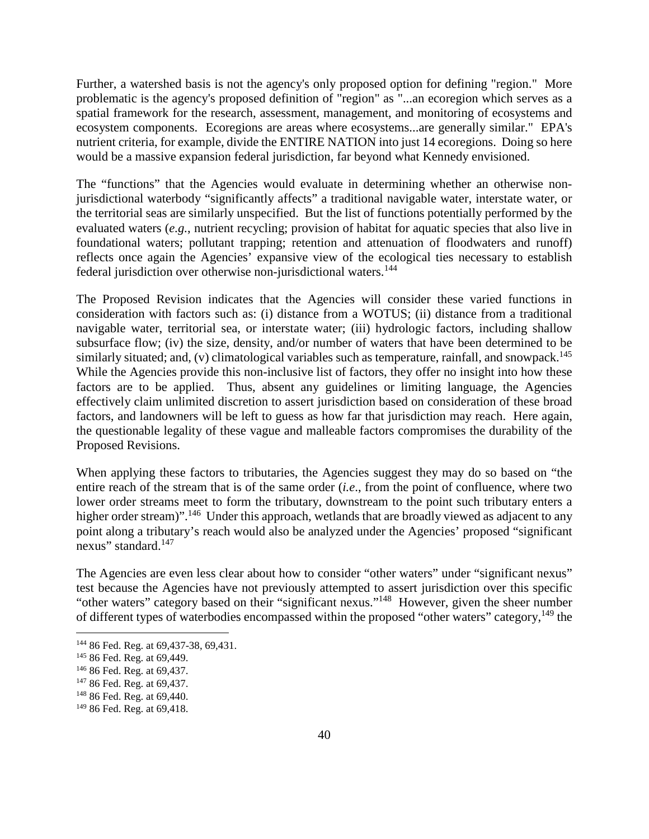Further, a watershed basis is not the agency's only proposed option for defining "region." More problematic is the agency's proposed definition of "region" as "...an ecoregion which serves as a spatial framework for the research, assessment, management, and monitoring of ecosystems and ecosystem components. Ecoregions are areas where ecosystems...are generally similar." EPA's nutrient criteria, for example, divide the ENTIRE NATION into just 14 ecoregions. Doing so here would be a massive expansion federal jurisdiction, far beyond what Kennedy envisioned.

The "functions" that the Agencies would evaluate in determining whether an otherwise nonjurisdictional waterbody "significantly affects" a traditional navigable water, interstate water, or the territorial seas are similarly unspecified. But the list of functions potentially performed by the evaluated waters (*e.g.*, nutrient recycling; provision of habitat for aquatic species that also live in foundational waters; pollutant trapping; retention and attenuation of floodwaters and runoff) reflects once again the Agencies' expansive view of the ecological ties necessary to establish federal jurisdiction over otherwise non-jurisdictional waters.<sup>144</sup>

The Proposed Revision indicates that the Agencies will consider these varied functions in consideration with factors such as: (i) distance from a WOTUS; (ii) distance from a traditional navigable water, territorial sea, or interstate water; (iii) hydrologic factors, including shallow subsurface flow; (iv) the size, density, and/or number of waters that have been determined to be similarly situated; and, (v) climatological variables such as temperature, rainfall, and snowpack.<sup>145</sup> While the Agencies provide this non-inclusive list of factors, they offer no insight into how these factors are to be applied. Thus, absent any guidelines or limiting language, the Agencies effectively claim unlimited discretion to assert jurisdiction based on consideration of these broad factors, and landowners will be left to guess as how far that jurisdiction may reach. Here again, the questionable legality of these vague and malleable factors compromises the durability of the Proposed Revisions.

When applying these factors to tributaries, the Agencies suggest they may do so based on "the entire reach of the stream that is of the same order (*i.e*., from the point of confluence, where two lower order streams meet to form the tributary, downstream to the point such tributary enters a higher order stream)".<sup>146</sup> Under this approach, wetlands that are broadly viewed as adjacent to any point along a tributary's reach would also be analyzed under the Agencies' proposed "significant nexus" standard.<sup>147</sup>

The Agencies are even less clear about how to consider "other waters" under "significant nexus" test because the Agencies have not previously attempted to assert jurisdiction over this specific "other waters" category based on their "significant nexus."<sup>148</sup> However, given the sheer number of different types of waterbodies encompassed within the proposed "other waters" category, <sup>149</sup> the

<sup>&</sup>lt;sup>144</sup> 86 Fed. Reg. at 69,437-38, 69,431.

<sup>145</sup> 86 Fed. Reg. at 69,449.

<sup>146</sup> 86 Fed. Reg. at 69,437.

<sup>&</sup>lt;sup>147</sup> 86 Fed. Reg. at 69,437.

<sup>148</sup> 86 Fed. Reg. at 69,440.

<sup>149</sup> 86 Fed. Reg. at 69,418.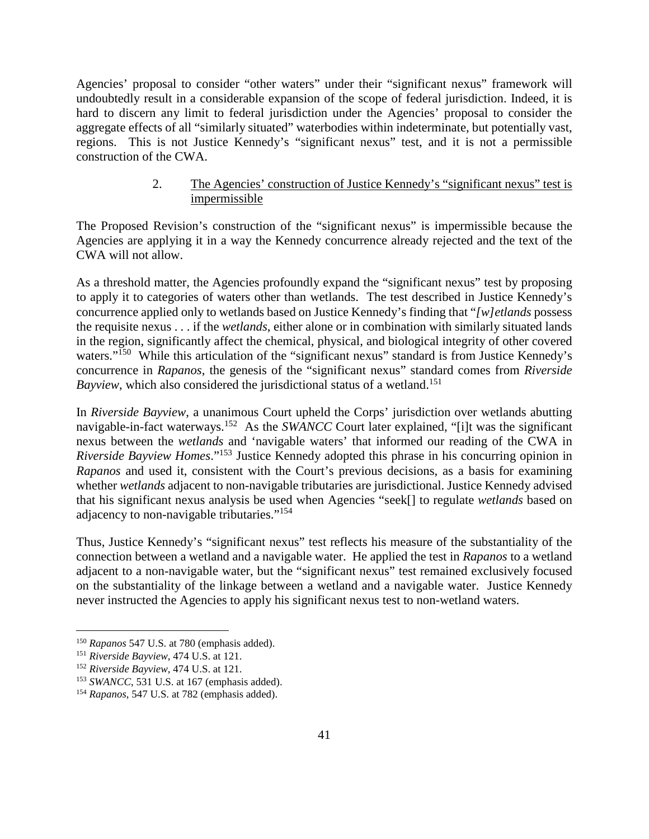Agencies' proposal to consider "other waters" under their "significant nexus" framework will undoubtedly result in a considerable expansion of the scope of federal jurisdiction. Indeed, it is hard to discern any limit to federal jurisdiction under the Agencies' proposal to consider the aggregate effects of all "similarly situated" waterbodies within indeterminate, but potentially vast, regions. This is not Justice Kennedy's "significant nexus" test, and it is not a permissible construction of the CWA.

## 2. The Agencies' construction of Justice Kennedy's "significant nexus" test is impermissible

The Proposed Revision's construction of the "significant nexus" is impermissible because the Agencies are applying it in a way the Kennedy concurrence already rejected and the text of the CWA will not allow.

As a threshold matter, the Agencies profoundly expand the "significant nexus" test by proposing to apply it to categories of waters other than wetlands. The test described in Justice Kennedy's concurrence applied only to wetlands based on Justice Kennedy's finding that "*[w]etlands* possess the requisite nexus . . . if the *wetlands*, either alone or in combination with similarly situated lands in the region, significantly affect the chemical, physical, and biological integrity of other covered waters."<sup>150</sup> While this articulation of the "significant nexus" standard is from Justice Kennedy's concurrence in *Rapanos*, the genesis of the "significant nexus" standard comes from *Riverside Bayview*, which also considered the jurisdictional status of a wetland.<sup>151</sup>

In *Riverside Bayview*, a unanimous Court upheld the Corps' jurisdiction over wetlands abutting navigable-in-fact waterways.<sup>152</sup> As the *SWANCC* Court later explained, "[i]t was the significant nexus between the *wetlands* and 'navigable waters' that informed our reading of the CWA in *Riverside Bayview Homes*."<sup>153</sup> Justice Kennedy adopted this phrase in his concurring opinion in *Rapanos* and used it, consistent with the Court's previous decisions, as a basis for examining whether *wetlands* adjacent to non-navigable tributaries are jurisdictional. Justice Kennedy advised that his significant nexus analysis be used when Agencies "seek[] to regulate *wetlands* based on adjacency to non-navigable tributaries."<sup>154</sup>

Thus, Justice Kennedy's "significant nexus" test reflects his measure of the substantiality of the connection between a wetland and a navigable water. He applied the test in *Rapanos* to a wetland adjacent to a non-navigable water, but the "significant nexus" test remained exclusively focused on the substantiality of the linkage between a wetland and a navigable water. Justice Kennedy never instructed the Agencies to apply his significant nexus test to non-wetland waters.

<sup>150</sup> *Rapanos* 547 U.S. at 780 (emphasis added).

<sup>151</sup> *Riverside Bayview*, 474 U.S. at 121.

<sup>152</sup> *Riverside Bayview*, 474 U.S. at 121.

<sup>153</sup> *SWANCC*, 531 U.S. at 167 (emphasis added).

<sup>154</sup> *Rapanos*, 547 U.S. at 782 (emphasis added).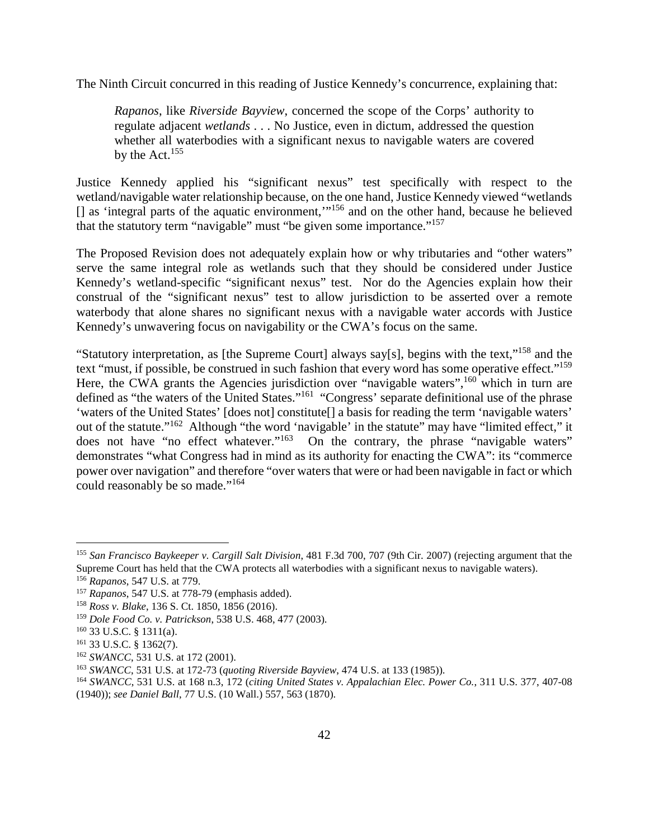The Ninth Circuit concurred in this reading of Justice Kennedy's concurrence, explaining that:

*Rapanos*, like *Riverside Bayview*, concerned the scope of the Corps' authority to regulate adjacent *wetlands* . . . No Justice, even in dictum, addressed the question whether all waterbodies with a significant nexus to navigable waters are covered by the Act. $155$ 

Justice Kennedy applied his "significant nexus" test specifically with respect to the wetland/navigable water relationship because, on the one hand, Justice Kennedy viewed "wetlands [] as 'integral parts of the aquatic environment,"<sup>156</sup> and on the other hand, because he believed that the statutory term "navigable" must "be given some importance."<sup>157</sup>

The Proposed Revision does not adequately explain how or why tributaries and "other waters" serve the same integral role as wetlands such that they should be considered under Justice Kennedy's wetland-specific "significant nexus" test. Nor do the Agencies explain how their construal of the "significant nexus" test to allow jurisdiction to be asserted over a remote waterbody that alone shares no significant nexus with a navigable water accords with Justice Kennedy's unwavering focus on navigability or the CWA's focus on the same.

"Statutory interpretation, as [the Supreme Court] always say[s], begins with the text,"<sup>158</sup> and the text "must, if possible, be construed in such fashion that every word has some operative effect."<sup>159</sup> Here, the CWA grants the Agencies jurisdiction over "navigable waters",<sup>160</sup> which in turn are defined as "the waters of the United States."<sup>161</sup> "Congress' separate definitional use of the phrase 'waters of the United States' [does not] constitute[] a basis for reading the term 'navigable waters' out of the statute."<sup>162</sup> Although "the word 'navigable' in the statute" may have "limited effect," it does not have "no effect whatever."<sup>163</sup> On the contrary, the phrase "navigable waters" demonstrates "what Congress had in mind as its authority for enacting the CWA": its "commerce power over navigation" and therefore "over waters that were or had been navigable in fact or which could reasonably be so made."<sup>164</sup>

<sup>155</sup> *San Francisco Baykeeper v. Cargill Salt Division*, 481 F.3d 700, 707 (9th Cir. 2007) (rejecting argument that the Supreme Court has held that the CWA protects all waterbodies with a significant nexus to navigable waters).

<sup>156</sup> *Rapanos*, 547 U.S. at 779.

<sup>157</sup> *Rapanos*, 547 U.S. at 778-79 (emphasis added).

<sup>158</sup> *Ross v. Blake*, 136 S. Ct. 1850, 1856 (2016).

<sup>159</sup> *Dole Food Co. v. Patrickson*, 538 U.S. 468, 477 (2003).

<sup>160</sup> 33 U.S.C. § 1311(a).

<sup>161</sup> 33 U.S.C. § 1362(7).

<sup>&</sup>lt;sup>162</sup> *SWANCC*, 531 U.S. at 172 (2001).

<sup>163</sup> *SWANCC*, 531 U.S. at 172-73 (*quoting Riverside Bayview*, 474 U.S. at 133 (1985)).

<sup>164</sup> *SWANCC*, 531 U.S. at 168 n.3, 172 (*citing United States v. Appalachian Elec. Power Co.*, 311 U.S. 377, 407-08 (1940)); *see Daniel Ball*, 77 U.S. (10 Wall.) 557, 563 (1870).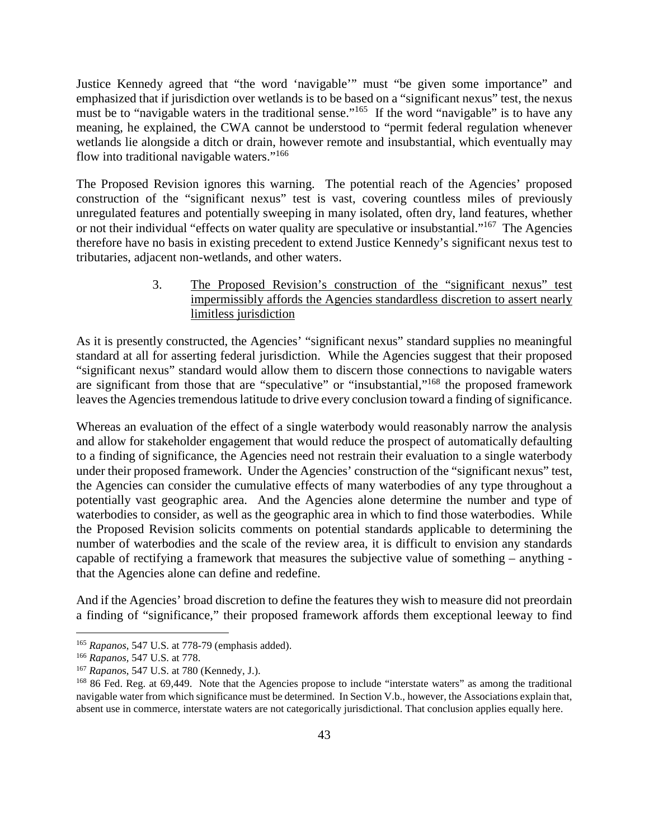Justice Kennedy agreed that "the word 'navigable'" must "be given some importance" and emphasized that if jurisdiction over wetlands is to be based on a "significant nexus" test, the nexus must be to "navigable waters in the traditional sense."<sup>165</sup> If the word "navigable" is to have any meaning, he explained, the CWA cannot be understood to "permit federal regulation whenever wetlands lie alongside a ditch or drain, however remote and insubstantial, which eventually may flow into traditional navigable waters."<sup>166</sup>

The Proposed Revision ignores this warning. The potential reach of the Agencies' proposed construction of the "significant nexus" test is vast, covering countless miles of previously unregulated features and potentially sweeping in many isolated, often dry, land features, whether or not their individual "effects on water quality are speculative or insubstantial."<sup>167</sup> The Agencies therefore have no basis in existing precedent to extend Justice Kennedy's significant nexus test to tributaries, adjacent non-wetlands, and other waters.

> 3. The Proposed Revision's construction of the "significant nexus" test impermissibly affords the Agencies standardless discretion to assert nearly limitless jurisdiction

As it is presently constructed, the Agencies' "significant nexus" standard supplies no meaningful standard at all for asserting federal jurisdiction. While the Agencies suggest that their proposed "significant nexus" standard would allow them to discern those connections to navigable waters are significant from those that are "speculative" or "insubstantial,"<sup>168</sup> the proposed framework leaves the Agencies tremendous latitude to drive every conclusion toward a finding of significance.

Whereas an evaluation of the effect of a single waterbody would reasonably narrow the analysis and allow for stakeholder engagement that would reduce the prospect of automatically defaulting to a finding of significance, the Agencies need not restrain their evaluation to a single waterbody under their proposed framework. Under the Agencies' construction of the "significant nexus" test, the Agencies can consider the cumulative effects of many waterbodies of any type throughout a potentially vast geographic area. And the Agencies alone determine the number and type of waterbodies to consider, as well as the geographic area in which to find those waterbodies. While the Proposed Revision solicits comments on potential standards applicable to determining the number of waterbodies and the scale of the review area, it is difficult to envision any standards capable of rectifying a framework that measures the subjective value of something – anything that the Agencies alone can define and redefine.

And if the Agencies' broad discretion to define the features they wish to measure did not preordain a finding of "significance," their proposed framework affords them exceptional leeway to find

<sup>165</sup> *Rapanos*, 547 U.S. at 778-79 (emphasis added).

<sup>166</sup> *Rapanos,* 547 U.S. at 778.

<sup>167</sup> *Rapano*s, 547 U.S. at 780 (Kennedy, J.).

<sup>&</sup>lt;sup>168</sup> 86 Fed. Reg. at 69,449. Note that the Agencies propose to include "interstate waters" as among the traditional navigable water from which significance must be determined. In Section V.b., however, the Associations explain that, absent use in commerce, interstate waters are not categorically jurisdictional. That conclusion applies equally here.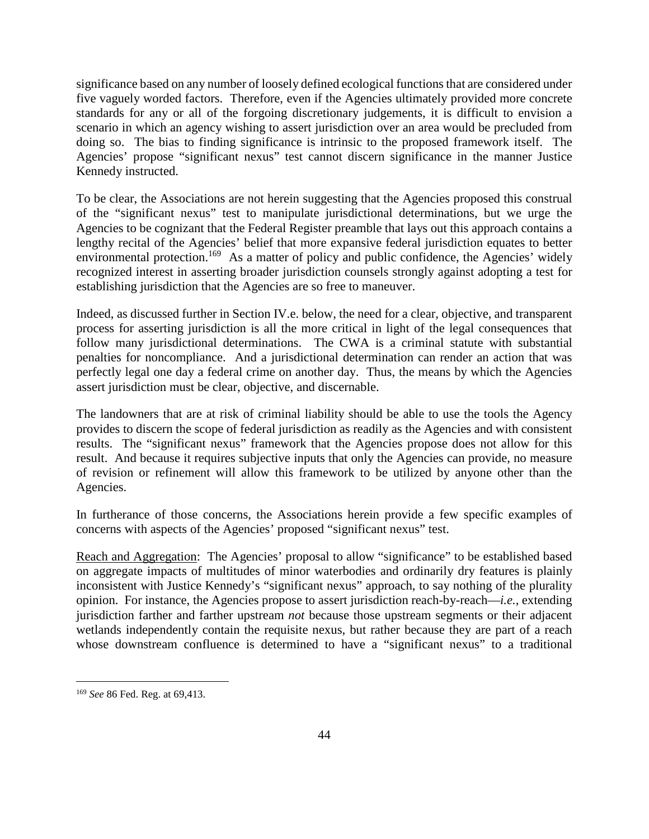significance based on any number of loosely defined ecological functions that are considered under five vaguely worded factors. Therefore, even if the Agencies ultimately provided more concrete standards for any or all of the forgoing discretionary judgements, it is difficult to envision a scenario in which an agency wishing to assert jurisdiction over an area would be precluded from doing so. The bias to finding significance is intrinsic to the proposed framework itself. The Agencies' propose "significant nexus" test cannot discern significance in the manner Justice Kennedy instructed.

To be clear, the Associations are not herein suggesting that the Agencies proposed this construal of the "significant nexus" test to manipulate jurisdictional determinations, but we urge the Agencies to be cognizant that the Federal Register preamble that lays out this approach contains a lengthy recital of the Agencies' belief that more expansive federal jurisdiction equates to better environmental protection.<sup>169</sup> As a matter of policy and public confidence, the Agencies' widely recognized interest in asserting broader jurisdiction counsels strongly against adopting a test for establishing jurisdiction that the Agencies are so free to maneuver.

Indeed, as discussed further in Section IV.e. below, the need for a clear, objective, and transparent process for asserting jurisdiction is all the more critical in light of the legal consequences that follow many jurisdictional determinations. The CWA is a criminal statute with substantial penalties for noncompliance. And a jurisdictional determination can render an action that was perfectly legal one day a federal crime on another day. Thus, the means by which the Agencies assert jurisdiction must be clear, objective, and discernable.

The landowners that are at risk of criminal liability should be able to use the tools the Agency provides to discern the scope of federal jurisdiction as readily as the Agencies and with consistent results. The "significant nexus" framework that the Agencies propose does not allow for this result. And because it requires subjective inputs that only the Agencies can provide, no measure of revision or refinement will allow this framework to be utilized by anyone other than the Agencies.

In furtherance of those concerns, the Associations herein provide a few specific examples of concerns with aspects of the Agencies' proposed "significant nexus" test.

Reach and Aggregation: The Agencies' proposal to allow "significance" to be established based on aggregate impacts of multitudes of minor waterbodies and ordinarily dry features is plainly inconsistent with Justice Kennedy's "significant nexus" approach, to say nothing of the plurality opinion. For instance, the Agencies propose to assert jurisdiction reach-by-reach—*i.e.*, extending jurisdiction farther and farther upstream *not* because those upstream segments or their adjacent wetlands independently contain the requisite nexus, but rather because they are part of a reach whose downstream confluence is determined to have a "significant nexus" to a traditional

<sup>169</sup> *See* 86 Fed. Reg. at 69,413.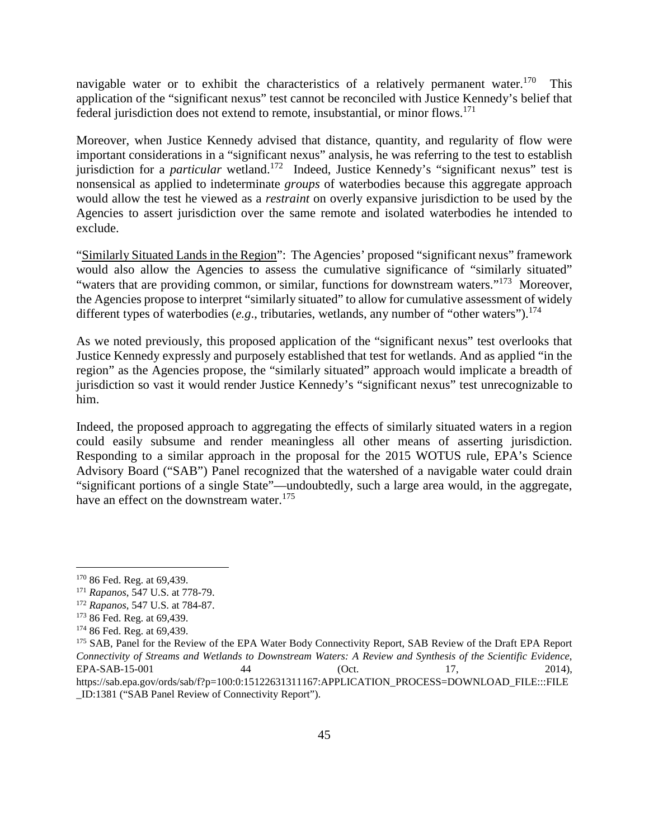navigable water or to exhibit the characteristics of a relatively permanent water.<sup>170</sup> This application of the "significant nexus" test cannot be reconciled with Justice Kennedy's belief that federal jurisdiction does not extend to remote, insubstantial, or minor flows.<sup>171</sup>

Moreover, when Justice Kennedy advised that distance, quantity, and regularity of flow were important considerations in a "significant nexus" analysis, he was referring to the test to establish jurisdiction for a *particular* wetland.<sup>172</sup> Indeed, Justice Kennedy's "significant nexus" test is nonsensical as applied to indeterminate *groups* of waterbodies because this aggregate approach would allow the test he viewed as a *restraint* on overly expansive jurisdiction to be used by the Agencies to assert jurisdiction over the same remote and isolated waterbodies he intended to exclude.

"Similarly Situated Lands in the Region": The Agencies' proposed "significant nexus" framework would also allow the Agencies to assess the cumulative significance of "similarly situated" "waters that are providing common, or similar, functions for downstream waters."<sup>173</sup> Moreover, the Agencies propose to interpret "similarly situated" to allow for cumulative assessment of widely different types of waterbodies (*e.g.*, tributaries, wetlands, any number of "other waters").<sup>174</sup>

As we noted previously, this proposed application of the "significant nexus" test overlooks that Justice Kennedy expressly and purposely established that test for wetlands. And as applied "in the region" as the Agencies propose, the "similarly situated" approach would implicate a breadth of jurisdiction so vast it would render Justice Kennedy's "significant nexus" test unrecognizable to him.

Indeed, the proposed approach to aggregating the effects of similarly situated waters in a region could easily subsume and render meaningless all other means of asserting jurisdiction. Responding to a similar approach in the proposal for the 2015 WOTUS rule, EPA's Science Advisory Board ("SAB") Panel recognized that the watershed of a navigable water could drain "significant portions of a single State"—undoubtedly, such a large area would, in the aggregate, have an effect on the downstream water.<sup>175</sup>

<sup>170</sup> 86 Fed. Reg. at 69,439.

<sup>171</sup> *Rapanos*, 547 U.S. at 778-79.

<sup>172</sup> *Rapanos*, 547 U.S. at 784-87.

<sup>173</sup> 86 Fed. Reg. at 69,439.

<sup>174</sup> 86 Fed. Reg. at 69,439.

<sup>175</sup> SAB, Panel for the Review of the EPA Water Body Connectivity Report, SAB Review of the Draft EPA Report *Connectivity of Streams and Wetlands to Downstream Waters: A Review and Synthesis of the Scientific Evidence*, EPA-SAB-15-001 44 (Oct. 17, 2014), https://sab.epa.gov/ords/sab/f?p=100:0:15122631311167:APPLICATION\_PROCESS=DOWNLOAD\_FILE:::FILE \_ID:1381 ("SAB Panel Review of Connectivity Report").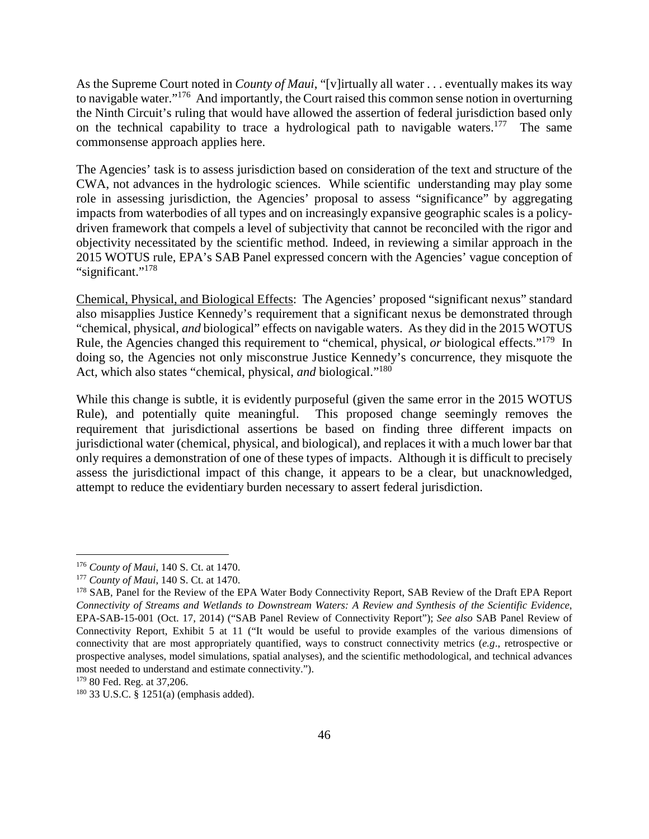As the Supreme Court noted in *County of Maui*, "[v]irtually all water . . . eventually makes its way to navigable water."<sup>176</sup> And importantly, the Court raised this common sense notion in overturning the Ninth Circuit's ruling that would have allowed the assertion of federal jurisdiction based only on the technical capability to trace a hydrological path to navigable waters.<sup>177</sup> The same commonsense approach applies here.

The Agencies' task is to assess jurisdiction based on consideration of the text and structure of the CWA, not advances in the hydrologic sciences. While scientific understanding may play some role in assessing jurisdiction, the Agencies' proposal to assess "significance" by aggregating impacts from waterbodies of all types and on increasingly expansive geographic scales is a policydriven framework that compels a level of subjectivity that cannot be reconciled with the rigor and objectivity necessitated by the scientific method. Indeed, in reviewing a similar approach in the 2015 WOTUS rule, EPA's SAB Panel expressed concern with the Agencies' vague conception of "significant."<sup>178</sup>

Chemical, Physical, and Biological Effects: The Agencies' proposed "significant nexus" standard also misapplies Justice Kennedy's requirement that a significant nexus be demonstrated through "chemical, physical, *and* biological" effects on navigable waters. As they did in the 2015 WOTUS Rule, the Agencies changed this requirement to "chemical, physical, *or* biological effects."<sup>179</sup> In doing so, the Agencies not only misconstrue Justice Kennedy's concurrence, they misquote the Act, which also states "chemical, physical, *and* biological."<sup>180</sup>

While this change is subtle, it is evidently purposeful (given the same error in the 2015 WOTUS Rule), and potentially quite meaningful. This proposed change seemingly removes the requirement that jurisdictional assertions be based on finding three different impacts on jurisdictional water (chemical, physical, and biological), and replaces it with a much lower bar that only requires a demonstration of one of these types of impacts. Although it is difficult to precisely assess the jurisdictional impact of this change, it appears to be a clear, but unacknowledged, attempt to reduce the evidentiary burden necessary to assert federal jurisdiction.

<sup>176</sup> *County of Maui*, 140 S. Ct. at 1470.

<sup>177</sup> *County of Maui*, 140 S. Ct. at 1470.

<sup>&</sup>lt;sup>178</sup> SAB, Panel for the Review of the EPA Water Body Connectivity Report, SAB Review of the Draft EPA Report *Connectivity of Streams and Wetlands to Downstream Waters: A Review and Synthesis of the Scientific Evidence*, EPA-SAB-15-001 (Oct. 17, 2014) ("SAB Panel Review of Connectivity Report"); *See also* SAB Panel Review of Connectivity Report, Exhibit 5 at 11 ("It would be useful to provide examples of the various dimensions of connectivity that are most appropriately quantified, ways to construct connectivity metrics (*e.g*., retrospective or prospective analyses, model simulations, spatial analyses), and the scientific methodological, and technical advances most needed to understand and estimate connectivity.").

<sup>179</sup> 80 Fed. Reg. at 37,206.

<sup>180</sup> 33 U.S.C. § 1251(a) (emphasis added).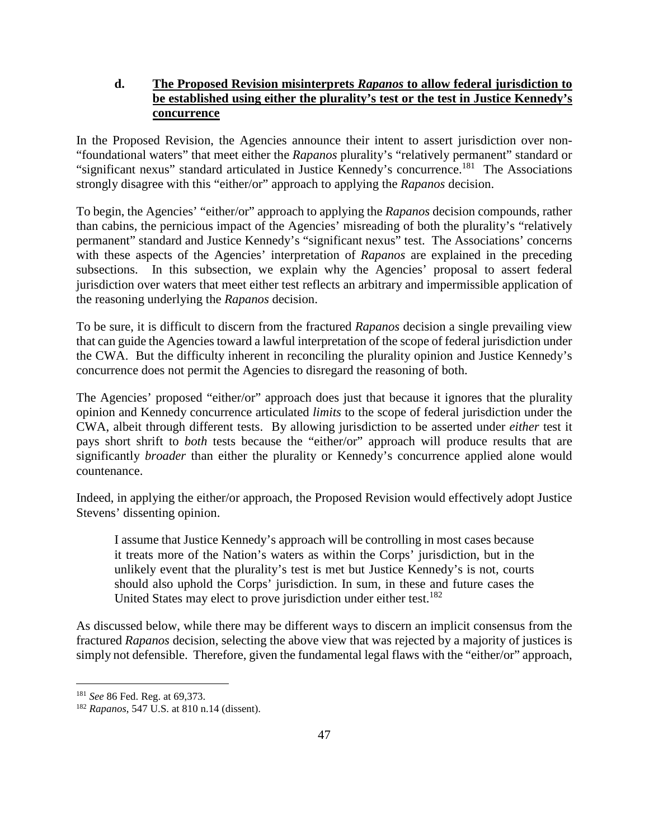## **d. The Proposed Revision misinterprets** *Rapanos* **to allow federal jurisdiction to be established using either the plurality's test or the test in Justice Kennedy's concurrence**

In the Proposed Revision, the Agencies announce their intent to assert jurisdiction over non- "foundational waters" that meet either the *Rapanos* plurality's "relatively permanent" standard or "significant nexus" standard articulated in Justice Kennedy's concurrence.<sup>181</sup> The Associations strongly disagree with this "either/or" approach to applying the *Rapanos* decision.

To begin, the Agencies' "either/or" approach to applying the *Rapanos* decision compounds, rather than cabins, the pernicious impact of the Agencies' misreading of both the plurality's "relatively permanent" standard and Justice Kennedy's "significant nexus" test. The Associations' concerns with these aspects of the Agencies' interpretation of *Rapanos* are explained in the preceding subsections. In this subsection, we explain why the Agencies' proposal to assert federal jurisdiction over waters that meet either test reflects an arbitrary and impermissible application of the reasoning underlying the *Rapanos* decision.

To be sure, it is difficult to discern from the fractured *Rapanos* decision a single prevailing view that can guide the Agencies toward a lawful interpretation of the scope of federal jurisdiction under the CWA. But the difficulty inherent in reconciling the plurality opinion and Justice Kennedy's concurrence does not permit the Agencies to disregard the reasoning of both.

The Agencies' proposed "either/or" approach does just that because it ignores that the plurality opinion and Kennedy concurrence articulated *limits* to the scope of federal jurisdiction under the CWA, albeit through different tests. By allowing jurisdiction to be asserted under *either* test it pays short shrift to *both* tests because the "either/or" approach will produce results that are significantly *broader* than either the plurality or Kennedy's concurrence applied alone would countenance.

Indeed, in applying the either/or approach, the Proposed Revision would effectively adopt Justice Stevens' dissenting opinion.

I assume that Justice Kennedy's approach will be controlling in most cases because it treats more of the Nation's waters as within the Corps' jurisdiction, but in the unlikely event that the plurality's test is met but Justice Kennedy's is not, courts should also uphold the Corps' jurisdiction. In sum, in these and future cases the United States may elect to prove jurisdiction under either test.<sup>182</sup>

As discussed below, while there may be different ways to discern an implicit consensus from the fractured *Rapanos* decision, selecting the above view that was rejected by a majority of justices is simply not defensible. Therefore, given the fundamental legal flaws with the "either/or" approach,

<sup>181</sup> *See* 86 Fed. Reg. at 69,373.

<sup>182</sup> *Rapanos*, 547 U.S. at 810 n.14 (dissent).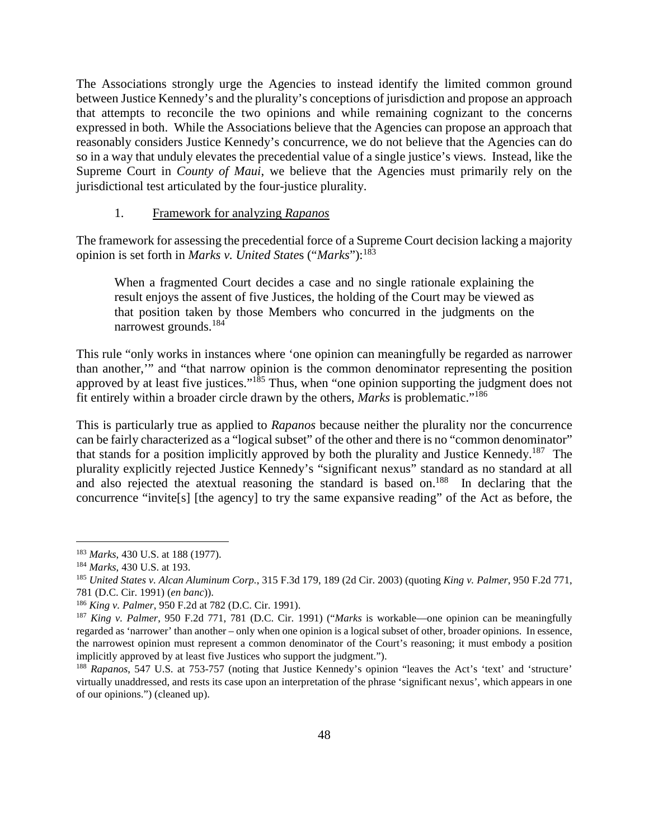The Associations strongly urge the Agencies to instead identify the limited common ground between Justice Kennedy's and the plurality's conceptions of jurisdiction and propose an approach that attempts to reconcile the two opinions and while remaining cognizant to the concerns expressed in both. While the Associations believe that the Agencies can propose an approach that reasonably considers Justice Kennedy's concurrence, we do not believe that the Agencies can do so in a way that unduly elevates the precedential value of a single justice's views. Instead, like the Supreme Court in *County of Maui*, we believe that the Agencies must primarily rely on the jurisdictional test articulated by the four-justice plurality.

#### 1. Framework for analyzing *Rapanos*

The framework for assessing the precedential force of a Supreme Court decision lacking a majority opinion is set forth in *Marks v. United State*s ("*Marks*"):<sup>183</sup>

When a fragmented Court decides a case and no single rationale explaining the result enjoys the assent of five Justices, the holding of the Court may be viewed as that position taken by those Members who concurred in the judgments on the narrowest grounds.<sup>184</sup>

This rule "only works in instances where 'one opinion can meaningfully be regarded as narrower than another,'" and "that narrow opinion is the common denominator representing the position approved by at least five justices."<sup>185</sup> Thus, when "one opinion supporting the judgment does not fit entirely within a broader circle drawn by the others, *Marks* is problematic."<sup>186</sup>

This is particularly true as applied to *Rapanos* because neither the plurality nor the concurrence can be fairly characterized as a "logical subset" of the other and there is no "common denominator" that stands for a position implicitly approved by both the plurality and Justice Kennedy.<sup>187</sup> The plurality explicitly rejected Justice Kennedy's "significant nexus" standard as no standard at all and also rejected the atextual reasoning the standard is based on.<sup>188</sup> In declaring that the concurrence "invite[s] [the agency] to try the same expansive reading" of the Act as before, the

<sup>183</sup> *Marks*, 430 U.S. at 188 (1977).

<sup>184</sup> *Marks*, 430 U.S. at 193.

<sup>185</sup> *United States v. Alcan Aluminum Corp.*, 315 F.3d 179, 189 (2d Cir. 2003) (quoting *King v. Palmer*, 950 F.2d 771, 781 (D.C. Cir. 1991) (*en banc*)).

<sup>186</sup> *King v. Palmer*, 950 F.2d at 782 (D.C. Cir. 1991).

<sup>187</sup> *King v. Palmer*, 950 F.2d 771, 781 (D.C. Cir. 1991) ("*Marks* is workable—one opinion can be meaningfully regarded as 'narrower' than another – only when one opinion is a logical subset of other, broader opinions. In essence, the narrowest opinion must represent a common denominator of the Court's reasoning; it must embody a position implicitly approved by at least five Justices who support the judgment.").

<sup>188</sup> *Rapanos*, 547 U.S. at 753-757 (noting that Justice Kennedy's opinion "leaves the Act's 'text' and 'structure' virtually unaddressed, and rests its case upon an interpretation of the phrase 'significant nexus', which appears in one of our opinions.") (cleaned up).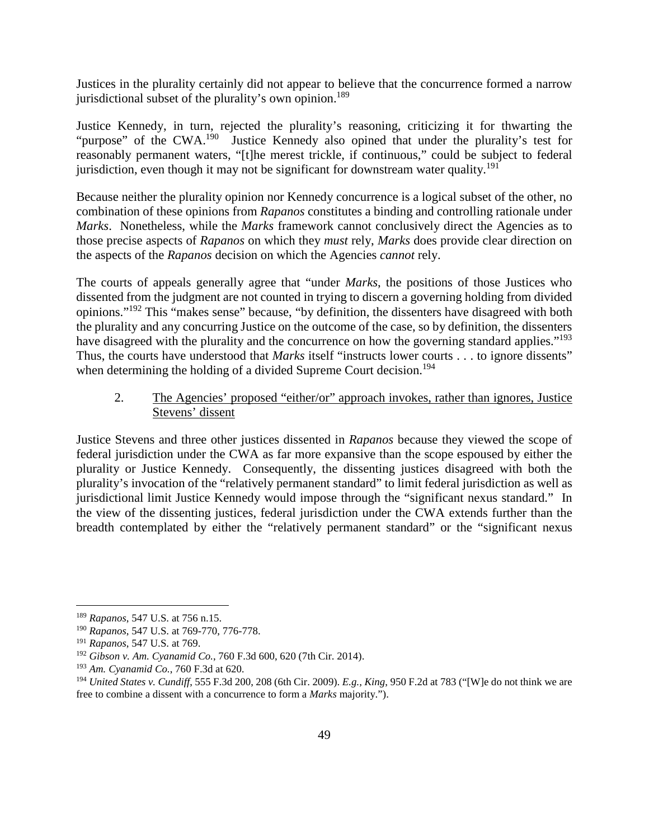Justices in the plurality certainly did not appear to believe that the concurrence formed a narrow jurisdictional subset of the plurality's own opinion.<sup>189</sup>

Justice Kennedy, in turn, rejected the plurality's reasoning, criticizing it for thwarting the "purpose" of the CWA.<sup>190</sup> Justice Kennedy also opined that under the plurality's test for reasonably permanent waters, "[t]he merest trickle, if continuous," could be subject to federal jurisdiction, even though it may not be significant for downstream water quality.<sup>191</sup>

Because neither the plurality opinion nor Kennedy concurrence is a logical subset of the other, no combination of these opinions from *Rapanos* constitutes a binding and controlling rationale under *Marks*. Nonetheless, while the *Marks* framework cannot conclusively direct the Agencies as to those precise aspects of *Rapanos* on which they *must* rely, *Marks* does provide clear direction on the aspects of the *Rapanos* decision on which the Agencies *cannot* rely.

The courts of appeals generally agree that "under *Marks*, the positions of those Justices who dissented from the judgment are not counted in trying to discern a governing holding from divided opinions."<sup>192</sup> This "makes sense" because, "by definition, the dissenters have disagreed with both the plurality and any concurring Justice on the outcome of the case, so by definition, the dissenters have disagreed with the plurality and the concurrence on how the governing standard applies."<sup>193</sup> Thus, the courts have understood that *Marks* itself "instructs lower courts . . . to ignore dissents" when determining the holding of a divided Supreme Court decision.<sup>194</sup>

## 2. The Agencies' proposed "either/or" approach invokes, rather than ignores, Justice Stevens' dissent

Justice Stevens and three other justices dissented in *Rapanos* because they viewed the scope of federal jurisdiction under the CWA as far more expansive than the scope espoused by either the plurality or Justice Kennedy. Consequently, the dissenting justices disagreed with both the plurality's invocation of the "relatively permanent standard" to limit federal jurisdiction as well as jurisdictional limit Justice Kennedy would impose through the "significant nexus standard." In the view of the dissenting justices, federal jurisdiction under the CWA extends further than the breadth contemplated by either the "relatively permanent standard" or the "significant nexus

<sup>189</sup> *Rapanos*, 547 U.S. at 756 n.15.

<sup>190</sup> *Rapanos*, 547 U.S. at 769-770, 776-778.

<sup>191</sup> *Rapanos*, 547 U.S. at 769.

<sup>192</sup> *Gibson v. Am. Cyanamid Co.*, 760 F.3d 600, 620 (7th Cir. 2014).

<sup>193</sup> *Am. Cyanamid Co.*, 760 F.3d at 620*.*

<sup>194</sup> *United States v. Cundiff*, 555 F.3d 200, 208 (6th Cir. 2009). *E.g., King*, 950 F.2d at 783 ("[W]e do not think we are free to combine a dissent with a concurrence to form a *Marks* majority.").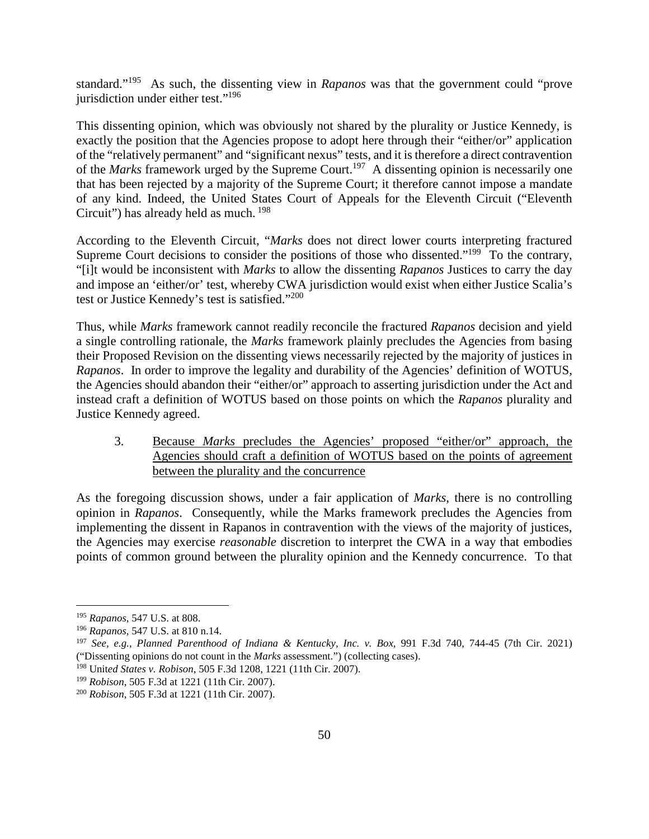standard."<sup>195</sup> As such, the dissenting view in *Rapanos* was that the government could "prove jurisdiction under either test."<sup>196</sup>

This dissenting opinion, which was obviously not shared by the plurality or Justice Kennedy, is exactly the position that the Agencies propose to adopt here through their "either/or" application of the "relatively permanent" and "significant nexus" tests, and it is therefore a direct contravention of the *Marks* framework urged by the Supreme Court.<sup>197</sup> A dissenting opinion is necessarily one that has been rejected by a majority of the Supreme Court; it therefore cannot impose a mandate of any kind. Indeed, the United States Court of Appeals for the Eleventh Circuit ("Eleventh Circuit") has already held as much.<sup>198</sup>

According to the Eleventh Circuit, "*Marks* does not direct lower courts interpreting fractured Supreme Court decisions to consider the positions of those who dissented."<sup>199</sup> To the contrary, "[i]t would be inconsistent with *Marks* to allow the dissenting *Rapanos* Justices to carry the day and impose an 'either/or' test, whereby CWA jurisdiction would exist when either Justice Scalia's test or Justice Kennedy's test is satisfied."<sup>200</sup>

Thus, while *Marks* framework cannot readily reconcile the fractured *Rapanos* decision and yield a single controlling rationale, the *Marks* framework plainly precludes the Agencies from basing their Proposed Revision on the dissenting views necessarily rejected by the majority of justices in *Rapanos*. In order to improve the legality and durability of the Agencies' definition of WOTUS, the Agencies should abandon their "either/or" approach to asserting jurisdiction under the Act and instead craft a definition of WOTUS based on those points on which the *Rapanos* plurality and Justice Kennedy agreed.

3. Because *Marks* precludes the Agencies' proposed "either/or" approach, the Agencies should craft a definition of WOTUS based on the points of agreement between the plurality and the concurrence

As the foregoing discussion shows, under a fair application of *Marks*, there is no controlling opinion in *Rapanos*. Consequently, while the Marks framework precludes the Agencies from implementing the dissent in Rapanos in contravention with the views of the majority of justices, the Agencies may exercise *reasonable* discretion to interpret the CWA in a way that embodies points of common ground between the plurality opinion and the Kennedy concurrence. To that

<sup>195</sup> *Rapanos*, 547 U.S. at 808.

<sup>196</sup> *Rapanos*, 547 U.S. at 810 n.14.

<sup>197</sup> *See, e.g.*, *Planned Parenthood of Indiana & Kentucky, Inc. v. Box*, 991 F.3d 740, 744-45 (7th Cir. 2021) ("Dissenting opinions do not count in the *Marks* assessment.") (collecting cases).

<sup>198</sup> Unit*ed States v. Robison*, 505 F.3d 1208, 1221 (11th Cir. 2007).

<sup>199</sup> *Robison*, 505 F.3d at 1221 (11th Cir. 2007).

<sup>200</sup> *Robison*, 505 F.3d at 1221 (11th Cir. 2007).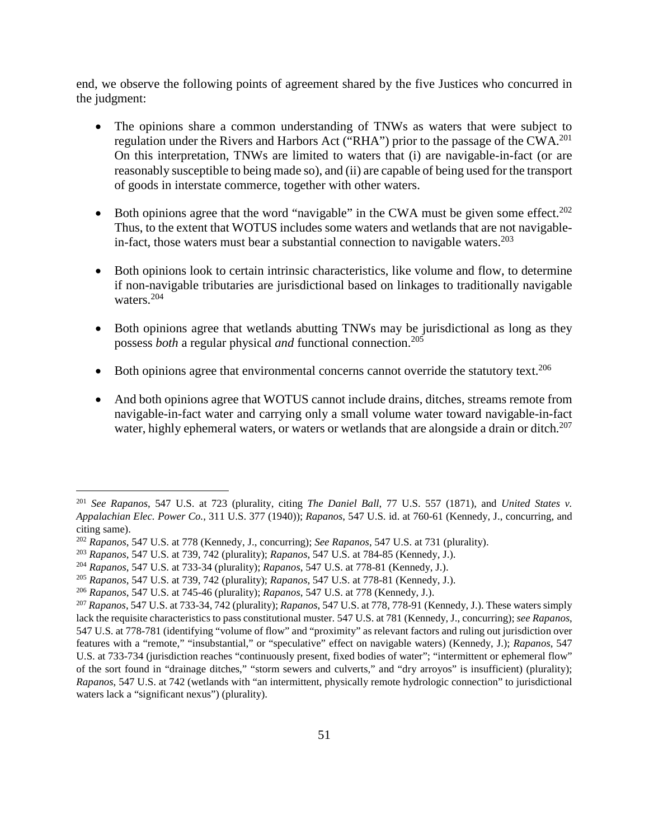end, we observe the following points of agreement shared by the five Justices who concurred in the judgment:

- The opinions share a common understanding of TNWs as waters that were subject to regulation under the Rivers and Harbors Act ("RHA") prior to the passage of the CWA.<sup>201</sup> On this interpretation, TNWs are limited to waters that (i) are navigable-in-fact (or are reasonably susceptible to being made so), and (ii) are capable of being used for the transport of goods in interstate commerce, together with other waters.
- Both opinions agree that the word "navigable" in the CWA must be given some effect.<sup>202</sup> Thus, to the extent that WOTUS includes some waters and wetlands that are not navigablein-fact, those waters must bear a substantial connection to navigable waters.<sup>203</sup>
- Both opinions look to certain intrinsic characteristics, like volume and flow, to determine if non-navigable tributaries are jurisdictional based on linkages to traditionally navigable waters.<sup>204</sup>
- Both opinions agree that wetlands abutting TNWs may be jurisdictional as long as they possess *both* a regular physical *and* functional connection.<sup>205</sup>
- Both opinions agree that environmental concerns cannot override the statutory text.<sup>206</sup>
- And both opinions agree that WOTUS cannot include drains, ditches, streams remote from navigable-in-fact water and carrying only a small volume water toward navigable-in-fact water, highly ephemeral waters, or waters or wetlands that are alongside a drain or ditch.<sup>207</sup>

<sup>201</sup> *See Rapanos*, 547 U.S. at 723 (plurality, citing *The Daniel Ball*, 77 U.S. 557 (1871), and *United States v. Appalachian Elec. Power Co.*, 311 U.S. 377 (1940)); *Rapanos*, 547 U.S. id. at 760-61 (Kennedy, J., concurring, and citing same).

<sup>202</sup> *Rapanos*, 547 U.S. at 778 (Kennedy, J., concurring); *See Rapanos*, 547 U.S. at 731 (plurality).

<sup>203</sup> *Rapanos*, 547 U.S. at 739, 742 (plurality); *Rapanos*, 547 U.S. at 784-85 (Kennedy, J.).

<sup>204</sup> *Rapanos*, 547 U.S. at 733-34 (plurality); *Rapanos*, 547 U.S. at 778-81 (Kennedy, J.).

<sup>205</sup> *Rapanos*, 547 U.S. at 739, 742 (plurality); *Rapanos*, 547 U.S. at 778-81 (Kennedy, J.).

<sup>206</sup> *Rapanos*, 547 U.S. at 745-46 (plurality); *Rapanos*, 547 U.S. at 778 (Kennedy, J.).

<sup>207</sup> *Rapanos*, 547 U.S. at 733-34, 742 (plurality); *Rapanos*, 547 U.S. at 778, 778-91 (Kennedy, J.). These waters simply lack the requisite characteristics to pass constitutional muster. 547 U.S. at 781 (Kennedy, J., concurring); *see Rapanos*, 547 U.S. at 778-781 (identifying "volume of flow" and "proximity" as relevant factors and ruling out jurisdiction over features with a "remote," "insubstantial," or "speculative" effect on navigable waters) (Kennedy, J.); *Rapanos*, 547 U.S. at 733-734 (jurisdiction reaches "continuously present, fixed bodies of water"; "intermittent or ephemeral flow" of the sort found in "drainage ditches," "storm sewers and culverts," and "dry arroyos" is insufficient) (plurality); *Rapanos*, 547 U.S. at 742 (wetlands with "an intermittent, physically remote hydrologic connection" to jurisdictional waters lack a "significant nexus") (plurality).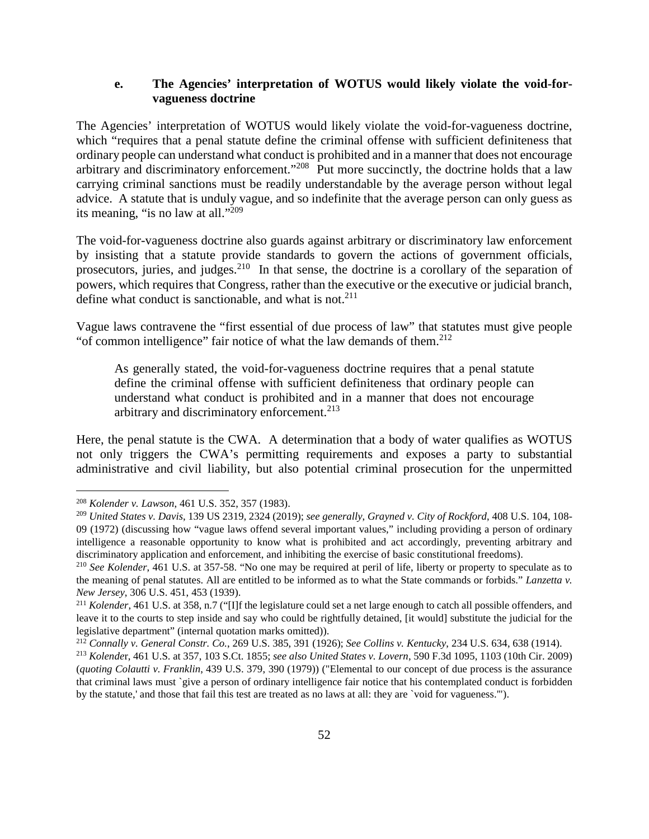### **e. The Agencies' interpretation of WOTUS would likely violate the void-forvagueness doctrine**

The Agencies' interpretation of WOTUS would likely violate the void-for-vagueness doctrine, which "requires that a penal statute define the criminal offense with sufficient definiteness that ordinary people can understand what conduct is prohibited and in a manner that does not encourage arbitrary and discriminatory enforcement."<sup>208</sup> Put more succinctly, the doctrine holds that a law carrying criminal sanctions must be readily understandable by the average person without legal advice. A statute that is unduly vague, and so indefinite that the average person can only guess as its meaning, "is no law at all."<sup>209</sup>

The void-for-vagueness doctrine also guards against arbitrary or discriminatory law enforcement by insisting that a statute provide standards to govern the actions of government officials, prosecutors, juries, and judges.<sup>210</sup> In that sense, the doctrine is a corollary of the separation of powers, which requires that Congress, rather than the executive or the executive or judicial branch, define what conduct is sanctionable, and what is not.<sup>211</sup>

Vague laws contravene the "first essential of due process of law" that statutes must give people "of common intelligence" fair notice of what the law demands of them. $212$ 

As generally stated, the void-for-vagueness doctrine requires that a penal statute define the criminal offense with sufficient definiteness that ordinary people can understand what conduct is prohibited and in a manner that does not encourage arbitrary and discriminatory enforcement.<sup>213</sup>

Here, the penal statute is the CWA. A determination that a body of water qualifies as WOTUS not only triggers the CWA's permitting requirements and exposes a party to substantial administrative and civil liability, but also potential criminal prosecution for the unpermitted

<sup>208</sup> *Kolender v. Lawson*, 461 U.S. 352, 357 (1983).

<sup>209</sup> *United States v. Davis*, 139 US 2319, 2324 (2019); *see generally*, *Grayned v. City of Rockford*, 408 U.S. 104, 108- 09 (1972) (discussing how "vague laws offend several important values," including providing a person of ordinary intelligence a reasonable opportunity to know what is prohibited and act accordingly, preventing arbitrary and discriminatory application and enforcement, and inhibiting the exercise of basic constitutional freedoms).

<sup>210</sup> *See Kolender*, 461 U.S. at 357-58. "No one may be required at peril of life, liberty or property to speculate as to the meaning of penal statutes. All are entitled to be informed as to what the State commands or forbids." *Lanzetta v. New Jersey*, 306 U.S. 451, 453 (1939).

<sup>&</sup>lt;sup>211</sup> *Kolender*, 461 U.S. at 358, n.7 ("[I]f the legislature could set a net large enough to catch all possible offenders, and leave it to the courts to step inside and say who could be rightfully detained, [it would] substitute the judicial for the legislative department" (internal quotation marks omitted)).

<sup>212</sup> *Connally v. General Constr. Co.*, 269 U.S. 385, 391 (1926); *See Collins v. Kentucky*, 234 U.S. 634, 638 (1914).

<sup>213</sup> *Kolende*r, 461 U.S. at 357, 103 S.Ct. 1855; *see also United States v. Lovern*, 590 F.3d 1095, 1103 (10th Cir. 2009) (*quoting Colautti v. Franklin*, 439 U.S. 379, 390 (1979)) ("Elemental to our concept of due process is the assurance that criminal laws must `give a person of ordinary intelligence fair notice that his contemplated conduct is forbidden by the statute,' and those that fail this test are treated as no laws at all: they are `void for vagueness.'").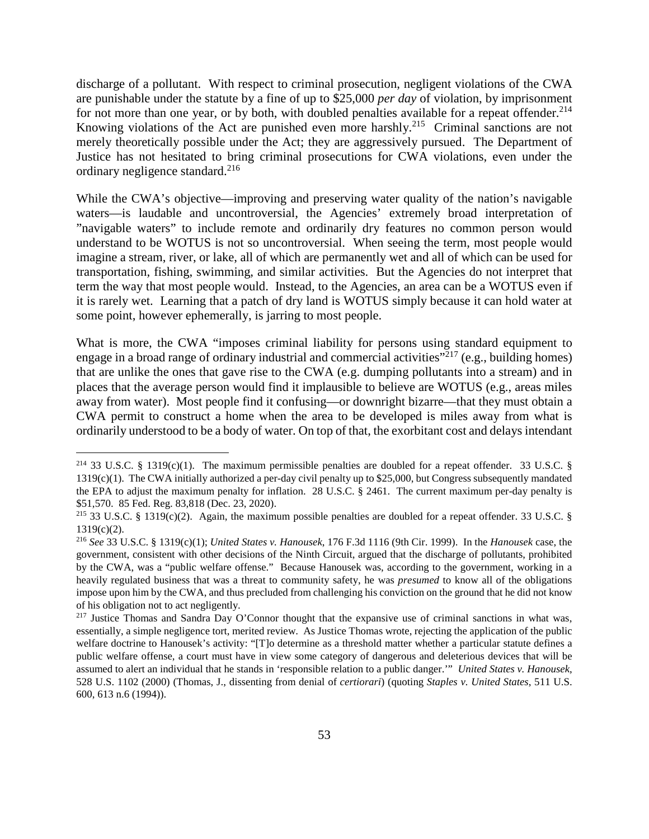discharge of a pollutant. With respect to criminal prosecution, negligent violations of the CWA are punishable under the statute by a fine of up to \$25,000 *per day* of violation, by imprisonment for not more than one year, or by both, with doubled penalties available for a repeat offender.<sup>214</sup> Knowing violations of the Act are punished even more harshly.<sup>215</sup> Criminal sanctions are not merely theoretically possible under the Act; they are aggressively pursued. The Department of Justice has not hesitated to bring criminal prosecutions for CWA violations, even under the ordinary negligence standard. $^{216}$ 

While the CWA's objective—improving and preserving water quality of the nation's navigable waters—is laudable and uncontroversial, the Agencies' extremely broad interpretation of "navigable waters" to include remote and ordinarily dry features no common person would understand to be WOTUS is not so uncontroversial. When seeing the term, most people would imagine a stream, river, or lake, all of which are permanently wet and all of which can be used for transportation, fishing, swimming, and similar activities. But the Agencies do not interpret that term the way that most people would. Instead, to the Agencies, an area can be a WOTUS even if it is rarely wet. Learning that a patch of dry land is WOTUS simply because it can hold water at some point, however ephemerally, is jarring to most people.

What is more, the CWA "imposes criminal liability for persons using standard equipment to engage in a broad range of ordinary industrial and commercial activities $\frac{1}{2}$  (e.g., building homes) that are unlike the ones that gave rise to the CWA (e.g. dumping pollutants into a stream) and in places that the average person would find it implausible to believe are WOTUS (e.g., areas miles away from water). Most people find it confusing—or downright bizarre—that they must obtain a CWA permit to construct a home when the area to be developed is miles away from what is ordinarily understood to be a body of water. On top of that, the exorbitant cost and delays intendant

<sup>&</sup>lt;sup>214</sup> 33 U.S.C. § 1319(c)(1). The maximum permissible penalties are doubled for a repeat offender. 33 U.S.C. §  $1319(c)(1)$ . The CWA initially authorized a per-day civil penalty up to \$25,000, but Congress subsequently mandated the EPA to adjust the maximum penalty for inflation. 28 U.S.C. § 2461. The current maximum per-day penalty is \$51,570. 85 Fed. Reg. 83,818 (Dec. 23, 2020).

<sup>&</sup>lt;sup>215</sup> 33 U.S.C. § 1319(c)(2). Again, the maximum possible penalties are doubled for a repeat offender. 33 U.S.C. §  $1319(c)(2)$ .

<sup>216</sup> *See* 33 U.S.C. § 1319(c)(1); *United States v. Hanousek*, 176 F.3d 1116 (9th Cir. 1999). In the *Hanousek* case, the government, consistent with other decisions of the Ninth Circuit, argued that the discharge of pollutants, prohibited by the CWA, was a "public welfare offense." Because Hanousek was, according to the government, working in a heavily regulated business that was a threat to community safety, he was *presumed* to know all of the obligations impose upon him by the CWA, and thus precluded from challenging his conviction on the ground that he did not know of his obligation not to act negligently.

<sup>&</sup>lt;sup>217</sup> Justice Thomas and Sandra Day O'Connor thought that the expansive use of criminal sanctions in what was, essentially, a simple negligence tort, merited review. As Justice Thomas wrote, rejecting the application of the public welfare doctrine to Hanousek's activity: "[T]o determine as a threshold matter whether a particular statute defines a public welfare offense, a court must have in view some category of dangerous and deleterious devices that will be assumed to alert an individual that he stands in 'responsible relation to a public danger.'" *United States v. Hanousek*, 528 U.S. 1102 (2000) (Thomas, J., dissenting from denial of *certiorari*) (quoting *Staples v. United States*, 511 U.S. 600, 613 n.6 (1994)).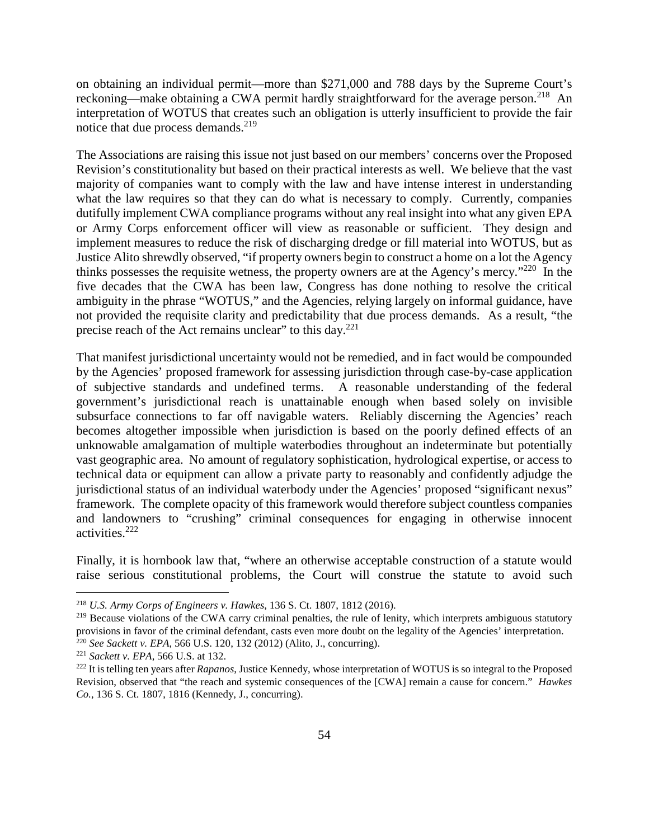on obtaining an individual permit—more than \$271,000 and 788 days by the Supreme Court's reckoning—make obtaining a CWA permit hardly straightforward for the average person.<sup>218</sup> An interpretation of WOTUS that creates such an obligation is utterly insufficient to provide the fair notice that due process demands. $^{219}$ 

The Associations are raising this issue not just based on our members' concerns over the Proposed Revision's constitutionality but based on their practical interests as well. We believe that the vast majority of companies want to comply with the law and have intense interest in understanding what the law requires so that they can do what is necessary to comply. Currently, companies dutifully implement CWA compliance programs without any real insight into what any given EPA or Army Corps enforcement officer will view as reasonable or sufficient. They design and implement measures to reduce the risk of discharging dredge or fill material into WOTUS, but as Justice Alito shrewdly observed, "if property owners begin to construct a home on a lot the Agency thinks possesses the requisite wetness, the property owners are at the Agency's mercy."<sup>220</sup> In the five decades that the CWA has been law, Congress has done nothing to resolve the critical ambiguity in the phrase "WOTUS," and the Agencies, relying largely on informal guidance, have not provided the requisite clarity and predictability that due process demands. As a result, "the precise reach of the Act remains unclear" to this day.<sup>221</sup>

That manifest jurisdictional uncertainty would not be remedied, and in fact would be compounded by the Agencies' proposed framework for assessing jurisdiction through case-by-case application of subjective standards and undefined terms. A reasonable understanding of the federal government's jurisdictional reach is unattainable enough when based solely on invisible subsurface connections to far off navigable waters. Reliably discerning the Agencies' reach becomes altogether impossible when jurisdiction is based on the poorly defined effects of an unknowable amalgamation of multiple waterbodies throughout an indeterminate but potentially vast geographic area. No amount of regulatory sophistication, hydrological expertise, or access to technical data or equipment can allow a private party to reasonably and confidently adjudge the jurisdictional status of an individual waterbody under the Agencies' proposed "significant nexus" framework. The complete opacity of this framework would therefore subject countless companies and landowners to "crushing" criminal consequences for engaging in otherwise innocent activities.<sup>222</sup>

Finally, it is hornbook law that, "where an otherwise acceptable construction of a statute would raise serious constitutional problems, the Court will construe the statute to avoid such

<sup>218</sup> *U.S. Army Corps of Engineers v. Hawkes*, 136 S. Ct. 1807, 1812 (2016).

 $219$  Because violations of the CWA carry criminal penalties, the rule of lenity, which interprets ambiguous statutory provisions in favor of the criminal defendant, casts even more doubt on the legality of the Agencies' interpretation. <sup>220</sup> *See Sackett v. EPA*, 566 U.S. 120, 132 (2012) (Alito, J., concurring).

<sup>221</sup> *Sackett v. EPA*, 566 U.S. at 132.

<sup>222</sup> It is telling ten years after *Rapanos*, Justice Kennedy, whose interpretation of WOTUS is so integral to the Proposed Revision, observed that "the reach and systemic consequences of the [CWA] remain a cause for concern." *Hawkes Co.*, 136 S. Ct. 1807, 1816 (Kennedy, J., concurring).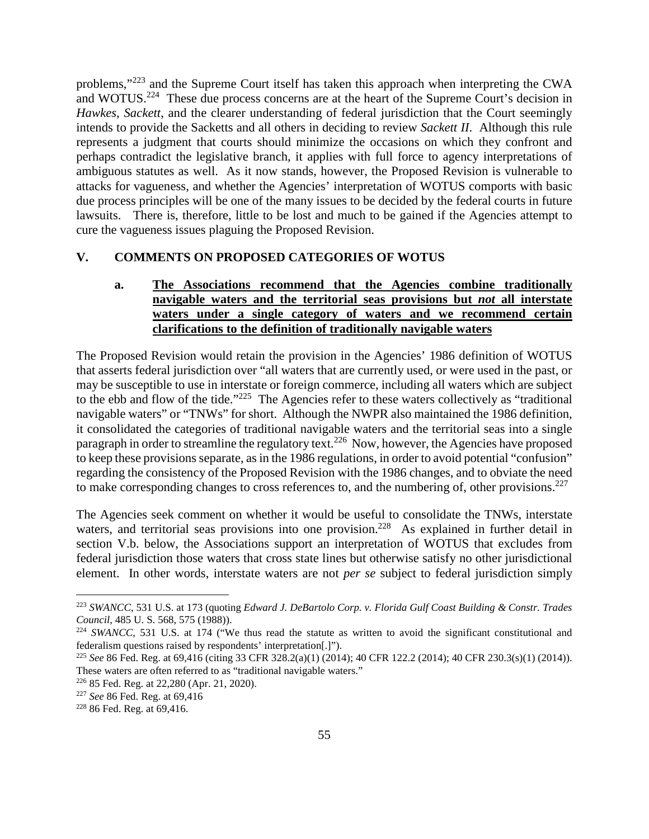problems,"<sup>223</sup> and the Supreme Court itself has taken this approach when interpreting the CWA and WOTUS.<sup>224</sup> These due process concerns are at the heart of the Supreme Court's decision in *Hawkes, Sackett*, and the clearer understanding of federal jurisdiction that the Court seemingly intends to provide the Sacketts and all others in deciding to review *Sackett II*. Although this rule represents a judgment that courts should minimize the occasions on which they confront and perhaps contradict the legislative branch, it applies with full force to agency interpretations of ambiguous statutes as well. As it now stands, however, the Proposed Revision is vulnerable to attacks for vagueness, and whether the Agencies' interpretation of WOTUS comports with basic due process principles will be one of the many issues to be decided by the federal courts in future lawsuits. There is, therefore, little to be lost and much to be gained if the Agencies attempt to cure the vagueness issues plaguing the Proposed Revision.

### **V. COMMENTS ON PROPOSED CATEGORIES OF WOTUS**

### **a. The Associations recommend that the Agencies combine traditionally navigable waters and the territorial seas provisions but** *not* **all interstate waters under a single category of waters and we recommend certain clarifications to the definition of traditionally navigable waters**

The Proposed Revision would retain the provision in the Agencies' 1986 definition of WOTUS that asserts federal jurisdiction over "all waters that are currently used, or were used in the past, or may be susceptible to use in interstate or foreign commerce, including all waters which are subject to the ebb and flow of the tide."<sup>225</sup> The Agencies refer to these waters collectively as "traditional navigable waters" or "TNWs" for short. Although the NWPR also maintained the 1986 definition, it consolidated the categories of traditional navigable waters and the territorial seas into a single paragraph in order to streamline the regulatory text.<sup>226</sup> Now, however, the Agencies have proposed to keep these provisions separate, as in the 1986 regulations, in order to avoid potential "confusion" regarding the consistency of the Proposed Revision with the 1986 changes, and to obviate the need to make corresponding changes to cross references to, and the numbering of, other provisions.<sup>227</sup>

The Agencies seek comment on whether it would be useful to consolidate the TNWs, interstate waters, and territorial seas provisions into one provision.<sup>228</sup> As explained in further detail in section V.b. below, the Associations support an interpretation of WOTUS that excludes from federal jurisdiction those waters that cross state lines but otherwise satisfy no other jurisdictional element. In other words, interstate waters are not *per se* subject to federal jurisdiction simply

<sup>223</sup> *SWANCC*, 531 U.S. at 173 (quoting *Edward J. DeBartolo Corp. v. Florida Gulf Coast Building & Constr. Trades Council*, 485 U. S. 568, 575 (1988)).

<sup>&</sup>lt;sup>224</sup> *SWANCC*, 531 U.S. at 174 ("We thus read the statute as written to avoid the significant constitutional and federalism questions raised by respondents' interpretation[.]").

<sup>225</sup> *See* 86 Fed. Reg. at 69,416 (citing 33 CFR 328.2(a)(1) (2014); 40 CFR 122.2 (2014); 40 CFR 230.3(s)(1) (2014)). These waters are often referred to as "traditional navigable waters."

<sup>226</sup> 85 Fed. Reg. at 22,280 (Apr. 21, 2020).

<sup>227</sup> *See* 86 Fed. Reg. at 69,416

<sup>228</sup> 86 Fed. Reg. at 69,416.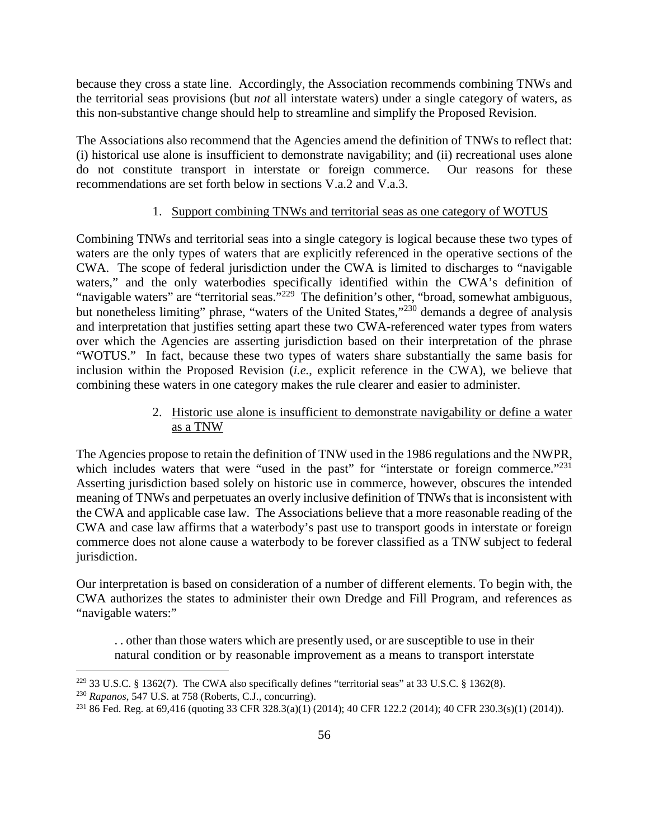because they cross a state line. Accordingly, the Association recommends combining TNWs and the territorial seas provisions (but *not* all interstate waters) under a single category of waters, as this non-substantive change should help to streamline and simplify the Proposed Revision.

The Associations also recommend that the Agencies amend the definition of TNWs to reflect that: (i) historical use alone is insufficient to demonstrate navigability; and (ii) recreational uses alone do not constitute transport in interstate or foreign commerce. Our reasons for these recommendations are set forth below in sections V.a.2 and V.a.3.

#### 1. Support combining TNWs and territorial seas as one category of WOTUS

Combining TNWs and territorial seas into a single category is logical because these two types of waters are the only types of waters that are explicitly referenced in the operative sections of the CWA. The scope of federal jurisdiction under the CWA is limited to discharges to "navigable waters," and the only waterbodies specifically identified within the CWA's definition of "navigable waters" are "territorial seas."<sup>229</sup> The definition's other, "broad, somewhat ambiguous, but nonetheless limiting" phrase, "waters of the United States,"<sup>230</sup> demands a degree of analysis and interpretation that justifies setting apart these two CWA-referenced water types from waters over which the Agencies are asserting jurisdiction based on their interpretation of the phrase "WOTUS." In fact, because these two types of waters share substantially the same basis for inclusion within the Proposed Revision (*i.e.*, explicit reference in the CWA), we believe that combining these waters in one category makes the rule clearer and easier to administer.

### 2. Historic use alone is insufficient to demonstrate navigability or define a water as a TNW

The Agencies propose to retain the definition of TNW used in the 1986 regulations and the NWPR, which includes waters that were "used in the past" for "interstate or foreign commerce."<sup>231</sup> Asserting jurisdiction based solely on historic use in commerce, however, obscures the intended meaning of TNWs and perpetuates an overly inclusive definition of TNWs that is inconsistent with the CWA and applicable case law. The Associations believe that a more reasonable reading of the CWA and case law affirms that a waterbody's past use to transport goods in interstate or foreign commerce does not alone cause a waterbody to be forever classified as a TNW subject to federal jurisdiction.

Our interpretation is based on consideration of a number of different elements. To begin with, the CWA authorizes the states to administer their own Dredge and Fill Program, and references as "navigable waters:"

. . other than those waters which are presently used, or are susceptible to use in their natural condition or by reasonable improvement as a means to transport interstate

<sup>229</sup> 33 U.S.C. § 1362(7). The CWA also specifically defines "territorial seas" at 33 U.S.C. § 1362(8).

<sup>230</sup> *Rapanos*, 547 U.S. at 758 (Roberts, C.J., concurring).

<sup>231</sup> 86 Fed. Reg. at 69,416 (quoting 33 CFR 328.3(a)(1) (2014); 40 CFR 122.2 (2014); 40 CFR 230.3(s)(1) (2014)).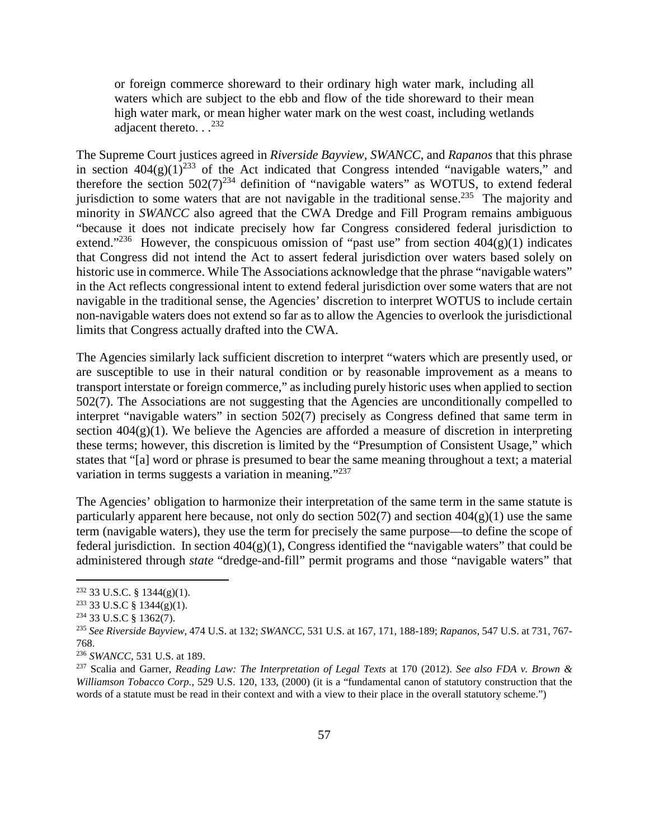or foreign commerce shoreward to their ordinary high water mark, including all waters which are subject to the ebb and flow of the tide shoreward to their mean high water mark, or mean higher water mark on the west coast, including wetlands adjacent thereto.  $.$ <sup>232</sup>

The Supreme Court justices agreed in *Riverside Bayview*, *SWANCC*, and *Rapanos* that this phrase in section  $404(g)(1)^{233}$  of the Act indicated that Congress intended "navigable waters," and therefore the section  $502(7)^{234}$  definition of "navigable waters" as WOTUS, to extend federal jurisdiction to some waters that are not navigable in the traditional sense.<sup>235</sup> The majority and minority in *SWANCC* also agreed that the CWA Dredge and Fill Program remains ambiguous "because it does not indicate precisely how far Congress considered federal jurisdiction to extend."<sup>236</sup> However, the conspicuous omission of "past use" from section  $404(g)(1)$  indicates that Congress did not intend the Act to assert federal jurisdiction over waters based solely on historic use in commerce. While The Associations acknowledge that the phrase "navigable waters" in the Act reflects congressional intent to extend federal jurisdiction over some waters that are not navigable in the traditional sense, the Agencies' discretion to interpret WOTUS to include certain non-navigable waters does not extend so far as to allow the Agencies to overlook the jurisdictional limits that Congress actually drafted into the CWA.

The Agencies similarly lack sufficient discretion to interpret "waters which are presently used, or are susceptible to use in their natural condition or by reasonable improvement as a means to transport interstate or foreign commerce," as including purely historic uses when applied to section 502(7). The Associations are not suggesting that the Agencies are unconditionally compelled to interpret "navigable waters" in section 502(7) precisely as Congress defined that same term in section  $404(g)(1)$ . We believe the Agencies are afforded a measure of discretion in interpreting these terms; however, this discretion is limited by the "Presumption of Consistent Usage," which states that "[a] word or phrase is presumed to bear the same meaning throughout a text; a material variation in terms suggests a variation in meaning."<sup>237</sup>

The Agencies' obligation to harmonize their interpretation of the same term in the same statute is particularly apparent here because, not only do section  $502(7)$  and section  $404(g)(1)$  use the same term (navigable waters), they use the term for precisely the same purpose—to define the scope of federal jurisdiction. In section  $404(g)(1)$ , Congress identified the "navigable waters" that could be administered through *state* "dredge-and-fill" permit programs and those "navigable waters" that

 $232$  33 U.S.C. § 1344(g)(1).

 $233$  33 U.S.C § 1344(g)(1).

<sup>234</sup> 33 U.S.C § 1362(7).

<sup>235</sup> *See Riverside Bayview*, 474 U.S. at 132; *SWANCC*, 531 U.S. at 167, 171, 188-189; *Rapanos*, 547 U.S. at 731, 767- 768.

<sup>236</sup> *SWANCC*, 531 U.S. at 189.

<sup>237</sup> Scalia and Garner, *Reading Law: The Interpretation of Legal Texts* at 170 (2012). *See also FDA v. Brown & Williamson Tobacco Corp.*, 529 U.S. 120, 133, (2000) (it is a "fundamental canon of statutory construction that the words of a statute must be read in their context and with a view to their place in the overall statutory scheme.")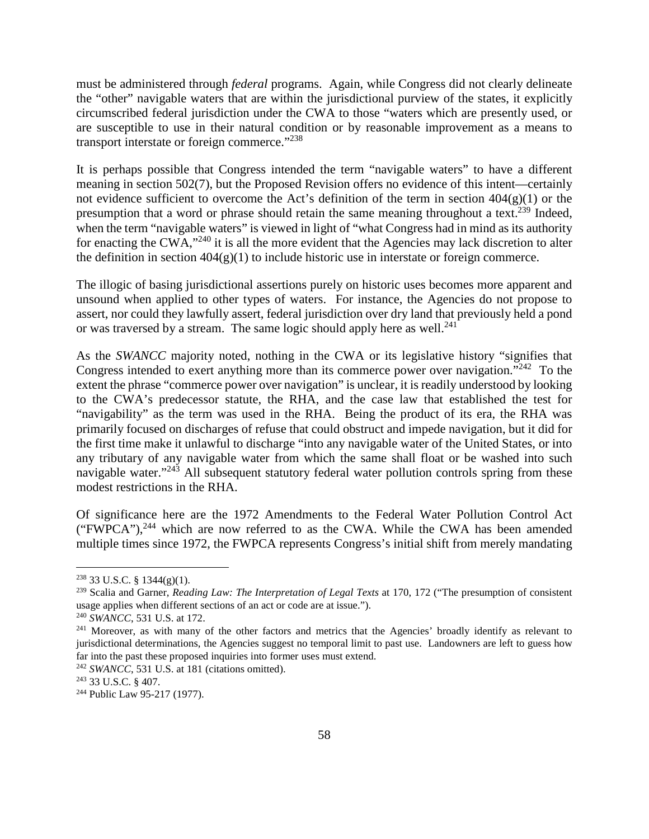must be administered through *federal* programs. Again, while Congress did not clearly delineate the "other" navigable waters that are within the jurisdictional purview of the states, it explicitly circumscribed federal jurisdiction under the CWA to those "waters which are presently used, or are susceptible to use in their natural condition or by reasonable improvement as a means to transport interstate or foreign commerce."<sup>238</sup>

It is perhaps possible that Congress intended the term "navigable waters" to have a different meaning in section 502(7), but the Proposed Revision offers no evidence of this intent—certainly not evidence sufficient to overcome the Act's definition of the term in section  $404(g)(1)$  or the presumption that a word or phrase should retain the same meaning throughout a text.<sup>239</sup> Indeed, when the term "navigable waters" is viewed in light of "what Congress had in mind as its authority for enacting the CWA,"<sup>240</sup> it is all the more evident that the Agencies may lack discretion to alter the definition in section  $404(g)(1)$  to include historic use in interstate or foreign commerce.

The illogic of basing jurisdictional assertions purely on historic uses becomes more apparent and unsound when applied to other types of waters. For instance, the Agencies do not propose to assert, nor could they lawfully assert, federal jurisdiction over dry land that previously held a pond or was traversed by a stream. The same logic should apply here as well.<sup>241</sup>

As the *SWANCC* majority noted, nothing in the CWA or its legislative history "signifies that Congress intended to exert anything more than its commerce power over navigation."<sup>242</sup> To the extent the phrase "commerce power over navigation" is unclear, it is readily understood by looking to the CWA's predecessor statute, the RHA, and the case law that established the test for "navigability" as the term was used in the RHA. Being the product of its era, the RHA was primarily focused on discharges of refuse that could obstruct and impede navigation, but it did for the first time make it unlawful to discharge "into any navigable water of the United States, or into any tributary of any navigable water from which the same shall float or be washed into such navigable water."<sup>243</sup> All subsequent statutory federal water pollution controls spring from these modest restrictions in the RHA.

Of significance here are the 1972 Amendments to the Federal Water Pollution Control Act ("FWPCA"), $^{244}$  which are now referred to as the CWA. While the CWA has been amended multiple times since 1972, the FWPCA represents Congress's initial shift from merely mandating

 $238$  33 U.S.C. § 1344(g)(1).

<sup>239</sup> Scalia and Garner, *Reading Law: The Interpretation of Legal Texts* at 170, 172 ("The presumption of consistent usage applies when different sections of an act or code are at issue.").

<sup>240</sup> *SWANCC*, 531 U.S. at 172.

<sup>&</sup>lt;sup>241</sup> Moreover, as with many of the other factors and metrics that the Agencies' broadly identify as relevant to jurisdictional determinations, the Agencies suggest no temporal limit to past use. Landowners are left to guess how far into the past these proposed inquiries into former uses must extend.

<sup>242</sup> *SWANCC*, 531 U.S. at 181 (citations omitted).

<sup>243</sup> 33 U.S.C. § 407.

<sup>244</sup> Public Law 95-217 (1977).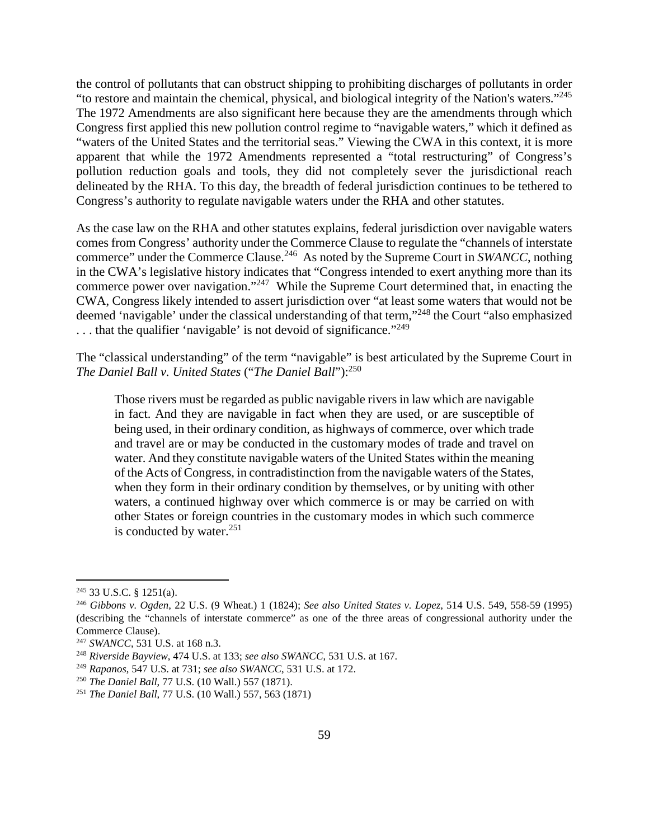the control of pollutants that can obstruct shipping to prohibiting discharges of pollutants in order "to restore and maintain the chemical, physical, and biological integrity of the Nation's waters."<sup>245</sup> The 1972 Amendments are also significant here because they are the amendments through which Congress first applied this new pollution control regime to "navigable waters," which it defined as "waters of the United States and the territorial seas." Viewing the CWA in this context, it is more apparent that while the 1972 Amendments represented a "total restructuring" of Congress's pollution reduction goals and tools, they did not completely sever the jurisdictional reach delineated by the RHA. To this day, the breadth of federal jurisdiction continues to be tethered to Congress's authority to regulate navigable waters under the RHA and other statutes.

As the case law on the RHA and other statutes explains, federal jurisdiction over navigable waters comes from Congress' authority under the Commerce Clause to regulate the "channels of interstate commerce" under the Commerce Clause.<sup>246</sup> As noted by the Supreme Court in *SWANCC*, nothing in the CWA's legislative history indicates that "Congress intended to exert anything more than its commerce power over navigation."<sup>247</sup> While the Supreme Court determined that, in enacting the CWA, Congress likely intended to assert jurisdiction over "at least some waters that would not be deemed 'navigable' under the classical understanding of that term,"<sup>248</sup> the Court "also emphasized . . . that the qualifier 'navigable' is not devoid of significance."<sup>249</sup>

The "classical understanding" of the term "navigable" is best articulated by the Supreme Court in *The Daniel Ball v. United States* ("*The Daniel Ball*"):<sup>250</sup>

Those rivers must be regarded as public navigable rivers in law which are navigable in fact. And they are navigable in fact when they are used, or are susceptible of being used, in their ordinary condition, as highways of commerce, over which trade and travel are or may be conducted in the customary modes of trade and travel on water. And they constitute navigable waters of the United States within the meaning of the Acts of Congress, in contradistinction from the navigable waters of the States, when they form in their ordinary condition by themselves, or by uniting with other waters, a continued highway over which commerce is or may be carried on with other States or foreign countries in the customary modes in which such commerce is conducted by water. $251$ 

<sup>245</sup> 33 U.S.C. § 1251(a).

<sup>246</sup> *Gibbons v. Ogden*, 22 U.S. (9 Wheat.) 1 (1824); *See also United States v. Lopez*, 514 U.S. 549, 558-59 (1995) (describing the "channels of interstate commerce" as one of the three areas of congressional authority under the Commerce Clause).

<sup>247</sup> *SWANCC*, 531 U.S. at 168 n.3.

<sup>248</sup> *Riverside Bayview*, 474 U.S. at 133; *see also SWANCC*, 531 U.S. at 167.

<sup>249</sup> *Rapanos*, 547 U.S. at 731; *see also SWANCC*, 531 U.S. at 172.

<sup>250</sup> *The Daniel Ball*, 77 U.S. (10 Wall.) 557 (1871).

<sup>251</sup> *The Daniel Ball*, 77 U.S. (10 Wall.) 557, 563 (1871)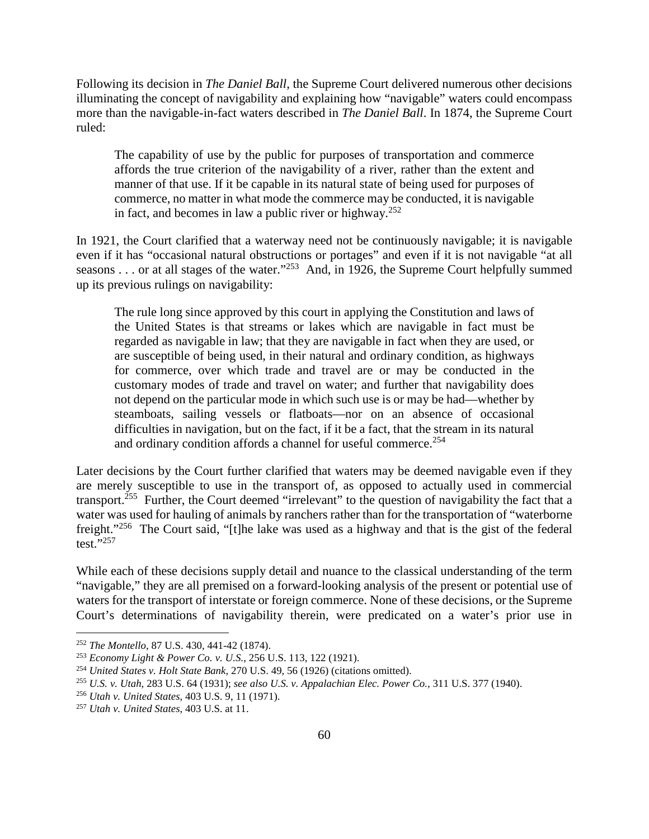Following its decision in *The Daniel Ball*, the Supreme Court delivered numerous other decisions illuminating the concept of navigability and explaining how "navigable" waters could encompass more than the navigable-in-fact waters described in *The Daniel Ball*. In 1874, the Supreme Court ruled:

The capability of use by the public for purposes of transportation and commerce affords the true criterion of the navigability of a river, rather than the extent and manner of that use. If it be capable in its natural state of being used for purposes of commerce, no matter in what mode the commerce may be conducted, it is navigable in fact, and becomes in law a public river or highway.<sup>252</sup>

In 1921, the Court clarified that a waterway need not be continuously navigable; it is navigable even if it has "occasional natural obstructions or portages" and even if it is not navigable "at all seasons . . . or at all stages of the water."<sup>253</sup> And, in 1926, the Supreme Court helpfully summed up its previous rulings on navigability:

The rule long since approved by this court in applying the Constitution and laws of the United States is that streams or lakes which are navigable in fact must be regarded as navigable in law; that they are navigable in fact when they are used, or are susceptible of being used, in their natural and ordinary condition, as highways for commerce, over which trade and travel are or may be conducted in the customary modes of trade and travel on water; and further that navigability does not depend on the particular mode in which such use is or may be had—whether by steamboats, sailing vessels or flatboats—nor on an absence of occasional difficulties in navigation, but on the fact, if it be a fact, that the stream in its natural and ordinary condition affords a channel for useful commerce.<sup>254</sup>

Later decisions by the Court further clarified that waters may be deemed navigable even if they are merely susceptible to use in the transport of, as opposed to actually used in commercial transport.<sup>255</sup> Further, the Court deemed "irrelevant" to the question of navigability the fact that a water was used for hauling of animals by ranchers rather than for the transportation of "waterborne freight."<sup>256</sup> The Court said, "[t]he lake was used as a highway and that is the gist of the federal  $test.^{5,257}$ 

While each of these decisions supply detail and nuance to the classical understanding of the term "navigable," they are all premised on a forward-looking analysis of the present or potential use of waters for the transport of interstate or foreign commerce. None of these decisions, or the Supreme Court's determinations of navigability therein, were predicated on a water's prior use in

<sup>252</sup> *The Montello*, 87 U.S. 430, 441-42 (1874).

<sup>253</sup> *Economy Light & Power Co. v. U.S.*, 256 U.S. 113, 122 (1921).

<sup>254</sup> *United States v. Holt State Bank*, 270 U.S. 49, 56 (1926) (citations omitted).

<sup>255</sup> *U.S. v. Utah*, 283 U.S. 64 (1931); *see also U.S. v. Appalachian Elec. Power Co.*, 311 U.S. 377 (1940).

<sup>256</sup> *Utah v. United States*, 403 U.S. 9, 11 (1971).

<sup>257</sup> *Utah v. United States*, 403 U.S. at 11.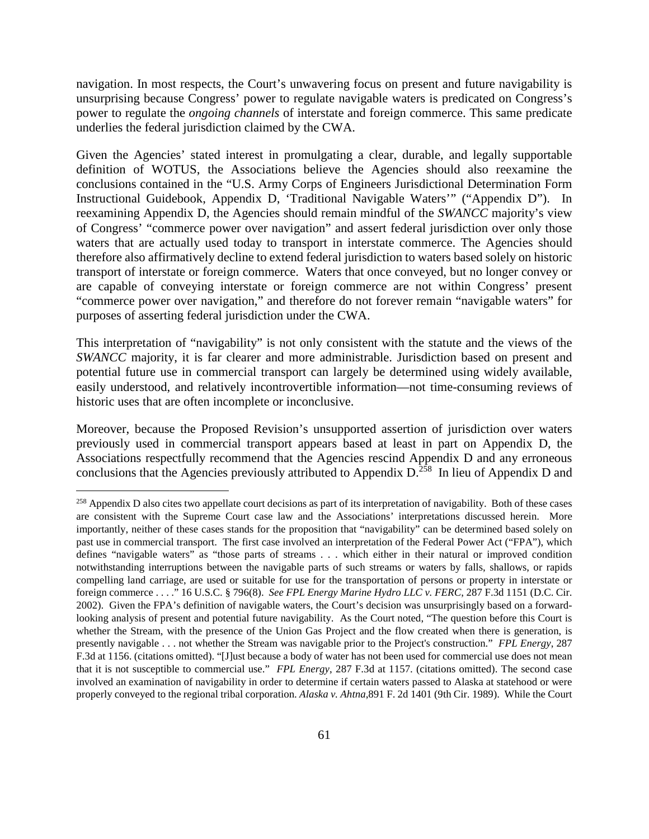navigation. In most respects, the Court's unwavering focus on present and future navigability is unsurprising because Congress' power to regulate navigable waters is predicated on Congress's power to regulate the *ongoing channels* of interstate and foreign commerce. This same predicate underlies the federal jurisdiction claimed by the CWA.

Given the Agencies' stated interest in promulgating a clear, durable, and legally supportable definition of WOTUS, the Associations believe the Agencies should also reexamine the conclusions contained in the "U.S. Army Corps of Engineers Jurisdictional Determination Form Instructional Guidebook, Appendix D, 'Traditional Navigable Waters'" ("Appendix D"). In reexamining Appendix D, the Agencies should remain mindful of the *SWANCC* majority's view of Congress' "commerce power over navigation" and assert federal jurisdiction over only those waters that are actually used today to transport in interstate commerce. The Agencies should therefore also affirmatively decline to extend federal jurisdiction to waters based solely on historic transport of interstate or foreign commerce. Waters that once conveyed, but no longer convey or are capable of conveying interstate or foreign commerce are not within Congress' present "commerce power over navigation," and therefore do not forever remain "navigable waters" for purposes of asserting federal jurisdiction under the CWA.

This interpretation of "navigability" is not only consistent with the statute and the views of the *SWANCC* majority, it is far clearer and more administrable. Jurisdiction based on present and potential future use in commercial transport can largely be determined using widely available, easily understood, and relatively incontrovertible information—not time-consuming reviews of historic uses that are often incomplete or inconclusive.

Moreover, because the Proposed Revision's unsupported assertion of jurisdiction over waters previously used in commercial transport appears based at least in part on Appendix D, the Associations respectfully recommend that the Agencies rescind Appendix D and any erroneous conclusions that the Agencies previously attributed to Appendix  $D^{\frac{258}{1258}}$  In lieu of Appendix D and

<sup>&</sup>lt;sup>258</sup> Appendix D also cites two appellate court decisions as part of its interpretation of navigability. Both of these cases are consistent with the Supreme Court case law and the Associations' interpretations discussed herein. More importantly, neither of these cases stands for the proposition that "navigability" can be determined based solely on past use in commercial transport. The first case involved an interpretation of the Federal Power Act ("FPA"), which defines "navigable waters" as "those parts of streams . . . which either in their natural or improved condition notwithstanding interruptions between the navigable parts of such streams or waters by falls, shallows, or rapids compelling land carriage, are used or suitable for use for the transportation of persons or property in interstate or foreign commerce . . . ." 16 U.S.C. § 796(8). *See FPL Energy Marine Hydro LLC v. FERC*, 287 F.3d 1151 (D.C. Cir. 2002). Given the FPA's definition of navigable waters, the Court's decision was unsurprisingly based on a forwardlooking analysis of present and potential future navigability. As the Court noted, "The question before this Court is whether the Stream, with the presence of the Union Gas Project and the flow created when there is generation, is presently navigable . . . not whether the Stream was navigable prior to the Project's construction." *FPL Energy*, 287 F.3d at 1156. (citations omitted). "[J]ust because a body of water has not been used for commercial use does not mean that it is not susceptible to commercial use." *FPL Energy*, 287 F.3d at 1157. (citations omitted). The second case involved an examination of navigability in order to determine if certain waters passed to Alaska at statehood or were properly conveyed to the regional tribal corporation. *Alaska v. Ahtna*,891 F. 2d 1401 (9th Cir. 1989). While the Court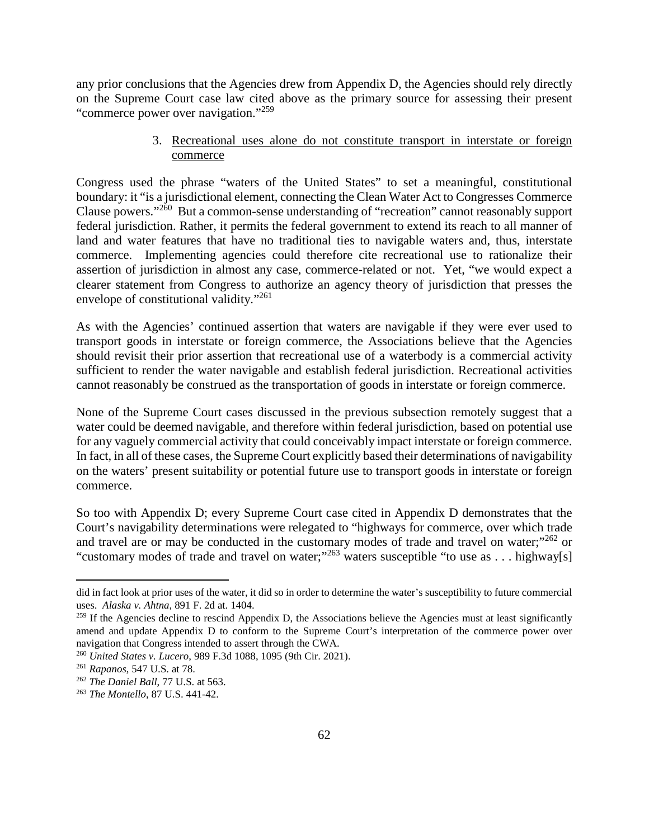any prior conclusions that the Agencies drew from Appendix D, the Agencies should rely directly on the Supreme Court case law cited above as the primary source for assessing their present "commerce power over navigation."<sup>259</sup>

### 3. Recreational uses alone do not constitute transport in interstate or foreign commerce

Congress used the phrase "waters of the United States" to set a meaningful, constitutional boundary: it "is a jurisdictional element, connecting the Clean Water Act to Congresses Commerce Clause powers."<sup>260</sup> But a common-sense understanding of "recreation" cannot reasonably support federal jurisdiction. Rather, it permits the federal government to extend its reach to all manner of land and water features that have no traditional ties to navigable waters and, thus, interstate commerce. Implementing agencies could therefore cite recreational use to rationalize their assertion of jurisdiction in almost any case, commerce-related or not. Yet, "we would expect a clearer statement from Congress to authorize an agency theory of jurisdiction that presses the envelope of constitutional validity."<sup>261</sup>

As with the Agencies' continued assertion that waters are navigable if they were ever used to transport goods in interstate or foreign commerce, the Associations believe that the Agencies should revisit their prior assertion that recreational use of a waterbody is a commercial activity sufficient to render the water navigable and establish federal jurisdiction. Recreational activities cannot reasonably be construed as the transportation of goods in interstate or foreign commerce.

None of the Supreme Court cases discussed in the previous subsection remotely suggest that a water could be deemed navigable, and therefore within federal jurisdiction, based on potential use for any vaguely commercial activity that could conceivably impact interstate or foreign commerce. In fact, in all of these cases, the Supreme Court explicitly based their determinations of navigability on the waters' present suitability or potential future use to transport goods in interstate or foreign commerce.

So too with Appendix D; every Supreme Court case cited in Appendix D demonstrates that the Court's navigability determinations were relegated to "highways for commerce, over which trade and travel are or may be conducted in the customary modes of trade and travel on water;"<sup>262</sup> or "customary modes of trade and travel on water;"<sup>263</sup> waters susceptible "to use as . . . highway[s]

did in fact look at prior uses of the water, it did so in order to determine the water's susceptibility to future commercial uses. *Alaska v. Ahtna*, 891 F. 2d at. 1404.

 $259$  If the Agencies decline to rescind Appendix D, the Associations believe the Agencies must at least significantly amend and update Appendix D to conform to the Supreme Court's interpretation of the commerce power over navigation that Congress intended to assert through the CWA.

<sup>260</sup> *United States v. Lucero*, 989 F.3d 1088, 1095 (9th Cir. 2021).

<sup>261</sup> *Rapanos*, 547 U.S. at 78.

<sup>262</sup> *The Daniel Ball*, 77 U.S. at 563.

<sup>263</sup> *The Montello*, 87 U.S. 441-42.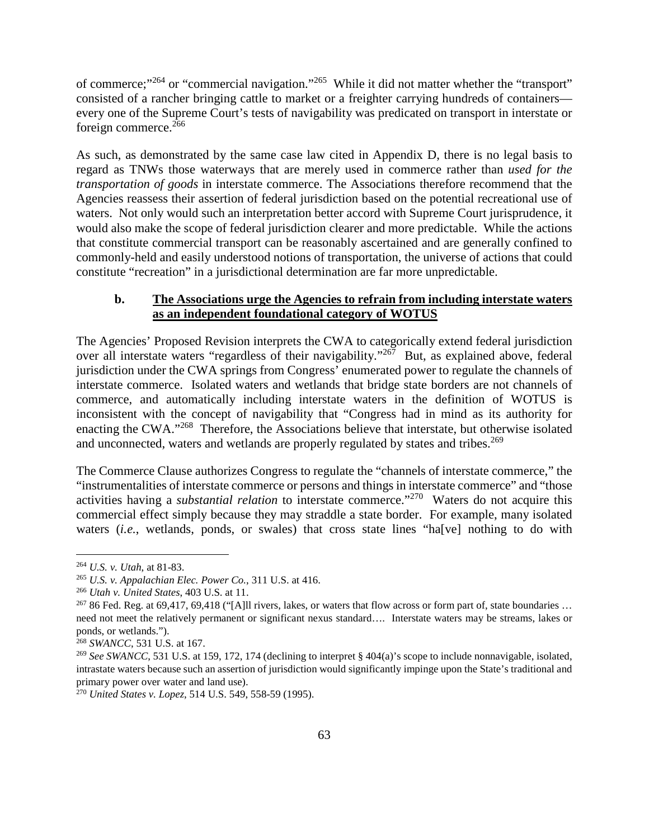of commerce;"<sup>264</sup> or "commercial navigation."<sup>265</sup> While it did not matter whether the "transport" consisted of a rancher bringing cattle to market or a freighter carrying hundreds of containers every one of the Supreme Court's tests of navigability was predicated on transport in interstate or foreign commerce.<sup>266</sup>

As such, as demonstrated by the same case law cited in Appendix D, there is no legal basis to regard as TNWs those waterways that are merely used in commerce rather than *used for the transportation of goods* in interstate commerce. The Associations therefore recommend that the Agencies reassess their assertion of federal jurisdiction based on the potential recreational use of waters. Not only would such an interpretation better accord with Supreme Court jurisprudence, it would also make the scope of federal jurisdiction clearer and more predictable. While the actions that constitute commercial transport can be reasonably ascertained and are generally confined to commonly-held and easily understood notions of transportation, the universe of actions that could constitute "recreation" in a jurisdictional determination are far more unpredictable.

## **b. The Associations urge the Agencies to refrain from including interstate waters as an independent foundational category of WOTUS**

The Agencies' Proposed Revision interprets the CWA to categorically extend federal jurisdiction over all interstate waters "regardless of their navigability."<sup>267</sup> But, as explained above, federal jurisdiction under the CWA springs from Congress' enumerated power to regulate the channels of interstate commerce. Isolated waters and wetlands that bridge state borders are not channels of commerce, and automatically including interstate waters in the definition of WOTUS is inconsistent with the concept of navigability that "Congress had in mind as its authority for enacting the CWA."<sup>268</sup> Therefore, the Associations believe that interstate, but otherwise isolated and unconnected, waters and wetlands are properly regulated by states and tribes.<sup>269</sup>

The Commerce Clause authorizes Congress to regulate the "channels of interstate commerce," the "instrumentalities of interstate commerce or persons and things in interstate commerce" and "those activities having a *substantial relation* to interstate commerce."<sup>270</sup> Waters do not acquire this commercial effect simply because they may straddle a state border. For example, many isolated waters *(i.e.*, wetlands, ponds, or swales) that cross state lines "ha<sup>[</sup>ve] nothing to do with

<sup>264</sup> *U.S. v. Utah*, at 81-83.

<sup>265</sup> *U.S. v. Appalachian Elec. Power Co.*, 311 U.S. at 416.

<sup>266</sup> *Utah v. United States*, 403 U.S. at 11.

 $26786$  Fed. Reg. at 69,417, 69,418 ("[A]ll rivers, lakes, or waters that flow across or form part of, state boundaries ... need not meet the relatively permanent or significant nexus standard…. Interstate waters may be streams, lakes or ponds, or wetlands.").

<sup>268</sup> *SWANCC*, 531 U.S. at 167.

<sup>&</sup>lt;sup>269</sup> *See SWANCC*, 531 U.S. at 159, 172, 174 (declining to interpret § 404(a)'s scope to include nonnavigable, isolated, intrastate waters because such an assertion of jurisdiction would significantly impinge upon the State's traditional and primary power over water and land use).

<sup>270</sup> *United States v. Lopez*, 514 U.S. 549, 558-59 (1995).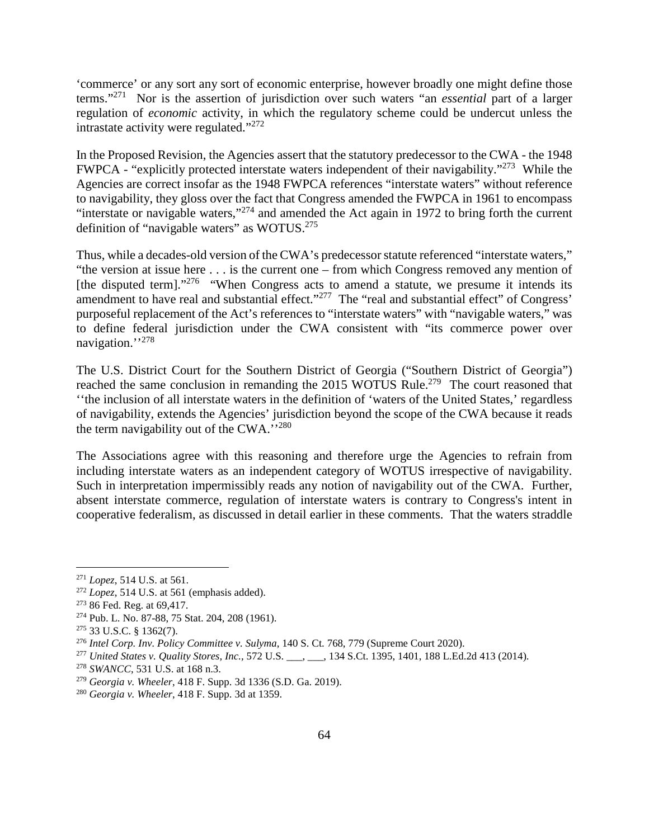'commerce' or any sort any sort of economic enterprise, however broadly one might define those terms."<sup>271</sup> Nor is the assertion of jurisdiction over such waters "an *essential* part of a larger regulation of *economic* activity, in which the regulatory scheme could be undercut unless the intrastate activity were regulated." $272$ 

In the Proposed Revision, the Agencies assert that the statutory predecessor to the CWA - the 1948 FWPCA - "explicitly protected interstate waters independent of their navigability."<sup>273</sup> While the Agencies are correct insofar as the 1948 FWPCA references "interstate waters" without reference to navigability, they gloss over the fact that Congress amended the FWPCA in 1961 to encompass "interstate or navigable waters,"<sup>274</sup> and amended the Act again in 1972 to bring forth the current definition of "navigable waters" as WOTUS.<sup>275</sup>

Thus, while a decades-old version of the CWA's predecessor statute referenced "interstate waters," "the version at issue here . . . is the current one – from which Congress removed any mention of [the disputed term]."<sup>276</sup> "When Congress acts to amend a statute, we presume it intends its amendment to have real and substantial effect."<sup>277</sup> The "real and substantial effect" of Congress' purposeful replacement of the Act's references to "interstate waters" with "navigable waters," was to define federal jurisdiction under the CWA consistent with "its commerce power over navigation."<sup>278</sup>

The U.S. District Court for the Southern District of Georgia ("Southern District of Georgia") reached the same conclusion in remanding the 2015 WOTUS Rule.<sup>279</sup> The court reasoned that ''the inclusion of all interstate waters in the definition of 'waters of the United States,' regardless of navigability, extends the Agencies' jurisdiction beyond the scope of the CWA because it reads the term navigability out of the CWA."<sup>280</sup>

The Associations agree with this reasoning and therefore urge the Agencies to refrain from including interstate waters as an independent category of WOTUS irrespective of navigability. Such in interpretation impermissibly reads any notion of navigability out of the CWA. Further, absent interstate commerce, regulation of interstate waters is contrary to Congress's intent in cooperative federalism, as discussed in detail earlier in these comments. That the waters straddle

<sup>271</sup> *Lopez*, 514 U.S. at 561.

<sup>272</sup> *Lopez*, 514 U.S. at 561 (emphasis added).

<sup>&</sup>lt;sup>273</sup> 86 Fed. Reg. at 69,417.

<sup>274</sup> Pub. L. No. 87-88, 75 Stat. 204, 208 (1961).

<sup>275</sup> 33 U.S.C. § 1362(7).

<sup>276</sup> *Intel Corp. Inv. Policy Committee v. Sulyma*, 140 S. Ct. 768, 779 (Supreme Court 2020).

<sup>277</sup> *United States v. Quality Stores, Inc.,* 572 U.S. \_\_\_, \_\_\_, 134 S.Ct. 1395, 1401, 188 L.Ed.2d 413 (2014).

<sup>278</sup> *SWANCC*, 531 U.S. at 168 n.3.

<sup>279</sup> *Georgia v. Wheeler*, 418 F. Supp. 3d 1336 (S.D. Ga. 2019).

<sup>280</sup> *Georgia v. Wheeler*, 418 F. Supp. 3d at 1359.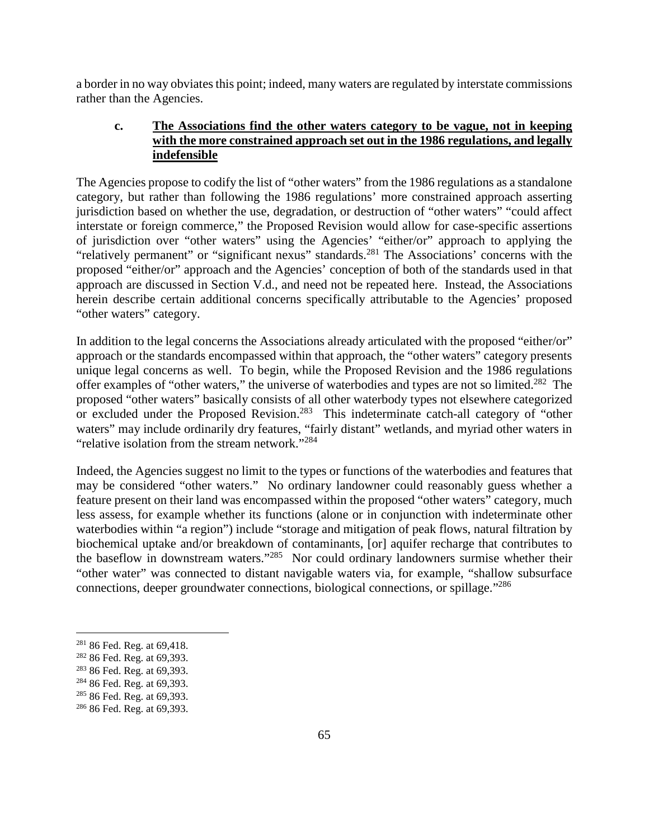a border in no way obviates this point; indeed, many waters are regulated by interstate commissions rather than the Agencies.

## **c. The Associations find the other waters category to be vague, not in keeping with the more constrained approach set out in the 1986 regulations, and legally indefensible**

The Agencies propose to codify the list of "other waters" from the 1986 regulations as a standalone category, but rather than following the 1986 regulations' more constrained approach asserting jurisdiction based on whether the use, degradation, or destruction of "other waters" "could affect interstate or foreign commerce," the Proposed Revision would allow for case-specific assertions of jurisdiction over "other waters" using the Agencies' "either/or" approach to applying the "relatively permanent" or "significant nexus" standards.<sup>281</sup> The Associations' concerns with the proposed "either/or" approach and the Agencies' conception of both of the standards used in that approach are discussed in Section V.d., and need not be repeated here. Instead, the Associations herein describe certain additional concerns specifically attributable to the Agencies' proposed "other waters" category.

In addition to the legal concerns the Associations already articulated with the proposed "either/or" approach or the standards encompassed within that approach, the "other waters" category presents unique legal concerns as well. To begin, while the Proposed Revision and the 1986 regulations offer examples of "other waters," the universe of waterbodies and types are not so limited.<sup>282</sup> The proposed "other waters" basically consists of all other waterbody types not elsewhere categorized or excluded under the Proposed Revision.<sup>283</sup> This indeterminate catch-all category of "other waters" may include ordinarily dry features, "fairly distant" wetlands, and myriad other waters in "relative isolation from the stream network."<sup>284</sup>

Indeed, the Agencies suggest no limit to the types or functions of the waterbodies and features that may be considered "other waters." No ordinary landowner could reasonably guess whether a feature present on their land was encompassed within the proposed "other waters" category, much less assess, for example whether its functions (alone or in conjunction with indeterminate other waterbodies within "a region") include "storage and mitigation of peak flows, natural filtration by biochemical uptake and/or breakdown of contaminants, [or] aquifer recharge that contributes to the baseflow in downstream waters."<sup>285</sup> Nor could ordinary landowners surmise whether their "other water" was connected to distant navigable waters via, for example, "shallow subsurface connections, deeper groundwater connections, biological connections, or spillage."<sup>286</sup>

<sup>281</sup> 86 Fed. Reg. at 69,418.

<sup>282</sup> 86 Fed. Reg. at 69,393.

<sup>283</sup> 86 Fed. Reg. at 69,393.

<sup>284</sup> 86 Fed. Reg. at 69,393.

<sup>&</sup>lt;sup>285</sup> 86 Fed. Reg. at 69,393.

<sup>286</sup> 86 Fed. Reg. at 69,393.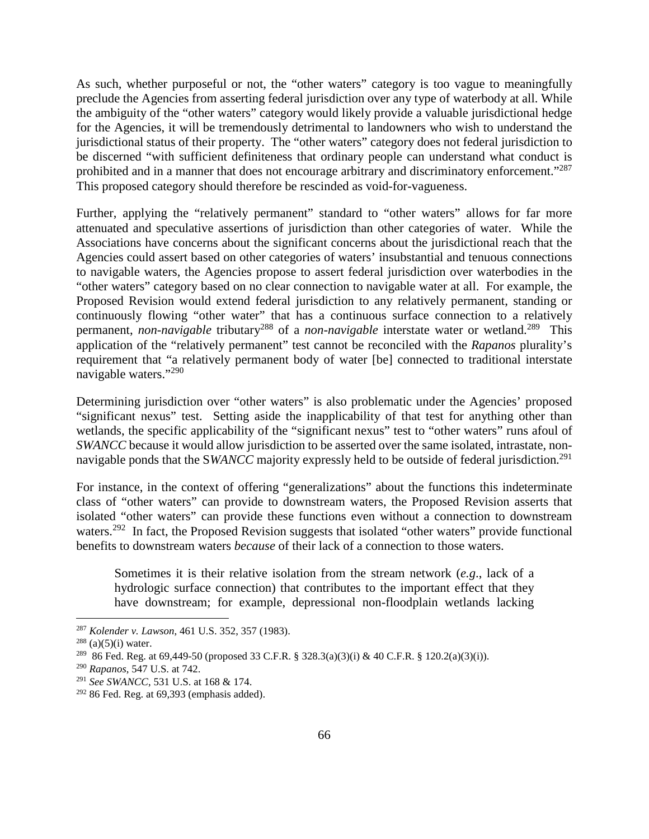As such, whether purposeful or not, the "other waters" category is too vague to meaningfully preclude the Agencies from asserting federal jurisdiction over any type of waterbody at all. While the ambiguity of the "other waters" category would likely provide a valuable jurisdictional hedge for the Agencies, it will be tremendously detrimental to landowners who wish to understand the jurisdictional status of their property. The "other waters" category does not federal jurisdiction to be discerned "with sufficient definiteness that ordinary people can understand what conduct is prohibited and in a manner that does not encourage arbitrary and discriminatory enforcement."<sup>287</sup> This proposed category should therefore be rescinded as void-for-vagueness.

Further, applying the "relatively permanent" standard to "other waters" allows for far more attenuated and speculative assertions of jurisdiction than other categories of water. While the Associations have concerns about the significant concerns about the jurisdictional reach that the Agencies could assert based on other categories of waters' insubstantial and tenuous connections to navigable waters, the Agencies propose to assert federal jurisdiction over waterbodies in the "other waters" category based on no clear connection to navigable water at all. For example, the Proposed Revision would extend federal jurisdiction to any relatively permanent, standing or continuously flowing "other water" that has a continuous surface connection to a relatively permanent, *non-navigable* tributary<sup>288</sup> of a *non-navigable* interstate water or wetland.<sup>289</sup> This application of the "relatively permanent" test cannot be reconciled with the *Rapanos* plurality's requirement that "a relatively permanent body of water [be] connected to traditional interstate navigable waters."<sup>290</sup>

Determining jurisdiction over "other waters" is also problematic under the Agencies' proposed "significant nexus" test. Setting aside the inapplicability of that test for anything other than wetlands, the specific applicability of the "significant nexus" test to "other waters" runs afoul of *SWANCC* because it would allow jurisdiction to be asserted over the same isolated, intrastate, nonnavigable ponds that the SWANCC majority expressly held to be outside of federal jurisdiction.<sup>291</sup>

For instance, in the context of offering "generalizations" about the functions this indeterminate class of "other waters" can provide to downstream waters, the Proposed Revision asserts that isolated "other waters" can provide these functions even without a connection to downstream waters.<sup>292</sup> In fact, the Proposed Revision suggests that isolated "other waters" provide functional benefits to downstream waters *because* of their lack of a connection to those waters.

Sometimes it is their relative isolation from the stream network (*e.g*., lack of a hydrologic surface connection) that contributes to the important effect that they have downstream; for example, depressional non-floodplain wetlands lacking

<sup>287</sup> *Kolender v. Lawson*, 461 U.S. 352, 357 (1983).

 $288$  (a)(5)(i) water.

<sup>289</sup> 86 Fed. Reg. at 69,449-50 (proposed 33 C.F.R. § 328.3(a)(3)(i) & 40 C.F.R. § 120.2(a)(3)(i)).

<sup>290</sup> *Rapanos*, 547 U.S. at 742.

<sup>291</sup> *See SWANCC*, 531 U.S. at 168 & 174.

 $292$  86 Fed. Reg. at 69,393 (emphasis added).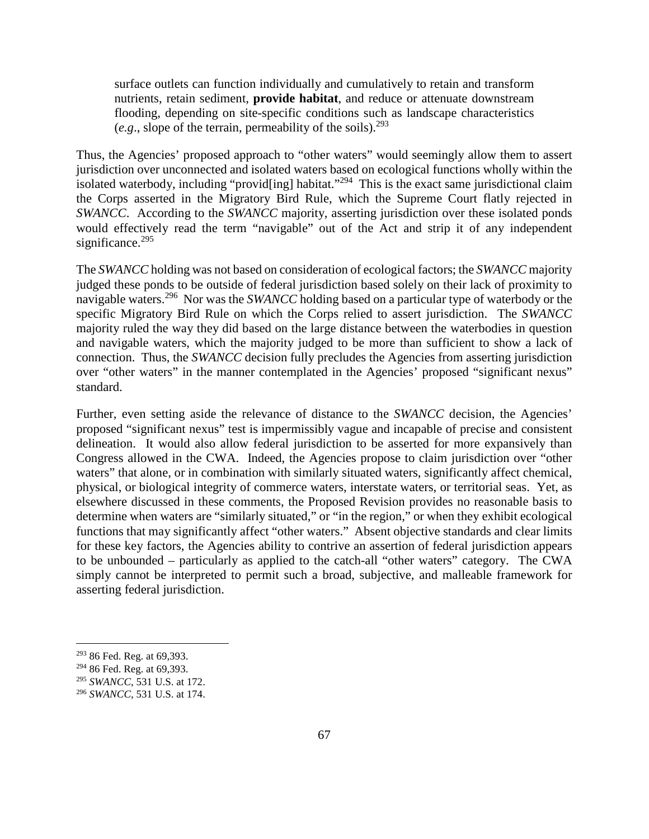surface outlets can function individually and cumulatively to retain and transform nutrients, retain sediment, **provide habitat**, and reduce or attenuate downstream flooding, depending on site-specific conditions such as landscape characteristics (*e.g.*, slope of the terrain, permeability of the soils).<sup>293</sup>

Thus, the Agencies' proposed approach to "other waters" would seemingly allow them to assert jurisdiction over unconnected and isolated waters based on ecological functions wholly within the isolated waterbody, including "provid[ing] habitat."<sup>294</sup> This is the exact same jurisdictional claim the Corps asserted in the Migratory Bird Rule, which the Supreme Court flatly rejected in *SWANCC*. According to the *SWANCC* majority, asserting jurisdiction over these isolated ponds would effectively read the term "navigable" out of the Act and strip it of any independent significance.<sup>295</sup>

The *SWANCC* holding was not based on consideration of ecological factors; the *SWANCC* majority judged these ponds to be outside of federal jurisdiction based solely on their lack of proximity to navigable waters.<sup>296</sup> Nor was the *SWANCC* holding based on a particular type of waterbody or the specific Migratory Bird Rule on which the Corps relied to assert jurisdiction. The *SWANCC* majority ruled the way they did based on the large distance between the waterbodies in question and navigable waters, which the majority judged to be more than sufficient to show a lack of connection. Thus, the *SWANCC* decision fully precludes the Agencies from asserting jurisdiction over "other waters" in the manner contemplated in the Agencies' proposed "significant nexus" standard.

Further, even setting aside the relevance of distance to the *SWANCC* decision, the Agencies' proposed "significant nexus" test is impermissibly vague and incapable of precise and consistent delineation. It would also allow federal jurisdiction to be asserted for more expansively than Congress allowed in the CWA. Indeed, the Agencies propose to claim jurisdiction over "other waters" that alone, or in combination with similarly situated waters, significantly affect chemical, physical, or biological integrity of commerce waters, interstate waters, or territorial seas. Yet, as elsewhere discussed in these comments, the Proposed Revision provides no reasonable basis to determine when waters are "similarly situated," or "in the region," or when they exhibit ecological functions that may significantly affect "other waters." Absent objective standards and clear limits for these key factors, the Agencies ability to contrive an assertion of federal jurisdiction appears to be unbounded – particularly as applied to the catch-all "other waters" category. The CWA simply cannot be interpreted to permit such a broad, subjective, and malleable framework for asserting federal jurisdiction.

<sup>293</sup> 86 Fed. Reg. at 69,393.

<sup>294</sup> 86 Fed. Reg. at 69,393.

<sup>295</sup> *SWANCC*, 531 U.S. at 172.

<sup>296</sup> *SWANCC*, 531 U.S. at 174.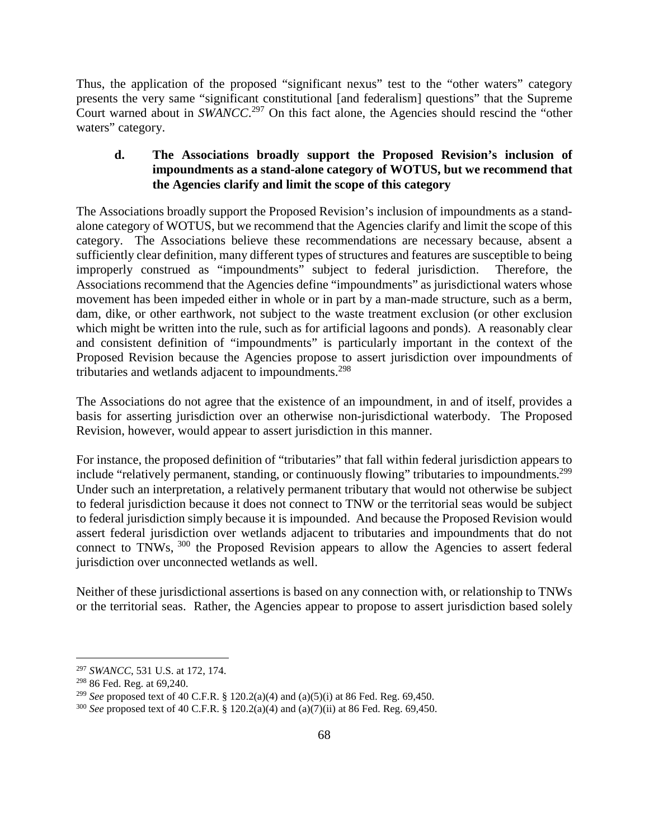Thus, the application of the proposed "significant nexus" test to the "other waters" category presents the very same "significant constitutional [and federalism] questions" that the Supreme Court warned about in *SWANCC*. <sup>297</sup> On this fact alone, the Agencies should rescind the "other waters" category.

## **d. The Associations broadly support the Proposed Revision's inclusion of impoundments as a stand-alone category of WOTUS, but we recommend that the Agencies clarify and limit the scope of this category**

The Associations broadly support the Proposed Revision's inclusion of impoundments as a standalone category of WOTUS, but we recommend that the Agencies clarify and limit the scope of this category. The Associations believe these recommendations are necessary because, absent a sufficiently clear definition, many different types of structures and features are susceptible to being improperly construed as "impoundments" subject to federal jurisdiction. Therefore, the Associations recommend that the Agencies define "impoundments" as jurisdictional waters whose movement has been impeded either in whole or in part by a man-made structure, such as a berm, dam, dike, or other earthwork, not subject to the waste treatment exclusion (or other exclusion which might be written into the rule, such as for artificial lagoons and ponds). A reasonably clear and consistent definition of "impoundments" is particularly important in the context of the Proposed Revision because the Agencies propose to assert jurisdiction over impoundments of tributaries and wetlands adjacent to impoundments.<sup>298</sup>

The Associations do not agree that the existence of an impoundment, in and of itself, provides a basis for asserting jurisdiction over an otherwise non-jurisdictional waterbody. The Proposed Revision, however, would appear to assert jurisdiction in this manner.

For instance, the proposed definition of "tributaries" that fall within federal jurisdiction appears to include "relatively permanent, standing, or continuously flowing" tributaries to impoundments.<sup>299</sup> Under such an interpretation, a relatively permanent tributary that would not otherwise be subject to federal jurisdiction because it does not connect to TNW or the territorial seas would be subject to federal jurisdiction simply because it is impounded. And because the Proposed Revision would assert federal jurisdiction over wetlands adjacent to tributaries and impoundments that do not connect to TNWs, <sup>300</sup> the Proposed Revision appears to allow the Agencies to assert federal jurisdiction over unconnected wetlands as well.

Neither of these jurisdictional assertions is based on any connection with, or relationship to TNWs or the territorial seas. Rather, the Agencies appear to propose to assert jurisdiction based solely

<sup>297</sup> *SWANCC*, 531 U.S. at 172, 174.

<sup>298</sup> 86 Fed. Reg. at 69,240.

<sup>299</sup> *See* proposed text of 40 C.F.R. § 120.2(a)(4) and (a)(5)(i) at 86 Fed. Reg. 69,450.

<sup>300</sup> *See* proposed text of 40 C.F.R. § 120.2(a)(4) and (a)(7)(ii) at 86 Fed. Reg. 69,450.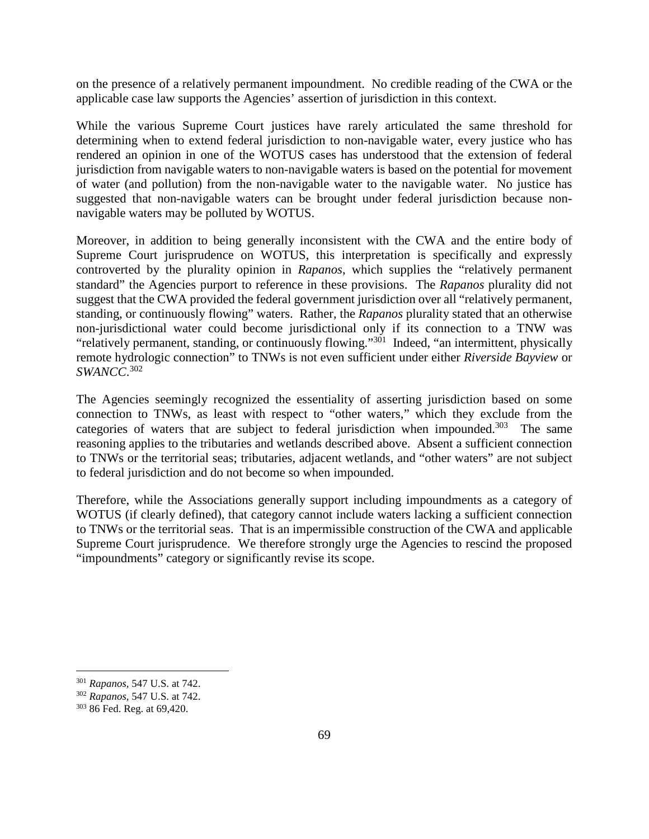on the presence of a relatively permanent impoundment. No credible reading of the CWA or the applicable case law supports the Agencies' assertion of jurisdiction in this context.

While the various Supreme Court justices have rarely articulated the same threshold for determining when to extend federal jurisdiction to non-navigable water, every justice who has rendered an opinion in one of the WOTUS cases has understood that the extension of federal jurisdiction from navigable waters to non-navigable waters is based on the potential for movement of water (and pollution) from the non-navigable water to the navigable water. No justice has suggested that non-navigable waters can be brought under federal jurisdiction because nonnavigable waters may be polluted by WOTUS.

Moreover, in addition to being generally inconsistent with the CWA and the entire body of Supreme Court jurisprudence on WOTUS, this interpretation is specifically and expressly controverted by the plurality opinion in *Rapanos*, which supplies the "relatively permanent standard" the Agencies purport to reference in these provisions. The *Rapanos* plurality did not suggest that the CWA provided the federal government jurisdiction over all "relatively permanent, standing, or continuously flowing" waters. Rather, the *Rapanos* plurality stated that an otherwise non-jurisdictional water could become jurisdictional only if its connection to a TNW was "relatively permanent, standing, or continuously flowing."<sup>301</sup> Indeed, "an intermittent, physically remote hydrologic connection" to TNWs is not even sufficient under either *Riverside Bayview* or *SWANCC*. 302

The Agencies seemingly recognized the essentiality of asserting jurisdiction based on some connection to TNWs, as least with respect to "other waters," which they exclude from the categories of waters that are subject to federal jurisdiction when impounded.<sup>303</sup> The same reasoning applies to the tributaries and wetlands described above. Absent a sufficient connection to TNWs or the territorial seas; tributaries, adjacent wetlands, and "other waters" are not subject to federal jurisdiction and do not become so when impounded.

Therefore, while the Associations generally support including impoundments as a category of WOTUS (if clearly defined), that category cannot include waters lacking a sufficient connection to TNWs or the territorial seas. That is an impermissible construction of the CWA and applicable Supreme Court jurisprudence. We therefore strongly urge the Agencies to rescind the proposed "impoundments" category or significantly revise its scope.

<sup>301</sup> *Rapanos,* 547 U.S. at 742.

<sup>302</sup> *Rapanos,* 547 U.S. at 742.

<sup>303</sup> 86 Fed. Reg. at 69,420.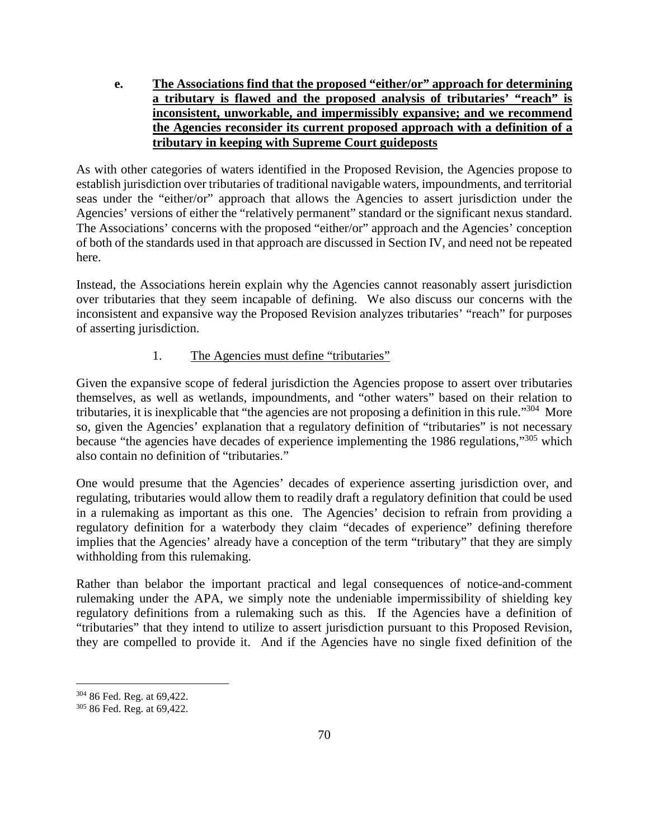**e. The Associations find that the proposed "either/or" approach for determining a tributary is flawed and the proposed analysis of tributaries' "reach" is inconsistent, unworkable, and impermissibly expansive; and we recommend the Agencies reconsider its current proposed approach with a definition of a tributary in keeping with Supreme Court guideposts** 

As with other categories of waters identified in the Proposed Revision, the Agencies propose to establish jurisdiction over tributaries of traditional navigable waters, impoundments, and territorial seas under the "either/or" approach that allows the Agencies to assert jurisdiction under the Agencies' versions of either the "relatively permanent" standard or the significant nexus standard. The Associations' concerns with the proposed "either/or" approach and the Agencies' conception of both of the standards used in that approach are discussed in Section IV, and need not be repeated here.

Instead, the Associations herein explain why the Agencies cannot reasonably assert jurisdiction over tributaries that they seem incapable of defining. We also discuss our concerns with the inconsistent and expansive way the Proposed Revision analyzes tributaries' "reach" for purposes of asserting jurisdiction.

# 1. The Agencies must define "tributaries"

Given the expansive scope of federal jurisdiction the Agencies propose to assert over tributaries themselves, as well as wetlands, impoundments, and "other waters" based on their relation to tributaries, it is inexplicable that "the agencies are not proposing a definition in this rule."<sup>304</sup> More so, given the Agencies' explanation that a regulatory definition of "tributaries" is not necessary because "the agencies have decades of experience implementing the 1986 regulations,"<sup>305</sup> which also contain no definition of "tributaries."

One would presume that the Agencies' decades of experience asserting jurisdiction over, and regulating, tributaries would allow them to readily draft a regulatory definition that could be used in a rulemaking as important as this one. The Agencies' decision to refrain from providing a regulatory definition for a waterbody they claim "decades of experience" defining therefore implies that the Agencies' already have a conception of the term "tributary" that they are simply withholding from this rulemaking.

Rather than belabor the important practical and legal consequences of notice-and-comment rulemaking under the APA, we simply note the undeniable impermissibility of shielding key regulatory definitions from a rulemaking such as this. If the Agencies have a definition of "tributaries" that they intend to utilize to assert jurisdiction pursuant to this Proposed Revision, they are compelled to provide it. And if the Agencies have no single fixed definition of the

<sup>304</sup> 86 Fed. Reg. at 69,422.

<sup>305</sup> 86 Fed. Reg. at 69,422.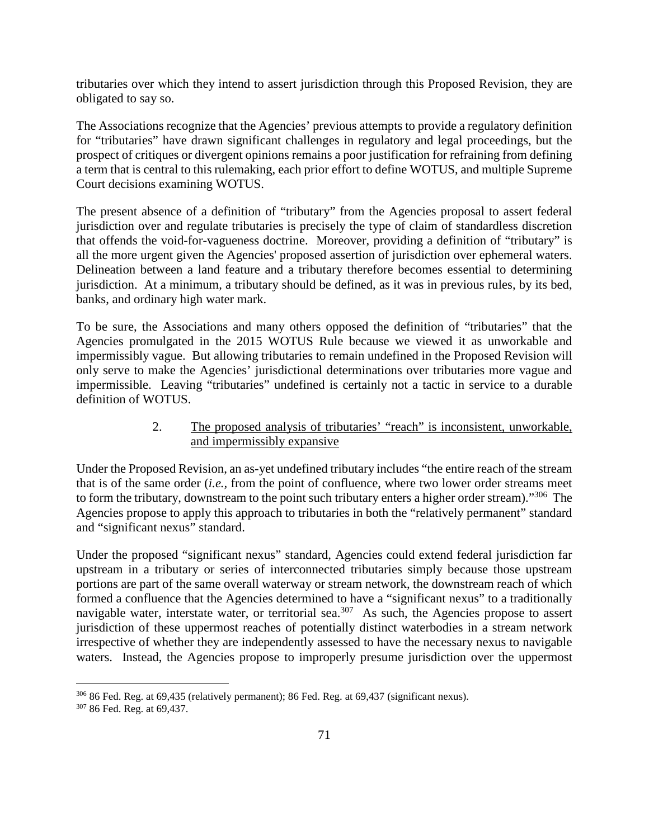tributaries over which they intend to assert jurisdiction through this Proposed Revision, they are obligated to say so.

The Associations recognize that the Agencies' previous attempts to provide a regulatory definition for "tributaries" have drawn significant challenges in regulatory and legal proceedings, but the prospect of critiques or divergent opinions remains a poor justification for refraining from defining a term that is central to this rulemaking, each prior effort to define WOTUS, and multiple Supreme Court decisions examining WOTUS.

The present absence of a definition of "tributary" from the Agencies proposal to assert federal jurisdiction over and regulate tributaries is precisely the type of claim of standardless discretion that offends the void-for-vagueness doctrine. Moreover, providing a definition of "tributary" is all the more urgent given the Agencies' proposed assertion of jurisdiction over ephemeral waters. Delineation between a land feature and a tributary therefore becomes essential to determining jurisdiction. At a minimum, a tributary should be defined, as it was in previous rules, by its bed, banks, and ordinary high water mark.

To be sure, the Associations and many others opposed the definition of "tributaries" that the Agencies promulgated in the 2015 WOTUS Rule because we viewed it as unworkable and impermissibly vague. But allowing tributaries to remain undefined in the Proposed Revision will only serve to make the Agencies' jurisdictional determinations over tributaries more vague and impermissible. Leaving "tributaries" undefined is certainly not a tactic in service to a durable definition of WOTUS.

### 2. The proposed analysis of tributaries' "reach" is inconsistent, unworkable, and impermissibly expansive

Under the Proposed Revision, an as-yet undefined tributary includes "the entire reach of the stream that is of the same order (*i.e.,* from the point of confluence, where two lower order streams meet to form the tributary, downstream to the point such tributary enters a higher order stream)."<sup>306</sup> The Agencies propose to apply this approach to tributaries in both the "relatively permanent" standard and "significant nexus" standard.

Under the proposed "significant nexus" standard, Agencies could extend federal jurisdiction far upstream in a tributary or series of interconnected tributaries simply because those upstream portions are part of the same overall waterway or stream network, the downstream reach of which formed a confluence that the Agencies determined to have a "significant nexus" to a traditionally navigable water, interstate water, or territorial sea.<sup>307</sup> As such, the Agencies propose to assert jurisdiction of these uppermost reaches of potentially distinct waterbodies in a stream network irrespective of whether they are independently assessed to have the necessary nexus to navigable waters. Instead, the Agencies propose to improperly presume jurisdiction over the uppermost

<sup>306</sup> 86 Fed. Reg. at 69,435 (relatively permanent); 86 Fed. Reg. at 69,437 (significant nexus).

<sup>307</sup> 86 Fed. Reg. at 69,437.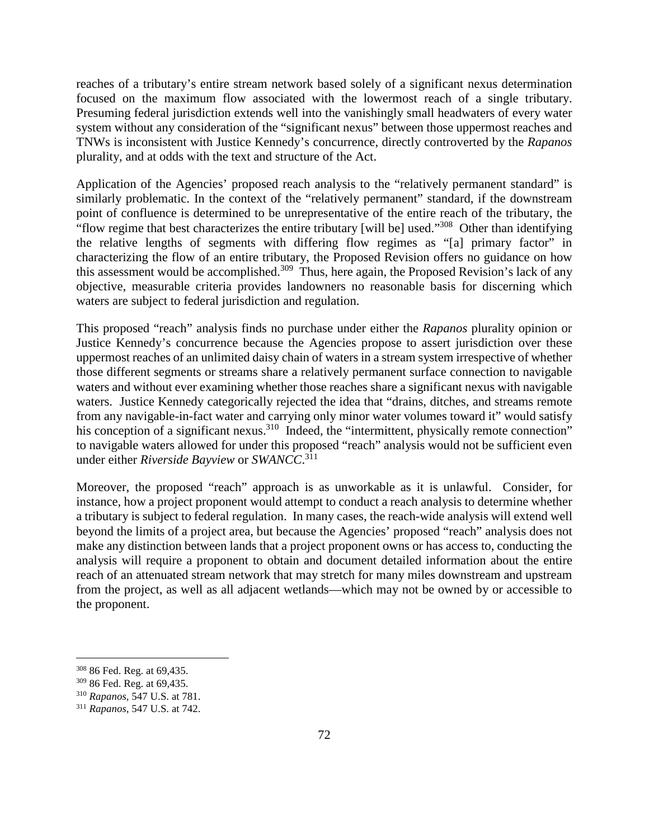reaches of a tributary's entire stream network based solely of a significant nexus determination focused on the maximum flow associated with the lowermost reach of a single tributary. Presuming federal jurisdiction extends well into the vanishingly small headwaters of every water system without any consideration of the "significant nexus" between those uppermost reaches and TNWs is inconsistent with Justice Kennedy's concurrence, directly controverted by the *Rapanos*  plurality, and at odds with the text and structure of the Act.

Application of the Agencies' proposed reach analysis to the "relatively permanent standard" is similarly problematic. In the context of the "relatively permanent" standard, if the downstream point of confluence is determined to be unrepresentative of the entire reach of the tributary, the "flow regime that best characterizes the entire tributary [will be] used."<sup>308</sup> Other than identifying the relative lengths of segments with differing flow regimes as "[a] primary factor" in characterizing the flow of an entire tributary, the Proposed Revision offers no guidance on how this assessment would be accomplished.<sup>309</sup> Thus, here again, the Proposed Revision's lack of any objective, measurable criteria provides landowners no reasonable basis for discerning which waters are subject to federal jurisdiction and regulation.

This proposed "reach" analysis finds no purchase under either the *Rapanos* plurality opinion or Justice Kennedy's concurrence because the Agencies propose to assert jurisdiction over these uppermost reaches of an unlimited daisy chain of waters in a stream system irrespective of whether those different segments or streams share a relatively permanent surface connection to navigable waters and without ever examining whether those reaches share a significant nexus with navigable waters. Justice Kennedy categorically rejected the idea that "drains, ditches, and streams remote from any navigable-in-fact water and carrying only minor water volumes toward it" would satisfy his conception of a significant nexus.<sup>310</sup> Indeed, the "intermittent, physically remote connection" to navigable waters allowed for under this proposed "reach" analysis would not be sufficient even under either *Riverside Bayview* or *SWANCC*. 311

Moreover, the proposed "reach" approach is as unworkable as it is unlawful. Consider, for instance, how a project proponent would attempt to conduct a reach analysis to determine whether a tributary is subject to federal regulation. In many cases, the reach-wide analysis will extend well beyond the limits of a project area, but because the Agencies' proposed "reach" analysis does not make any distinction between lands that a project proponent owns or has access to, conducting the analysis will require a proponent to obtain and document detailed information about the entire reach of an attenuated stream network that may stretch for many miles downstream and upstream from the project, as well as all adjacent wetlands—which may not be owned by or accessible to the proponent.

<sup>308</sup> 86 Fed. Reg. at 69,435.

<sup>309</sup> 86 Fed. Reg. at 69,435.

<sup>310</sup> *Rapanos,* 547 U.S. at 781.

<sup>311</sup> *Rapanos,* 547 U.S. at 742.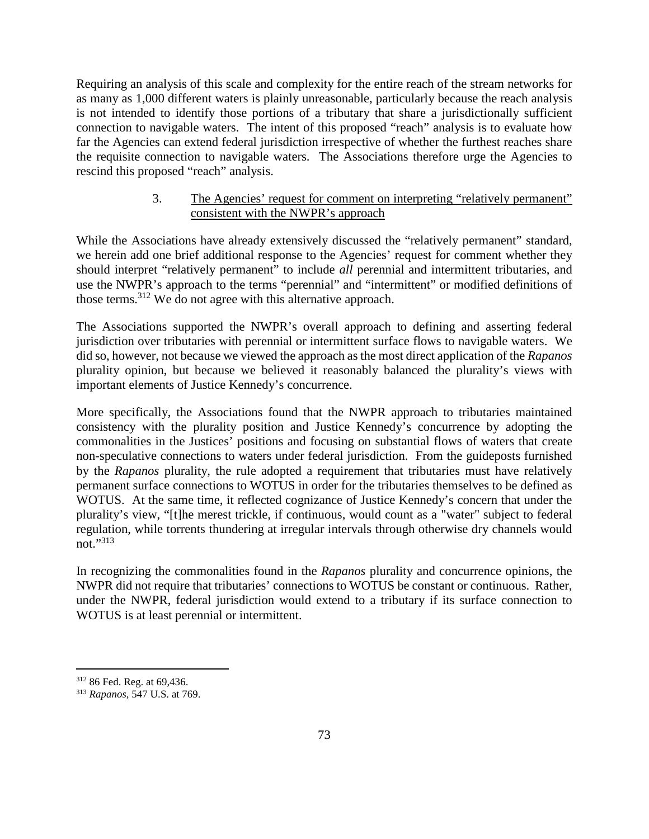Requiring an analysis of this scale and complexity for the entire reach of the stream networks for as many as 1,000 different waters is plainly unreasonable, particularly because the reach analysis is not intended to identify those portions of a tributary that share a jurisdictionally sufficient connection to navigable waters. The intent of this proposed "reach" analysis is to evaluate how far the Agencies can extend federal jurisdiction irrespective of whether the furthest reaches share the requisite connection to navigable waters. The Associations therefore urge the Agencies to rescind this proposed "reach" analysis.

### 3. The Agencies' request for comment on interpreting "relatively permanent" consistent with the NWPR's approach

While the Associations have already extensively discussed the "relatively permanent" standard, we herein add one brief additional response to the Agencies' request for comment whether they should interpret "relatively permanent" to include *all* perennial and intermittent tributaries, and use the NWPR's approach to the terms "perennial" and "intermittent" or modified definitions of those terms.<sup>312</sup> We do not agree with this alternative approach.

The Associations supported the NWPR's overall approach to defining and asserting federal jurisdiction over tributaries with perennial or intermittent surface flows to navigable waters. We did so, however, not because we viewed the approach as the most direct application of the *Rapanos* plurality opinion, but because we believed it reasonably balanced the plurality's views with important elements of Justice Kennedy's concurrence.

More specifically, the Associations found that the NWPR approach to tributaries maintained consistency with the plurality position and Justice Kennedy's concurrence by adopting the commonalities in the Justices' positions and focusing on substantial flows of waters that create non-speculative connections to waters under federal jurisdiction. From the guideposts furnished by the *Rapanos* plurality, the rule adopted a requirement that tributaries must have relatively permanent surface connections to WOTUS in order for the tributaries themselves to be defined as WOTUS. At the same time, it reflected cognizance of Justice Kennedy's concern that under the plurality's view, "[t]he merest trickle, if continuous, would count as a "water" subject to federal regulation, while torrents thundering at irregular intervals through otherwise dry channels would not."<sup>313</sup>

In recognizing the commonalities found in the *Rapanos* plurality and concurrence opinions, the NWPR did not require that tributaries' connections to WOTUS be constant or continuous. Rather, under the NWPR, federal jurisdiction would extend to a tributary if its surface connection to WOTUS is at least perennial or intermittent.

<sup>312</sup> 86 Fed. Reg. at 69,436.

<sup>313</sup> *Rapanos,* 547 U.S. at 769.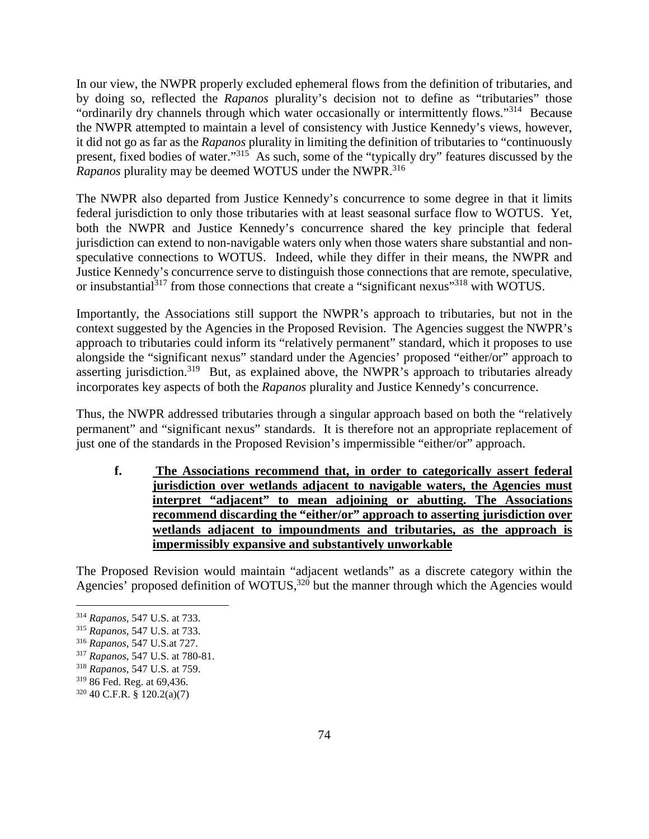In our view, the NWPR properly excluded ephemeral flows from the definition of tributaries, and by doing so, reflected the *Rapanos* plurality's decision not to define as "tributaries" those "ordinarily dry channels through which water occasionally or intermittently flows."<sup>314</sup> Because the NWPR attempted to maintain a level of consistency with Justice Kennedy's views, however, it did not go as far as the *Rapanos* plurality in limiting the definition of tributaries to "continuously present, fixed bodies of water."<sup>315</sup> As such, some of the "typically dry" features discussed by the *Rapanos* plurality may be deemed WOTUS under the NWPR.<sup>316</sup>

The NWPR also departed from Justice Kennedy's concurrence to some degree in that it limits federal jurisdiction to only those tributaries with at least seasonal surface flow to WOTUS. Yet, both the NWPR and Justice Kennedy's concurrence shared the key principle that federal jurisdiction can extend to non-navigable waters only when those waters share substantial and nonspeculative connections to WOTUS. Indeed, while they differ in their means, the NWPR and Justice Kennedy's concurrence serve to distinguish those connections that are remote, speculative, or insubstantial<sup>317</sup> from those connections that create a "significant nexus"<sup>318</sup> with WOTUS.

Importantly, the Associations still support the NWPR's approach to tributaries, but not in the context suggested by the Agencies in the Proposed Revision. The Agencies suggest the NWPR's approach to tributaries could inform its "relatively permanent" standard, which it proposes to use alongside the "significant nexus" standard under the Agencies' proposed "either/or" approach to asserting jurisdiction.<sup>319</sup> But, as explained above, the NWPR's approach to tributaries already incorporates key aspects of both the *Rapanos* plurality and Justice Kennedy's concurrence.

Thus, the NWPR addressed tributaries through a singular approach based on both the "relatively permanent" and "significant nexus" standards. It is therefore not an appropriate replacement of just one of the standards in the Proposed Revision's impermissible "either/or" approach.

**f. The Associations recommend that, in order to categorically assert federal jurisdiction over wetlands adjacent to navigable waters, the Agencies must interpret "adjacent" to mean adjoining or abutting. The Associations recommend discarding the "either/or" approach to asserting jurisdiction over wetlands adjacent to impoundments and tributaries, as the approach is impermissibly expansive and substantively unworkable** 

The Proposed Revision would maintain "adjacent wetlands" as a discrete category within the Agencies' proposed definition of WOTUS,<sup>320</sup> but the manner through which the Agencies would

<sup>314</sup> *Rapanos,* 547 U.S. at 733.

<sup>315</sup> *Rapanos*, 547 U.S. at 733.

<sup>316</sup> *Rapanos*, 547 U.S.at 727.

<sup>317</sup> *Rapanos*, 547 U.S. at 780-81.

<sup>318</sup> *Rapanos*, 547 U.S. at 759.

<sup>319</sup> 86 Fed. Reg. at 69,436.

 $320$  40 C.F.R. § 120.2(a)(7)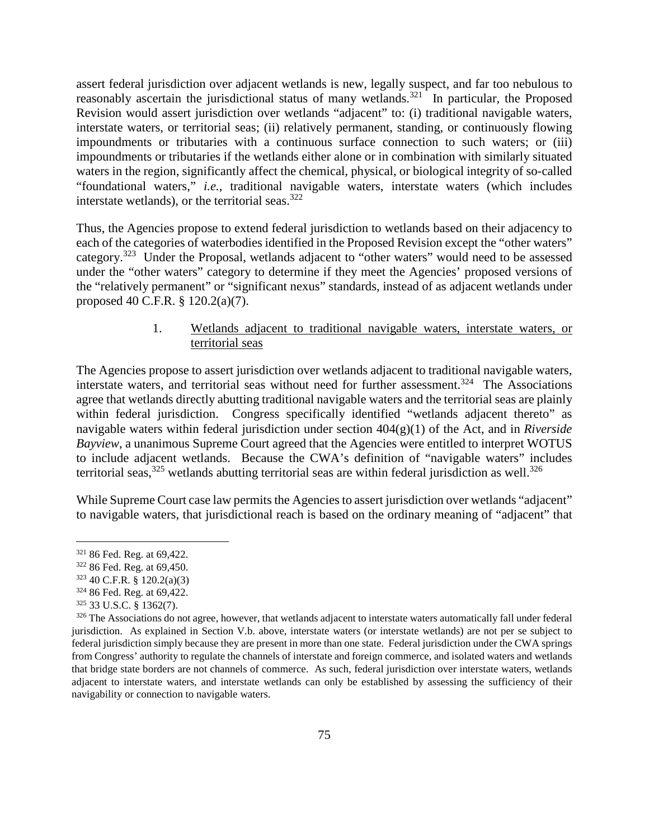assert federal jurisdiction over adjacent wetlands is new, legally suspect, and far too nebulous to reasonably ascertain the jurisdictional status of many wetlands.<sup>321</sup> In particular, the Proposed Revision would assert jurisdiction over wetlands "adjacent" to: (i) traditional navigable waters, interstate waters, or territorial seas; (ii) relatively permanent, standing, or continuously flowing impoundments or tributaries with a continuous surface connection to such waters; or (iii) impoundments or tributaries if the wetlands either alone or in combination with similarly situated waters in the region, significantly affect the chemical, physical, or biological integrity of so-called "foundational waters," *i.e.*, traditional navigable waters, interstate waters (which includes interstate wetlands), or the territorial seas. $322$ 

Thus, the Agencies propose to extend federal jurisdiction to wetlands based on their adjacency to each of the categories of waterbodies identified in the Proposed Revision except the "other waters" category.<sup>323</sup> Under the Proposal, wetlands adjacent to "other waters" would need to be assessed under the "other waters" category to determine if they meet the Agencies' proposed versions of the "relatively permanent" or "significant nexus" standards, instead of as adjacent wetlands under proposed 40 C.F.R. § 120.2(a)(7).

## 1. Wetlands adjacent to traditional navigable waters, interstate waters, or territorial seas

The Agencies propose to assert jurisdiction over wetlands adjacent to traditional navigable waters, interstate waters, and territorial seas without need for further assessment.<sup>324</sup> The Associations agree that wetlands directly abutting traditional navigable waters and the territorial seas are plainly within federal jurisdiction. Congress specifically identified "wetlands adjacent thereto" as navigable waters within federal jurisdiction under section 404(g)(1) of the Act, and in *Riverside Bayview*, a unanimous Supreme Court agreed that the Agencies were entitled to interpret WOTUS to include adjacent wetlands. Because the CWA's definition of "navigable waters" includes territorial seas,  $325$  wetlands abutting territorial seas are within federal jurisdiction as well.  $326$ 

While Supreme Court case law permits the Agencies to assert jurisdiction over wetlands "adjacent" to navigable waters, that jurisdictional reach is based on the ordinary meaning of "adjacent" that

<sup>323</sup> 40 C.F.R. § 120.2(a)(3)

<sup>321</sup> 86 Fed. Reg. at 69,422.

<sup>322</sup> 86 Fed. Reg. at 69,450.

<sup>324</sup> 86 Fed. Reg. at 69,422.

<sup>325</sup> 33 U.S.C. § 1362(7).

 $326$  The Associations do not agree, however, that wetlands adjacent to interstate waters automatically fall under federal jurisdiction. As explained in Section V.b. above, interstate waters (or interstate wetlands) are not per se subject to federal jurisdiction simply because they are present in more than one state. Federal jurisdiction under the CWA springs from Congress' authority to regulate the channels of interstate and foreign commerce, and isolated waters and wetlands that bridge state borders are not channels of commerce. As such, federal jurisdiction over interstate waters, wetlands adjacent to interstate waters, and interstate wetlands can only be established by assessing the sufficiency of their navigability or connection to navigable waters.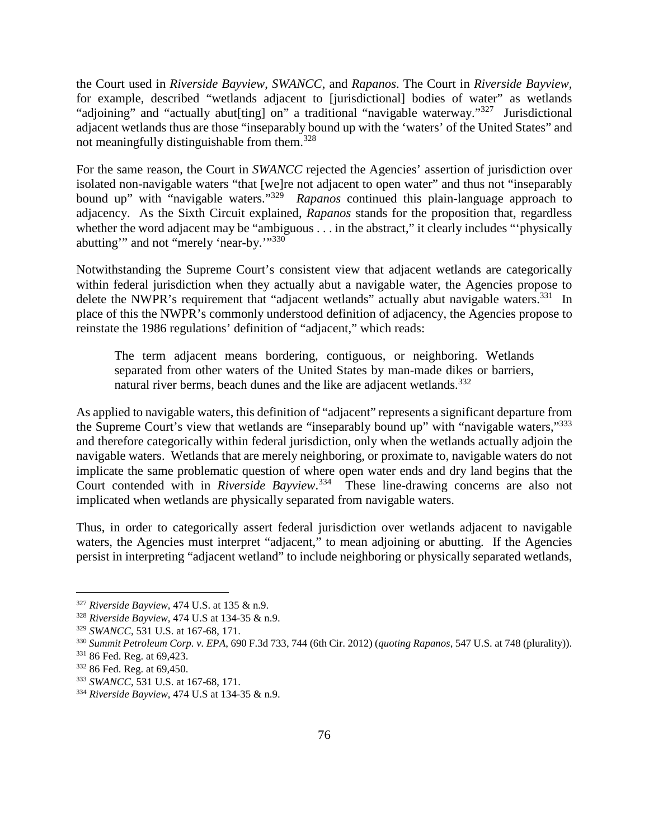the Court used in *Riverside Bayview*, *SWANCC*, and *Rapanos*. The Court in *Riverside Bayview,* for example, described "wetlands adjacent to [jurisdictional] bodies of water" as wetlands "adjoining" and "actually abut[ting] on" a traditional "navigable waterway."<sup>327</sup> Jurisdictional adjacent wetlands thus are those "inseparably bound up with the 'waters' of the United States" and not meaningfully distinguishable from them.<sup>328</sup>

For the same reason, the Court in *SWANCC* rejected the Agencies' assertion of jurisdiction over isolated non-navigable waters "that [we]re not adjacent to open water" and thus not "inseparably bound up" with "navigable waters."<sup>329</sup> *Rapanos* continued this plain-language approach to adjacency. As the Sixth Circuit explained, *Rapanos* stands for the proposition that, regardless whether the word adjacent may be "ambiguous . . . in the abstract," it clearly includes "'physically abutting" and not "merely 'near-by."<sup>330</sup>

Notwithstanding the Supreme Court's consistent view that adjacent wetlands are categorically within federal jurisdiction when they actually abut a navigable water, the Agencies propose to delete the NWPR's requirement that "adjacent wetlands" actually abut navigable waters.<sup>331</sup> In place of this the NWPR's commonly understood definition of adjacency, the Agencies propose to reinstate the 1986 regulations' definition of "adjacent," which reads:

The term adjacent means bordering, contiguous, or neighboring. Wetlands separated from other waters of the United States by man-made dikes or barriers, natural river berms, beach dunes and the like are adjacent wetlands.<sup>332</sup>

As applied to navigable waters, this definition of "adjacent" represents a significant departure from the Supreme Court's view that wetlands are "inseparably bound up" with "navigable waters,"<sup>333</sup> and therefore categorically within federal jurisdiction, only when the wetlands actually adjoin the navigable waters. Wetlands that are merely neighboring, or proximate to, navigable waters do not implicate the same problematic question of where open water ends and dry land begins that the Court contended with in *Riverside Bayview*. <sup>334</sup> These line-drawing concerns are also not implicated when wetlands are physically separated from navigable waters.

Thus, in order to categorically assert federal jurisdiction over wetlands adjacent to navigable waters, the Agencies must interpret "adjacent," to mean adjoining or abutting. If the Agencies persist in interpreting "adjacent wetland" to include neighboring or physically separated wetlands,

<sup>327</sup> *Riverside Bayview,* 474 U.S. at 135 & n.9.

<sup>328</sup> *Riverside Bayview,* 474 U.S at 134-35 & n.9.

<sup>329</sup> *SWANCC*, 531 U.S. at 167-68, 171.

<sup>330</sup> *Summit Petroleum Corp. v. EPA*, 690 F.3d 733, 744 (6th Cir. 2012) (*quoting Rapanos*, 547 U.S. at 748 (plurality)).

<sup>331</sup> 86 Fed. Reg. at 69,423.

<sup>332</sup> 86 Fed. Reg. at 69,450.

<sup>333</sup> *SWANCC*, 531 U.S. at 167-68, 171.

<sup>334</sup> *Riverside Bayview*, 474 U.S at 134-35 & n.9.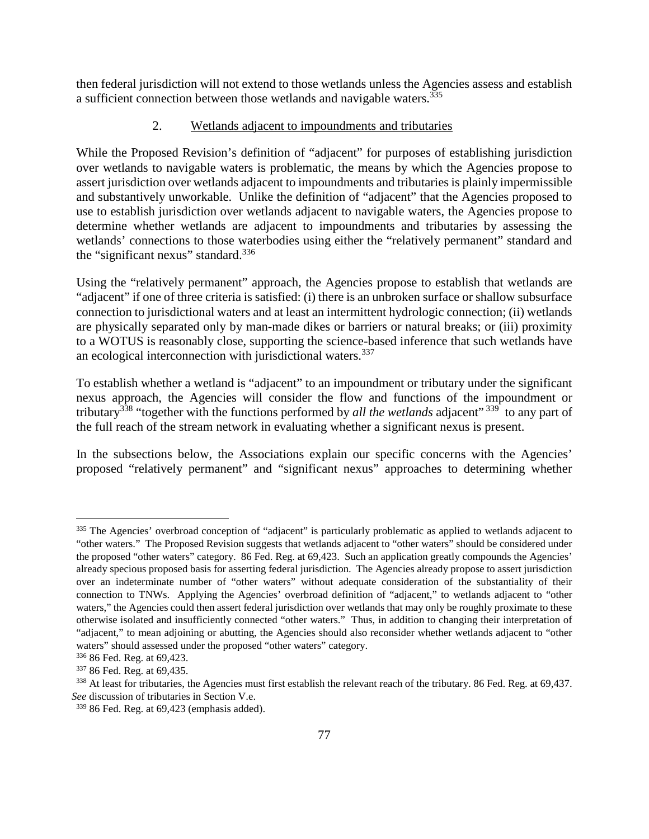then federal jurisdiction will not extend to those wetlands unless the Agencies assess and establish a sufficient connection between those wetlands and navigable waters.<sup>335</sup>

### 2. Wetlands adjacent to impoundments and tributaries

While the Proposed Revision's definition of "adjacent" for purposes of establishing jurisdiction over wetlands to navigable waters is problematic, the means by which the Agencies propose to assert jurisdiction over wetlands adjacent to impoundments and tributaries is plainly impermissible and substantively unworkable. Unlike the definition of "adjacent" that the Agencies proposed to use to establish jurisdiction over wetlands adjacent to navigable waters, the Agencies propose to determine whether wetlands are adjacent to impoundments and tributaries by assessing the wetlands' connections to those waterbodies using either the "relatively permanent" standard and the "significant nexus" standard.<sup>336</sup>

Using the "relatively permanent" approach, the Agencies propose to establish that wetlands are "adjacent" if one of three criteria is satisfied: (i) there is an unbroken surface or shallow subsurface connection to jurisdictional waters and at least an intermittent hydrologic connection; (ii) wetlands are physically separated only by man-made dikes or barriers or natural breaks; or (iii) proximity to a WOTUS is reasonably close, supporting the science-based inference that such wetlands have an ecological interconnection with jurisdictional waters.<sup>337</sup>

To establish whether a wetland is "adjacent" to an impoundment or tributary under the significant nexus approach, the Agencies will consider the flow and functions of the impoundment or tributary<sup>338</sup> "together with the functions performed by *all the wetlands* adjacent"<sup>339</sup> to any part of the full reach of the stream network in evaluating whether a significant nexus is present.

In the subsections below, the Associations explain our specific concerns with the Agencies' proposed "relatively permanent" and "significant nexus" approaches to determining whether

<sup>&</sup>lt;sup>335</sup> The Agencies' overbroad conception of "adjacent" is particularly problematic as applied to wetlands adjacent to "other waters." The Proposed Revision suggests that wetlands adjacent to "other waters" should be considered under the proposed "other waters" category. 86 Fed. Reg. at 69,423. Such an application greatly compounds the Agencies' already specious proposed basis for asserting federal jurisdiction. The Agencies already propose to assert jurisdiction over an indeterminate number of "other waters" without adequate consideration of the substantiality of their connection to TNWs. Applying the Agencies' overbroad definition of "adjacent," to wetlands adjacent to "other waters," the Agencies could then assert federal jurisdiction over wetlands that may only be roughly proximate to these otherwise isolated and insufficiently connected "other waters." Thus, in addition to changing their interpretation of "adjacent," to mean adjoining or abutting, the Agencies should also reconsider whether wetlands adjacent to "other waters" should assessed under the proposed "other waters" category.

<sup>336</sup> 86 Fed. Reg. at 69,423.

<sup>337</sup> 86 Fed. Reg. at 69,435.

<sup>&</sup>lt;sup>338</sup> At least for tributaries, the Agencies must first establish the relevant reach of the tributary. 86 Fed. Reg. at 69,437. *See* discussion of tributaries in Section V.e.

 $339$  86 Fed. Reg. at 69,423 (emphasis added).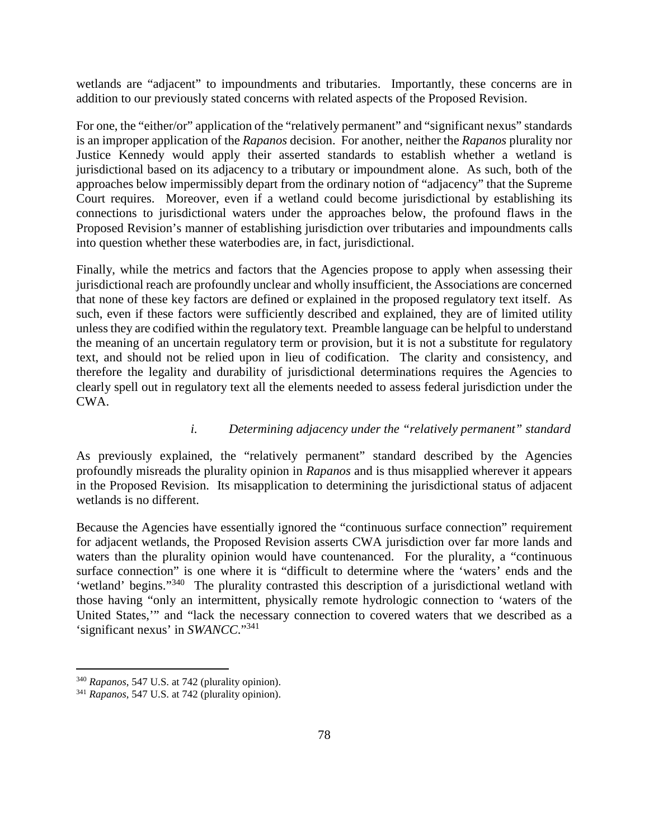wetlands are "adjacent" to impoundments and tributaries. Importantly, these concerns are in addition to our previously stated concerns with related aspects of the Proposed Revision.

For one, the "either/or" application of the "relatively permanent" and "significant nexus" standards is an improper application of the *Rapanos* decision. For another, neither the *Rapanos* plurality nor Justice Kennedy would apply their asserted standards to establish whether a wetland is jurisdictional based on its adjacency to a tributary or impoundment alone. As such, both of the approaches below impermissibly depart from the ordinary notion of "adjacency" that the Supreme Court requires. Moreover, even if a wetland could become jurisdictional by establishing its connections to jurisdictional waters under the approaches below, the profound flaws in the Proposed Revision's manner of establishing jurisdiction over tributaries and impoundments calls into question whether these waterbodies are, in fact, jurisdictional.

Finally, while the metrics and factors that the Agencies propose to apply when assessing their jurisdictional reach are profoundly unclear and wholly insufficient, the Associations are concerned that none of these key factors are defined or explained in the proposed regulatory text itself. As such, even if these factors were sufficiently described and explained, they are of limited utility unless they are codified within the regulatory text. Preamble language can be helpful to understand the meaning of an uncertain regulatory term or provision, but it is not a substitute for regulatory text, and should not be relied upon in lieu of codification. The clarity and consistency, and therefore the legality and durability of jurisdictional determinations requires the Agencies to clearly spell out in regulatory text all the elements needed to assess federal jurisdiction under the CWA.

### *i. Determining adjacency under the "relatively permanent" standard*

As previously explained, the "relatively permanent" standard described by the Agencies profoundly misreads the plurality opinion in *Rapanos* and is thus misapplied wherever it appears in the Proposed Revision. Its misapplication to determining the jurisdictional status of adjacent wetlands is no different.

Because the Agencies have essentially ignored the "continuous surface connection" requirement for adjacent wetlands, the Proposed Revision asserts CWA jurisdiction over far more lands and waters than the plurality opinion would have countenanced. For the plurality, a "continuous surface connection" is one where it is "difficult to determine where the 'waters' ends and the 'wetland' begins."<sup>340</sup> The plurality contrasted this description of a jurisdictional wetland with those having "only an intermittent, physically remote hydrologic connection to 'waters of the United States,'" and "lack the necessary connection to covered waters that we described as a 'significant nexus' in *SWANCC*."<sup>341</sup>

<sup>340</sup> *Rapanos*, 547 U.S. at 742 (plurality opinion).

<sup>341</sup> *Rapanos*, 547 U.S. at 742 (plurality opinion).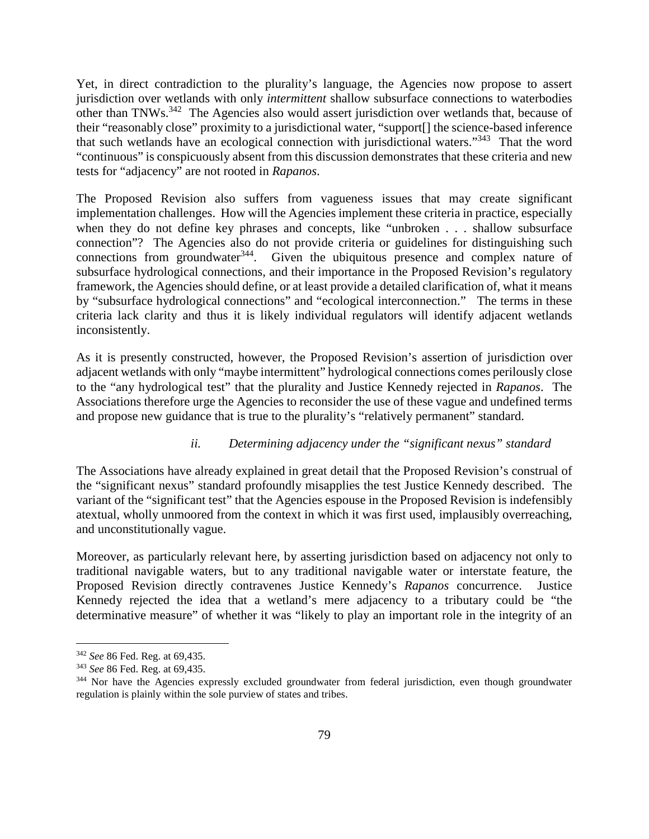Yet, in direct contradiction to the plurality's language, the Agencies now propose to assert jurisdiction over wetlands with only *intermittent* shallow subsurface connections to waterbodies other than TNWs.<sup>342</sup> The Agencies also would assert jurisdiction over wetlands that, because of their "reasonably close" proximity to a jurisdictional water, "support[] the science-based inference that such wetlands have an ecological connection with jurisdictional waters."<sup>343</sup> That the word "continuous" is conspicuously absent from this discussion demonstrates that these criteria and new tests for "adjacency" are not rooted in *Rapanos*.

The Proposed Revision also suffers from vagueness issues that may create significant implementation challenges. How will the Agencies implement these criteria in practice, especially when they do not define key phrases and concepts, like "unbroken . . . shallow subsurface connection"? The Agencies also do not provide criteria or guidelines for distinguishing such connections from groundwater<sup>344</sup>. Given the ubiquitous presence and complex nature of subsurface hydrological connections, and their importance in the Proposed Revision's regulatory framework, the Agencies should define, or at least provide a detailed clarification of, what it means by "subsurface hydrological connections" and "ecological interconnection." The terms in these criteria lack clarity and thus it is likely individual regulators will identify adjacent wetlands inconsistently.

As it is presently constructed, however, the Proposed Revision's assertion of jurisdiction over adjacent wetlands with only "maybe intermittent" hydrological connections comes perilously close to the "any hydrological test" that the plurality and Justice Kennedy rejected in *Rapanos*. The Associations therefore urge the Agencies to reconsider the use of these vague and undefined terms and propose new guidance that is true to the plurality's "relatively permanent" standard.

### *ii. Determining adjacency under the "significant nexus" standard*

The Associations have already explained in great detail that the Proposed Revision's construal of the "significant nexus" standard profoundly misapplies the test Justice Kennedy described. The variant of the "significant test" that the Agencies espouse in the Proposed Revision is indefensibly atextual, wholly unmoored from the context in which it was first used, implausibly overreaching, and unconstitutionally vague.

Moreover, as particularly relevant here, by asserting jurisdiction based on adjacency not only to traditional navigable waters, but to any traditional navigable water or interstate feature, the Proposed Revision directly contravenes Justice Kennedy's *Rapanos* concurrence. Justice Kennedy rejected the idea that a wetland's mere adjacency to a tributary could be "the determinative measure" of whether it was "likely to play an important role in the integrity of an

<sup>342</sup> *See* 86 Fed. Reg. at 69,435.

<sup>343</sup> *See* 86 Fed. Reg. at 69,435.

<sup>&</sup>lt;sup>344</sup> Nor have the Agencies expressly excluded groundwater from federal jurisdiction, even though groundwater regulation is plainly within the sole purview of states and tribes.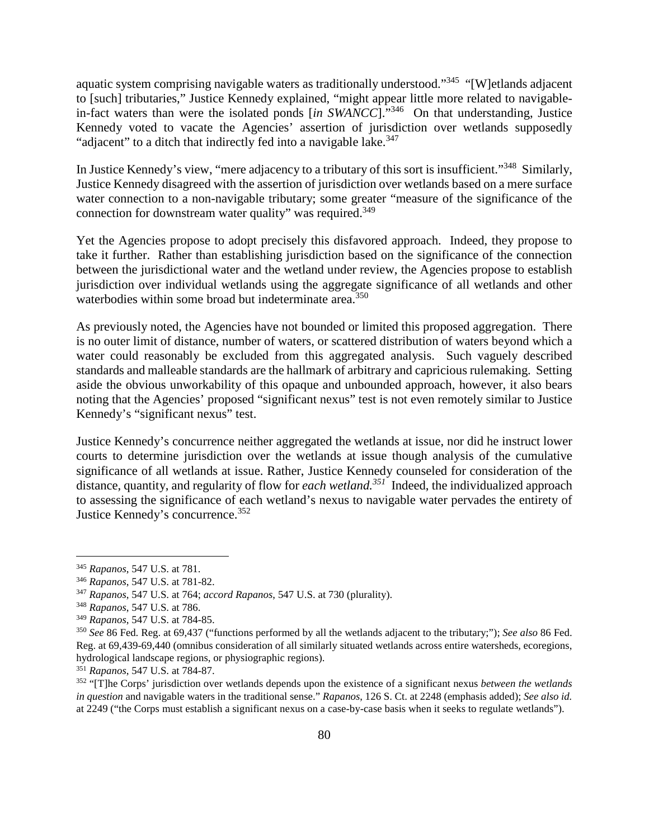aquatic system comprising navigable waters as traditionally understood."<sup>345</sup> "[W]etlands adjacent to [such] tributaries," Justice Kennedy explained, "might appear little more related to navigablein-fact waters than were the isolated ponds [*in SWANCC*]."<sup>346</sup> On that understanding, Justice Kennedy voted to vacate the Agencies' assertion of jurisdiction over wetlands supposedly "adjacent" to a ditch that indirectly fed into a navigable lake.<sup>347</sup>

In Justice Kennedy's view, "mere adjacency to a tributary of this sort is insufficient."<sup>348</sup> Similarly, Justice Kennedy disagreed with the assertion of jurisdiction over wetlands based on a mere surface water connection to a non-navigable tributary; some greater "measure of the significance of the connection for downstream water quality" was required.<sup>349</sup>

Yet the Agencies propose to adopt precisely this disfavored approach. Indeed, they propose to take it further. Rather than establishing jurisdiction based on the significance of the connection between the jurisdictional water and the wetland under review, the Agencies propose to establish jurisdiction over individual wetlands using the aggregate significance of all wetlands and other waterbodies within some broad but indeterminate area.<sup>350</sup>

As previously noted, the Agencies have not bounded or limited this proposed aggregation. There is no outer limit of distance, number of waters, or scattered distribution of waters beyond which a water could reasonably be excluded from this aggregated analysis. Such vaguely described standards and malleable standards are the hallmark of arbitrary and capricious rulemaking. Setting aside the obvious unworkability of this opaque and unbounded approach, however, it also bears noting that the Agencies' proposed "significant nexus" test is not even remotely similar to Justice Kennedy's "significant nexus" test.

Justice Kennedy's concurrence neither aggregated the wetlands at issue, nor did he instruct lower courts to determine jurisdiction over the wetlands at issue though analysis of the cumulative significance of all wetlands at issue. Rather, Justice Kennedy counseled for consideration of the distance, quantity, and regularity of flow for *each wetland.<sup>351</sup>* Indeed, the individualized approach to assessing the significance of each wetland's nexus to navigable water pervades the entirety of Justice Kennedy's concurrence.<sup>352</sup>

<sup>345</sup> *Rapanos*, 547 U.S. at 781.

<sup>346</sup> *Rapanos*, 547 U.S. at 781-82.

<sup>347</sup> *Rapanos*, 547 U.S. at 764; *accord Rapanos*, 547 U.S. at 730 (plurality).

<sup>348</sup> *Rapanos*, 547 U.S. at 786.

<sup>349</sup> *Rapanos*, 547 U.S. at 784-85.

<sup>350</sup> *See* 86 Fed. Reg. at 69,437 ("functions performed by all the wetlands adjacent to the tributary;"); *See also* 86 Fed. Reg. at 69,439-69,440 (omnibus consideration of all similarly situated wetlands across entire watersheds, ecoregions, hydrological landscape regions, or physiographic regions).

<sup>351</sup> *Rapanos*, 547 U.S. at 784-87.

<sup>352</sup> "[T]he Corps' jurisdiction over wetlands depends upon the existence of a significant nexus *between the wetlands in question* and navigable waters in the traditional sense." *Rapanos*, 126 S. Ct. at 2248 (emphasis added); *See also id.*  at 2249 ("the Corps must establish a significant nexus on a case-by-case basis when it seeks to regulate wetlands").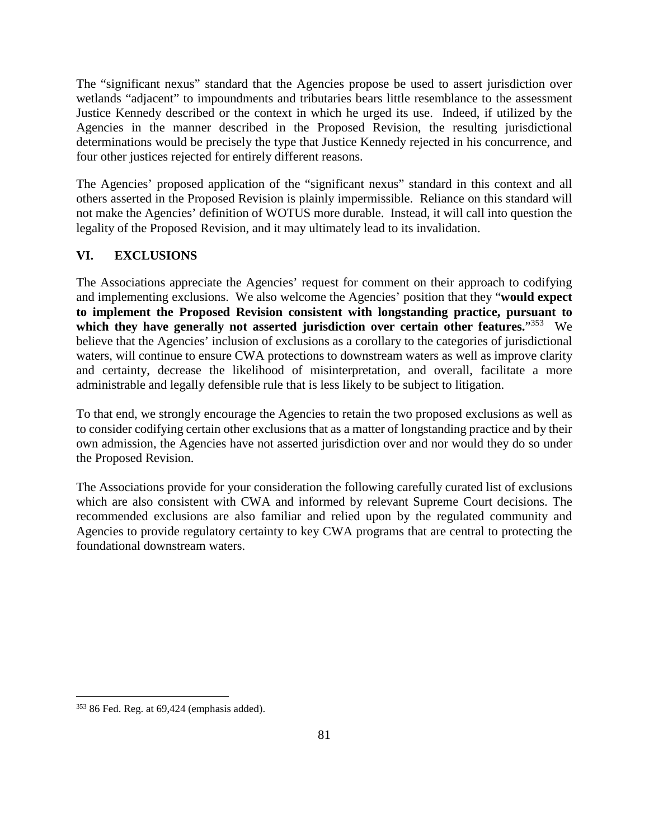The "significant nexus" standard that the Agencies propose be used to assert jurisdiction over wetlands "adjacent" to impoundments and tributaries bears little resemblance to the assessment Justice Kennedy described or the context in which he urged its use. Indeed, if utilized by the Agencies in the manner described in the Proposed Revision, the resulting jurisdictional determinations would be precisely the type that Justice Kennedy rejected in his concurrence, and four other justices rejected for entirely different reasons.

The Agencies' proposed application of the "significant nexus" standard in this context and all others asserted in the Proposed Revision is plainly impermissible. Reliance on this standard will not make the Agencies' definition of WOTUS more durable. Instead, it will call into question the legality of the Proposed Revision, and it may ultimately lead to its invalidation.

## **VI. EXCLUSIONS**

The Associations appreciate the Agencies' request for comment on their approach to codifying and implementing exclusions. We also welcome the Agencies' position that they "**would expect to implement the Proposed Revision consistent with longstanding practice, pursuant to**  which they have generally not asserted jurisdiction over certain other features."<sup>353</sup> We believe that the Agencies' inclusion of exclusions as a corollary to the categories of jurisdictional waters, will continue to ensure CWA protections to downstream waters as well as improve clarity and certainty, decrease the likelihood of misinterpretation, and overall, facilitate a more administrable and legally defensible rule that is less likely to be subject to litigation.

To that end, we strongly encourage the Agencies to retain the two proposed exclusions as well as to consider codifying certain other exclusions that as a matter of longstanding practice and by their own admission, the Agencies have not asserted jurisdiction over and nor would they do so under the Proposed Revision.

The Associations provide for your consideration the following carefully curated list of exclusions which are also consistent with CWA and informed by relevant Supreme Court decisions. The recommended exclusions are also familiar and relied upon by the regulated community and Agencies to provide regulatory certainty to key CWA programs that are central to protecting the foundational downstream waters.

 $353$  86 Fed. Reg. at 69,424 (emphasis added).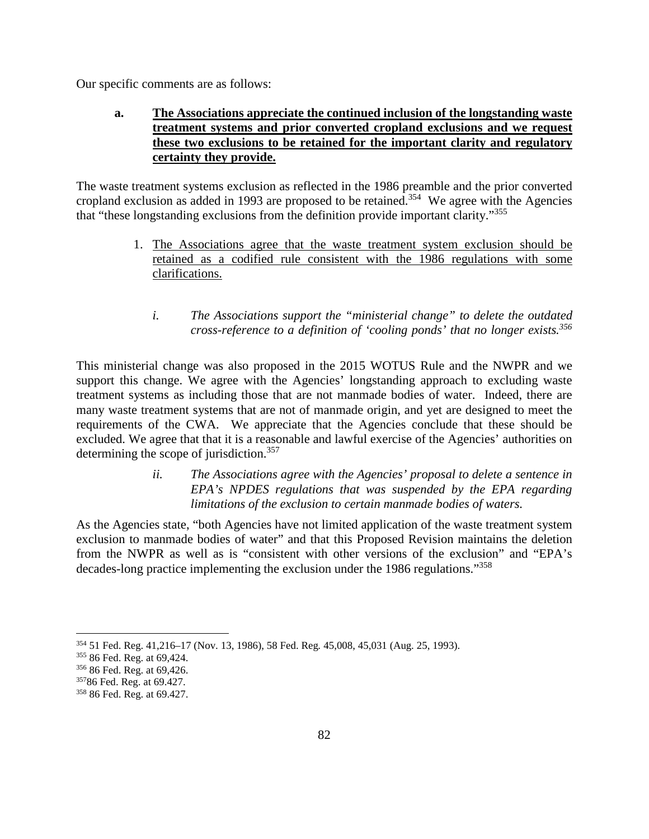Our specific comments are as follows:

# **a. The Associations appreciate the continued inclusion of the longstanding waste treatment systems and prior converted cropland exclusions and we request these two exclusions to be retained for the important clarity and regulatory certainty they provide.**

The waste treatment systems exclusion as reflected in the 1986 preamble and the prior converted cropland exclusion as added in 1993 are proposed to be retained.<sup>354</sup> We agree with the Agencies that "these longstanding exclusions from the definition provide important clarity."<sup>355</sup>

- 1. The Associations agree that the waste treatment system exclusion should be retained as a codified rule consistent with the 1986 regulations with some clarifications.
	- *i. The Associations support the "ministerial change" to delete the outdated cross-reference to a definition of 'cooling ponds' that no longer exists.<sup>356</sup>*

This ministerial change was also proposed in the 2015 WOTUS Rule and the NWPR and we support this change. We agree with the Agencies' longstanding approach to excluding waste treatment systems as including those that are not manmade bodies of water. Indeed, there are many waste treatment systems that are not of manmade origin, and yet are designed to meet the requirements of the CWA. We appreciate that the Agencies conclude that these should be excluded. We agree that that it is a reasonable and lawful exercise of the Agencies' authorities on determining the scope of jurisdiction.<sup>357</sup>

> *ii. The Associations agree with the Agencies' proposal to delete a sentence in EPA's NPDES regulations that was suspended by the EPA regarding limitations of the exclusion to certain manmade bodies of waters.*

As the Agencies state, "both Agencies have not limited application of the waste treatment system exclusion to manmade bodies of water" and that this Proposed Revision maintains the deletion from the NWPR as well as is "consistent with other versions of the exclusion" and "EPA's decades-long practice implementing the exclusion under the 1986 regulations."<sup>358</sup>

<sup>354</sup> 51 Fed. Reg. 41,216–17 (Nov. 13, 1986), 58 Fed. Reg*.* 45,008, 45,031 (Aug. 25, 1993).

<sup>355</sup> 86 Fed. Reg. at 69,424.

<sup>356</sup> 86 Fed. Reg. at 69,426.

<sup>357</sup>86 Fed. Reg. at 69.427.

<sup>358</sup> 86 Fed. Reg. at 69.427.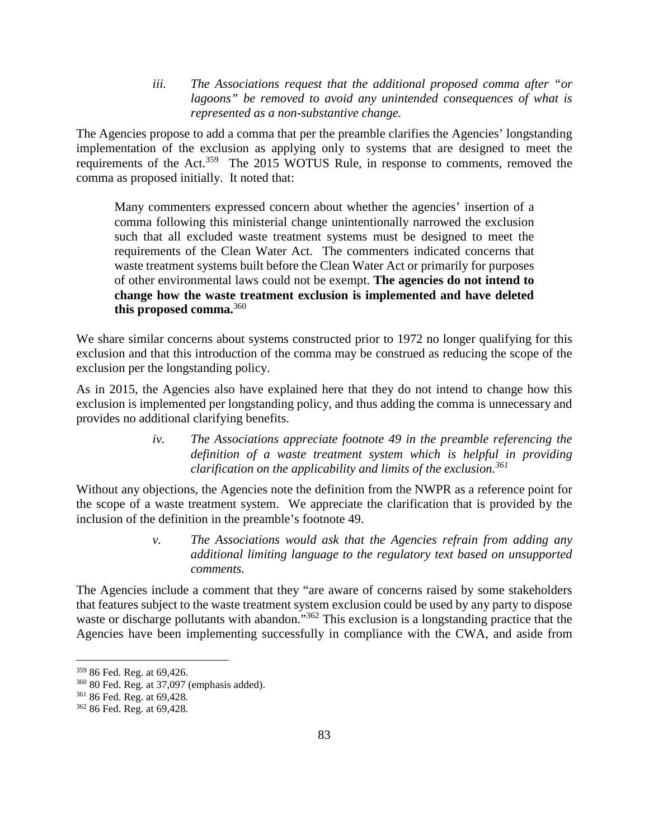*iii. The Associations request that the additional proposed comma after "or lagoons" be removed to avoid any unintended consequences of what is represented as a non-substantive change.* 

The Agencies propose to add a comma that per the preamble clarifies the Agencies' longstanding implementation of the exclusion as applying only to systems that are designed to meet the requirements of the Act.<sup>359</sup> The 2015 WOTUS Rule, in response to comments, removed the comma as proposed initially. It noted that:

Many commenters expressed concern about whether the agencies' insertion of a comma following this ministerial change unintentionally narrowed the exclusion such that all excluded waste treatment systems must be designed to meet the requirements of the Clean Water Act. The commenters indicated concerns that waste treatment systems built before the Clean Water Act or primarily for purposes of other environmental laws could not be exempt. **The agencies do not intend to change how the waste treatment exclusion is implemented and have deleted this proposed comma.**<sup>360</sup>

We share similar concerns about systems constructed prior to 1972 no longer qualifying for this exclusion and that this introduction of the comma may be construed as reducing the scope of the exclusion per the longstanding policy.

As in 2015, the Agencies also have explained here that they do not intend to change how this exclusion is implemented per longstanding policy, and thus adding the comma is unnecessary and provides no additional clarifying benefits.

> *iv. The Associations appreciate footnote 49 in the preamble referencing the definition of a waste treatment system which is helpful in providing clarification on the applicability and limits of the exclusion.<sup>361</sup>*

Without any objections, the Agencies note the definition from the NWPR as a reference point for the scope of a waste treatment system. We appreciate the clarification that is provided by the inclusion of the definition in the preamble's footnote 49.

> *v. The Associations would ask that the Agencies refrain from adding any additional limiting language to the regulatory text based on unsupported comments.*

The Agencies include a comment that they "are aware of concerns raised by some stakeholders that features subject to the waste treatment system exclusion could be used by any party to dispose waste or discharge pollutants with abandon."<sup>362</sup> This exclusion is a longstanding practice that the Agencies have been implementing successfully in compliance with the CWA, and aside from

<sup>359</sup> 86 Fed. Reg. at 69,426.

<sup>360</sup> 80 Fed. Reg. at 37,097 (emphasis added).

<sup>361</sup> 86 Fed. Reg. at 69,428*.*

<sup>362</sup> 86 Fed. Reg. at 69,428*.*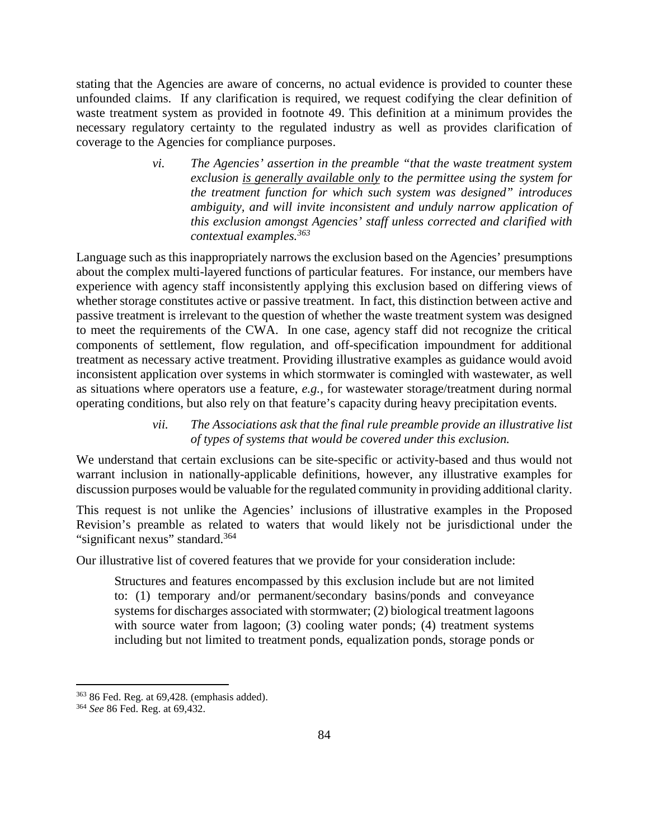stating that the Agencies are aware of concerns, no actual evidence is provided to counter these unfounded claims. If any clarification is required, we request codifying the clear definition of waste treatment system as provided in footnote 49. This definition at a minimum provides the necessary regulatory certainty to the regulated industry as well as provides clarification of coverage to the Agencies for compliance purposes.

> *vi. The Agencies' assertion in the preamble "that the waste treatment system exclusion is generally available only to the permittee using the system for the treatment function for which such system was designed" introduces ambiguity, and will invite inconsistent and unduly narrow application of this exclusion amongst Agencies' staff unless corrected and clarified with contextual examples.<sup>363</sup>*

Language such as this inappropriately narrows the exclusion based on the Agencies' presumptions about the complex multi-layered functions of particular features. For instance, our members have experience with agency staff inconsistently applying this exclusion based on differing views of whether storage constitutes active or passive treatment. In fact, this distinction between active and passive treatment is irrelevant to the question of whether the waste treatment system was designed to meet the requirements of the CWA. In one case, agency staff did not recognize the critical components of settlement, flow regulation, and off-specification impoundment for additional treatment as necessary active treatment. Providing illustrative examples as guidance would avoid inconsistent application over systems in which stormwater is comingled with wastewater, as well as situations where operators use a feature, *e.g.*, for wastewater storage/treatment during normal operating conditions, but also rely on that feature's capacity during heavy precipitation events.

> *vii. The Associations ask that the final rule preamble provide an illustrative list of types of systems that would be covered under this exclusion.*

We understand that certain exclusions can be site-specific or activity-based and thus would not warrant inclusion in nationally-applicable definitions, however, any illustrative examples for discussion purposes would be valuable for the regulated community in providing additional clarity.

This request is not unlike the Agencies' inclusions of illustrative examples in the Proposed Revision's preamble as related to waters that would likely not be jurisdictional under the "significant nexus" standard.<sup>364</sup>

Our illustrative list of covered features that we provide for your consideration include:

Structures and features encompassed by this exclusion include but are not limited to: (1) temporary and/or permanent/secondary basins/ponds and conveyance systems for discharges associated with stormwater; (2) biological treatment lagoons with source water from lagoon; (3) cooling water ponds; (4) treatment systems including but not limited to treatment ponds, equalization ponds, storage ponds or

<sup>363</sup> 86 Fed. Reg. at 69,428*.* (emphasis added).

<sup>364</sup> *See* 86 Fed. Reg. at 69,432.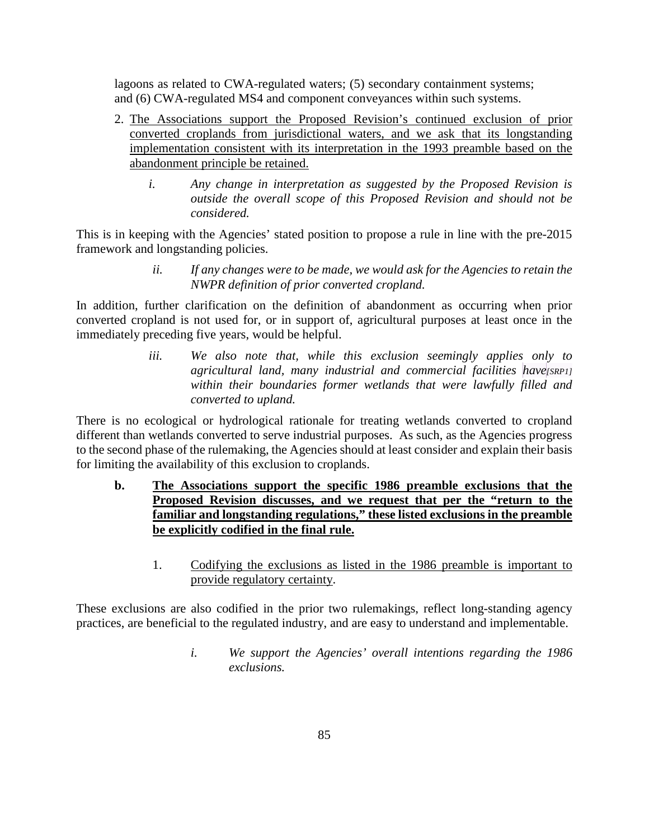lagoons as related to CWA-regulated waters; (5) secondary containment systems; and (6) CWA-regulated MS4 and component conveyances within such systems.

- 2. The Associations support the Proposed Revision's continued exclusion of prior converted croplands from jurisdictional waters, and we ask that its longstanding implementation consistent with its interpretation in the 1993 preamble based on the abandonment principle be retained.
	- *i. Any change in interpretation as suggested by the Proposed Revision is outside the overall scope of this Proposed Revision and should not be considered.*

This is in keeping with the Agencies' stated position to propose a rule in line with the pre-2015 framework and longstanding policies.

> *ii. If any changes were to be made, we would ask for the Agencies to retain the NWPR definition of prior converted cropland.*

In addition, further clarification on the definition of abandonment as occurring when prior converted cropland is not used for, or in support of, agricultural purposes at least once in the immediately preceding five years, would be helpful.

> *iii. We also note that, while this exclusion seemingly applies only to agricultural land, many industrial and commercial facilities have[SRP1] within their boundaries former wetlands that were lawfully filled and converted to upland.*

There is no ecological or hydrological rationale for treating wetlands converted to cropland different than wetlands converted to serve industrial purposes. As such, as the Agencies progress to the second phase of the rulemaking, the Agencies should at least consider and explain their basis for limiting the availability of this exclusion to croplands.

- **b. The Associations support the specific 1986 preamble exclusions that the Proposed Revision discusses, and we request that per the "return to the familiar and longstanding regulations," these listed exclusions in the preamble be explicitly codified in the final rule.** 
	- 1. Codifying the exclusions as listed in the 1986 preamble is important to provide regulatory certainty.

These exclusions are also codified in the prior two rulemakings, reflect long-standing agency practices, are beneficial to the regulated industry, and are easy to understand and implementable.

> *i. We support the Agencies' overall intentions regarding the 1986 exclusions.*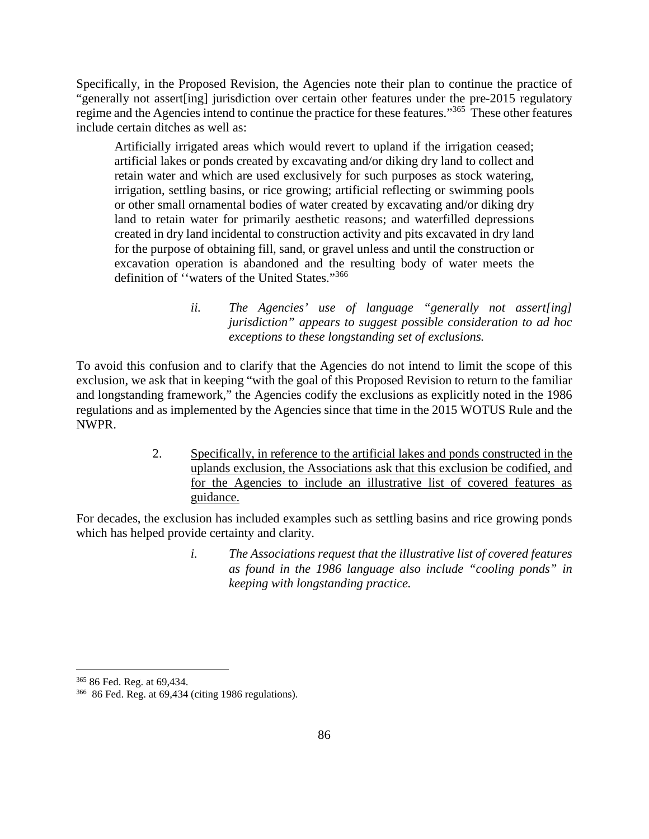Specifically, in the Proposed Revision, the Agencies note their plan to continue the practice of "generally not assert[ing] jurisdiction over certain other features under the pre-2015 regulatory regime and the Agencies intend to continue the practice for these features."<sup>365</sup> These other features include certain ditches as well as:

Artificially irrigated areas which would revert to upland if the irrigation ceased; artificial lakes or ponds created by excavating and/or diking dry land to collect and retain water and which are used exclusively for such purposes as stock watering, irrigation, settling basins, or rice growing; artificial reflecting or swimming pools or other small ornamental bodies of water created by excavating and/or diking dry land to retain water for primarily aesthetic reasons; and waterfilled depressions created in dry land incidental to construction activity and pits excavated in dry land for the purpose of obtaining fill, sand, or gravel unless and until the construction or excavation operation is abandoned and the resulting body of water meets the definition of ''waters of the United States."<sup>366</sup>

> *ii. The Agencies' use of language "generally not assert[ing] jurisdiction" appears to suggest possible consideration to ad hoc exceptions to these longstanding set of exclusions.*

To avoid this confusion and to clarify that the Agencies do not intend to limit the scope of this exclusion, we ask that in keeping "with the goal of this Proposed Revision to return to the familiar and longstanding framework," the Agencies codify the exclusions as explicitly noted in the 1986 regulations and as implemented by the Agencies since that time in the 2015 WOTUS Rule and the NWPR.

> 2. Specifically, in reference to the artificial lakes and ponds constructed in the uplands exclusion, the Associations ask that this exclusion be codified, and for the Agencies to include an illustrative list of covered features as guidance.

For decades, the exclusion has included examples such as settling basins and rice growing ponds which has helped provide certainty and clarity.

> *i. The Associations request that the illustrative list of covered features as found in the 1986 language also include "cooling ponds" in keeping with longstanding practice.*

<sup>365</sup> 86 Fed. Reg. at 69,434.

<sup>366</sup> 86 Fed. Reg. at 69,434 (citing 1986 regulations).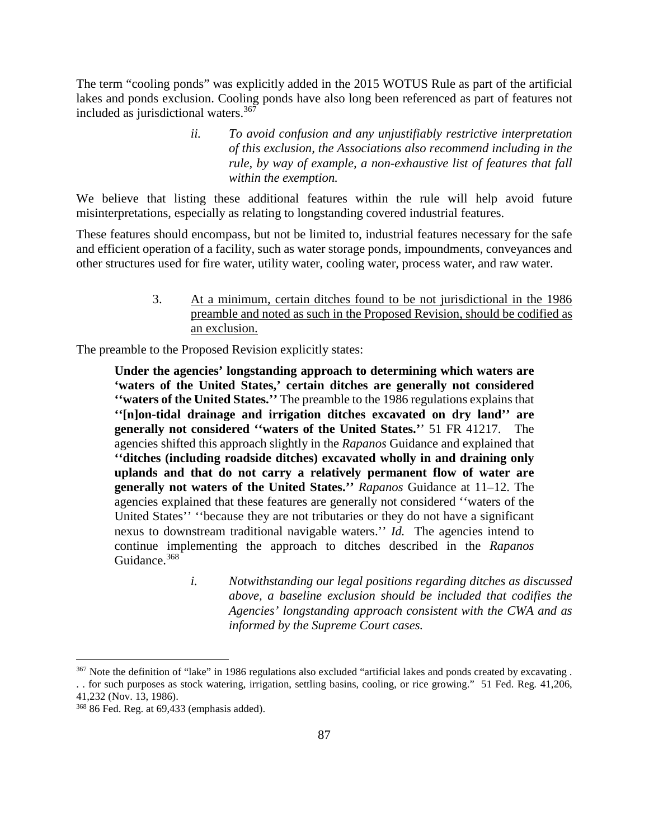The term "cooling ponds" was explicitly added in the 2015 WOTUS Rule as part of the artificial lakes and ponds exclusion. Cooling ponds have also long been referenced as part of features not included as jurisdictional waters. $367$ 

> *ii. To avoid confusion and any unjustifiably restrictive interpretation of this exclusion, the Associations also recommend including in the rule, by way of example, a non-exhaustive list of features that fall within the exemption.*

We believe that listing these additional features within the rule will help avoid future misinterpretations, especially as relating to longstanding covered industrial features.

These features should encompass, but not be limited to, industrial features necessary for the safe and efficient operation of a facility, such as water storage ponds, impoundments, conveyances and other structures used for fire water, utility water, cooling water, process water, and raw water.

> 3. At a minimum, certain ditches found to be not jurisdictional in the 1986 preamble and noted as such in the Proposed Revision, should be codified as an exclusion.

The preamble to the Proposed Revision explicitly states:

**Under the agencies' longstanding approach to determining which waters are 'waters of the United States,' certain ditches are generally not considered ''waters of the United States.''** The preamble to the 1986 regulations explains that **''[n]on-tidal drainage and irrigation ditches excavated on dry land'' are generally not considered ''waters of the United States.'**' 51 FR 41217. The agencies shifted this approach slightly in the *Rapanos* Guidance and explained that **''ditches (including roadside ditches) excavated wholly in and draining only uplands and that do not carry a relatively permanent flow of water are generally not waters of the United States.''** *Rapanos* Guidance at 11–12. The agencies explained that these features are generally not considered ''waters of the United States'' ''because they are not tributaries or they do not have a significant nexus to downstream traditional navigable waters." *Id.* The agencies intend to continue implementing the approach to ditches described in the *Rapanos*  Guidance.<sup>368</sup>

> *i. Notwithstanding our legal positions regarding ditches as discussed above, a baseline exclusion should be included that codifies the Agencies' longstanding approach consistent with the CWA and as informed by the Supreme Court cases.*

<sup>367</sup> Note the definition of "lake" in 1986 regulations also excluded "artificial lakes and ponds created by excavating .

<sup>. .</sup> for such purposes as stock watering, irrigation, settling basins, cooling, or rice growing." 51 Fed. Reg*.* 41,206, 41,232 (Nov. 13, 1986).

<sup>368</sup> 86 Fed. Reg. at 69,433 (emphasis added).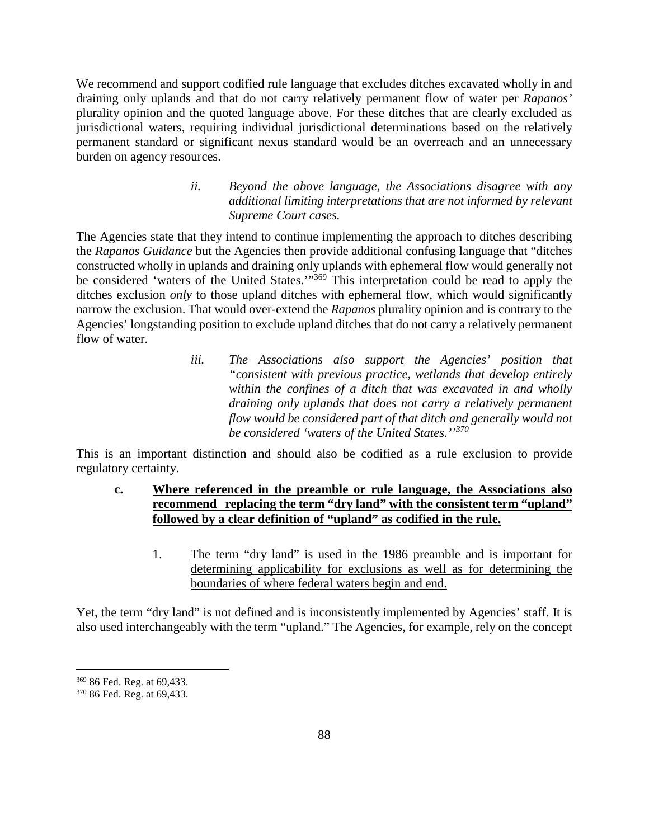We recommend and support codified rule language that excludes ditches excavated wholly in and draining only uplands and that do not carry relatively permanent flow of water per *Rapanos'*  plurality opinion and the quoted language above. For these ditches that are clearly excluded as jurisdictional waters, requiring individual jurisdictional determinations based on the relatively permanent standard or significant nexus standard would be an overreach and an unnecessary burden on agency resources.

> *ii. Beyond the above language, the Associations disagree with any additional limiting interpretations that are not informed by relevant Supreme Court cases.*

The Agencies state that they intend to continue implementing the approach to ditches describing the *Rapanos Guidance* but the Agencies then provide additional confusing language that "ditches constructed wholly in uplands and draining only uplands with ephemeral flow would generally not be considered 'waters of the United States.'"<sup>369</sup> This interpretation could be read to apply the ditches exclusion *only* to those upland ditches with ephemeral flow, which would significantly narrow the exclusion. That would over-extend the *Rapanos* plurality opinion and is contrary to the Agencies' longstanding position to exclude upland ditches that do not carry a relatively permanent flow of water.

> *iii. The Associations also support the Agencies' position that "consistent with previous practice, wetlands that develop entirely within the confines of a ditch that was excavated in and wholly draining only uplands that does not carry a relatively permanent flow would be considered part of that ditch and generally would not be considered 'waters of the United States.''<sup>370</sup>*

This is an important distinction and should also be codified as a rule exclusion to provide regulatory certainty.

- **c. Where referenced in the preamble or rule language, the Associations also recommend replacing the term "dry land" with the consistent term "upland" followed by a clear definition of "upland" as codified in the rule.**
	- 1. The term "dry land" is used in the 1986 preamble and is important for determining applicability for exclusions as well as for determining the boundaries of where federal waters begin and end.

Yet, the term "dry land" is not defined and is inconsistently implemented by Agencies' staff. It is also used interchangeably with the term "upland." The Agencies, for example, rely on the concept

<sup>369</sup> 86 Fed. Reg. at 69,433.

<sup>370</sup> 86 Fed. Reg. at 69,433.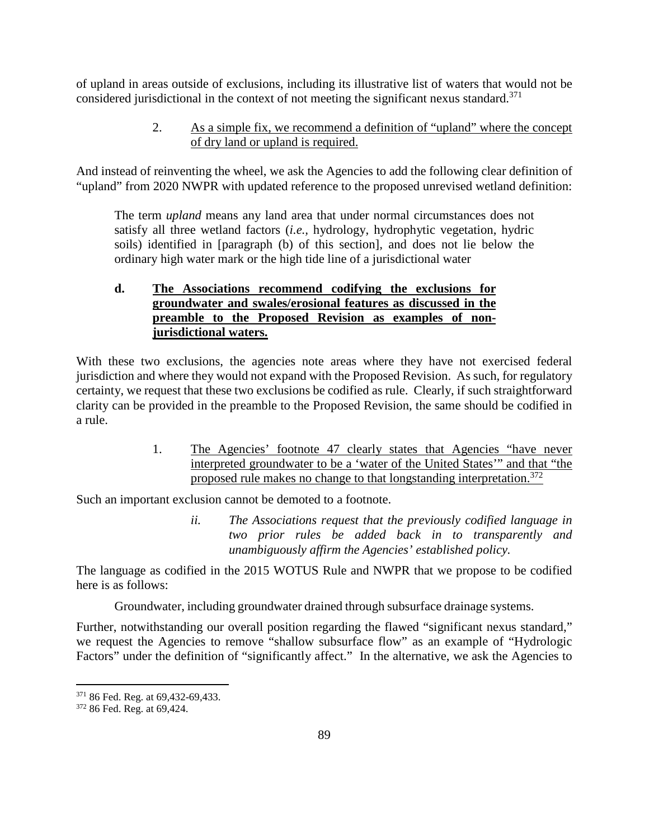of upland in areas outside of exclusions, including its illustrative list of waters that would not be considered jurisdictional in the context of not meeting the significant nexus standard.<sup>371</sup>

> 2. As a simple fix, we recommend a definition of "upland" where the concept of dry land or upland is required.

And instead of reinventing the wheel, we ask the Agencies to add the following clear definition of "upland" from 2020 NWPR with updated reference to the proposed unrevised wetland definition:

The term *upland* means any land area that under normal circumstances does not satisfy all three wetland factors (*i.e.,* hydrology, hydrophytic vegetation, hydric soils) identified in [paragraph (b) of this section]*,* and does not lie below the ordinary high water mark or the high tide line of a jurisdictional water

# **d. The Associations recommend codifying the exclusions for groundwater and swales/erosional features as discussed in the preamble to the Proposed Revision as examples of nonjurisdictional waters.**

With these two exclusions, the agencies note areas where they have not exercised federal jurisdiction and where they would not expand with the Proposed Revision. As such, for regulatory certainty, we request that these two exclusions be codified as rule. Clearly, if such straightforward clarity can be provided in the preamble to the Proposed Revision, the same should be codified in a rule.

> 1. The Agencies' footnote 47 clearly states that Agencies "have never interpreted groundwater to be a 'water of the United States'" and that "the proposed rule makes no change to that longstanding interpretation.<sup>372</sup>

Such an important exclusion cannot be demoted to a footnote.

*ii. The Associations request that the previously codified language in two prior rules be added back in to transparently and unambiguously affirm the Agencies' established policy.* 

The language as codified in the 2015 WOTUS Rule and NWPR that we propose to be codified here is as follows:

Groundwater, including groundwater drained through subsurface drainage systems.

Further, notwithstanding our overall position regarding the flawed "significant nexus standard," we request the Agencies to remove "shallow subsurface flow" as an example of "Hydrologic Factors" under the definition of "significantly affect." In the alternative, we ask the Agencies to

<sup>371</sup> 86 Fed. Reg. at 69,432-69,433.

<sup>372</sup> 86 Fed. Reg. at 69,424.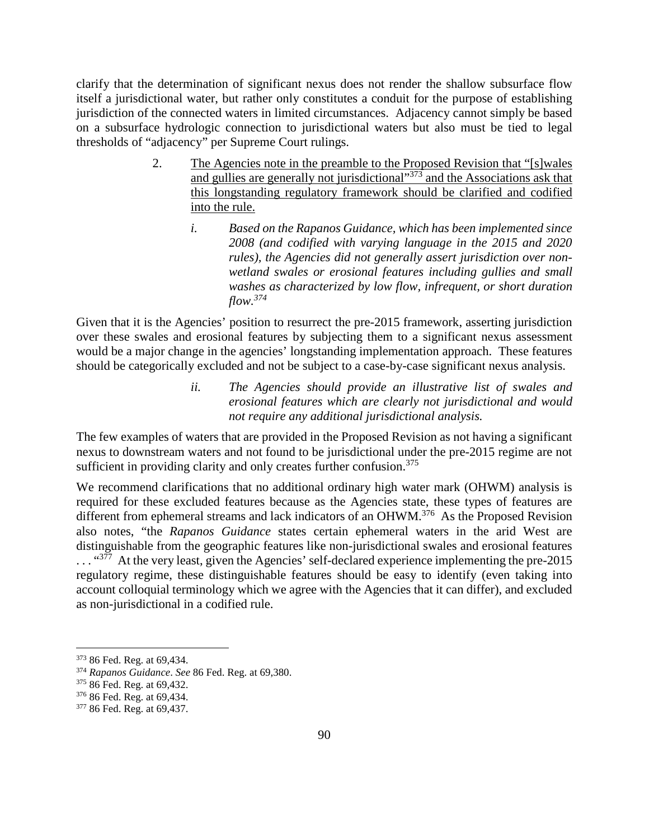clarify that the determination of significant nexus does not render the shallow subsurface flow itself a jurisdictional water, but rather only constitutes a conduit for the purpose of establishing jurisdiction of the connected waters in limited circumstances. Adjacency cannot simply be based on a subsurface hydrologic connection to jurisdictional waters but also must be tied to legal thresholds of "adjacency" per Supreme Court rulings.

- 2. The Agencies note in the preamble to the Proposed Revision that "[s]wales and gullies are generally not jurisdictional<sup> $373$ </sup> and the Associations ask that this longstanding regulatory framework should be clarified and codified into the rule.
	- *i. Based on the Rapanos Guidance, which has been implemented since 2008 (and codified with varying language in the 2015 and 2020 rules), the Agencies did not generally assert jurisdiction over nonwetland swales or erosional features including gullies and small washes as characterized by low flow, infrequent, or short duration flow.<sup>374</sup>*

Given that it is the Agencies' position to resurrect the pre-2015 framework, asserting jurisdiction over these swales and erosional features by subjecting them to a significant nexus assessment would be a major change in the agencies' longstanding implementation approach. These features should be categorically excluded and not be subject to a case-by-case significant nexus analysis.

> *ii. The Agencies should provide an illustrative list of swales and erosional features which are clearly not jurisdictional and would not require any additional jurisdictional analysis.*

The few examples of waters that are provided in the Proposed Revision as not having a significant nexus to downstream waters and not found to be jurisdictional under the pre-2015 regime are not sufficient in providing clarity and only creates further confusion.<sup>375</sup>

We recommend clarifications that no additional ordinary high water mark (OHWM) analysis is required for these excluded features because as the Agencies state, these types of features are different from ephemeral streams and lack indicators of an OHWM.<sup>376</sup> As the Proposed Revision also notes, "the *Rapanos Guidance* states certain ephemeral waters in the arid West are distinguishable from the geographic features like non-jurisdictional swales and erosional features ... "377 At the very least, given the Agencies' self-declared experience implementing the pre-2015 regulatory regime, these distinguishable features should be easy to identify (even taking into account colloquial terminology which we agree with the Agencies that it can differ), and excluded as non-jurisdictional in a codified rule.

<sup>373</sup> 86 Fed. Reg. at 69,434.

<sup>374</sup> *Rapanos Guidance*. *See* 86 Fed. Reg. at 69,380.

<sup>375</sup> 86 Fed. Reg. at 69,432.

<sup>376</sup> 86 Fed. Reg. at 69,434.

<sup>377</sup> 86 Fed. Reg. at 69,437.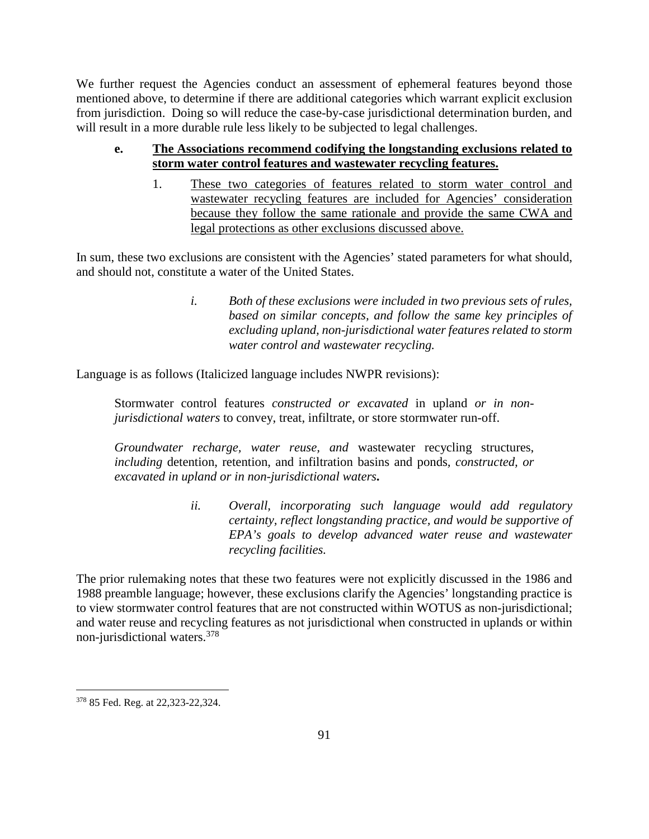We further request the Agencies conduct an assessment of ephemeral features beyond those mentioned above, to determine if there are additional categories which warrant explicit exclusion from jurisdiction. Doing so will reduce the case-by-case jurisdictional determination burden, and will result in a more durable rule less likely to be subjected to legal challenges.

- **e. The Associations recommend codifying the longstanding exclusions related to storm water control features and wastewater recycling features.**
	- 1. These two categories of features related to storm water control and wastewater recycling features are included for Agencies' consideration because they follow the same rationale and provide the same CWA and legal protections as other exclusions discussed above.

In sum, these two exclusions are consistent with the Agencies' stated parameters for what should, and should not, constitute a water of the United States.

> *i. Both of these exclusions were included in two previous sets of rules, based on similar concepts, and follow the same key principles of excluding upland, non-jurisdictional water features related to storm water control and wastewater recycling.*

Language is as follows (Italicized language includes NWPR revisions):

Stormwater control features *constructed or excavated* in upland *or in nonjurisdictional waters* to convey, treat, infiltrate, or store stormwater run-off.

*Groundwater recharge, water reuse, and* wastewater recycling structures, *including* detention, retention, and infiltration basins and ponds*, constructed, or excavated in upland or in non-jurisdictional waters***.** 

> *ii. Overall, incorporating such language would add regulatory certainty, reflect longstanding practice, and would be supportive of EPA's goals to develop advanced water reuse and wastewater recycling facilities.*

The prior rulemaking notes that these two features were not explicitly discussed in the 1986 and 1988 preamble language; however, these exclusions clarify the Agencies' longstanding practice is to view stormwater control features that are not constructed within WOTUS as non-jurisdictional; and water reuse and recycling features as not jurisdictional when constructed in uplands or within non-jurisdictional waters.<sup>378</sup>

<sup>378</sup> 85 Fed. Reg. at 22,323-22,324.